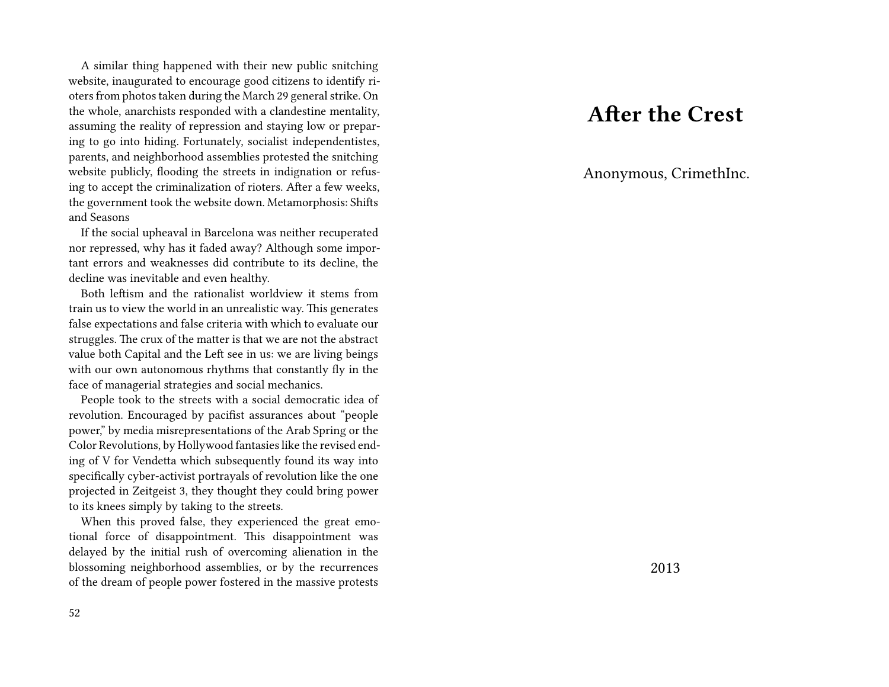A similar thing happened with their new public snitching website, inaugurated to encourage good citizens to identify rioters from photos taken during the March 29 general strike. On the whole, anarchists responded with a clandestine mentality, assuming the reality of repression and staying low or preparing to go into hiding. Fortunately, socialist independentistes, parents, and neighborhood assemblies protested the snitching website publicly, flooding the streets in indignation or refusing to accept the criminalization of rioters. After a few weeks, the government took the website down. Metamorphosis: Shifts and Seasons

If the social upheaval in Barcelona was neither recuperated nor repressed, why has it faded away? Although some important errors and weaknesses did contribute to its decline, the decline was inevitable and even healthy.

Both leftism and the rationalist worldview it stems from train us to view the world in an unrealistic way. This generates false expectations and false criteria with which to evaluate our struggles. The crux of the matter is that we are not the abstract value both Capital and the Left see in us: we are living beings with our own autonomous rhythms that constantly fly in the face of managerial strategies and social mechanics.

People took to the streets with a social democratic idea of revolution. Encouraged by pacifist assurances about "people power," by media misrepresentations of the Arab Spring or the Color Revolutions, by Hollywood fantasies like the revised ending of V for Vendetta which subsequently found its way into specifically cyber-activist portrayals of revolution like the one projected in Zeitgeist 3, they thought they could bring power to its knees simply by taking to the streets.

When this proved false, they experienced the great emotional force of disappointment. This disappointment was delayed by the initial rush of overcoming alienation in the blossoming neighborhood assemblies, or by the recurrences of the dream of people power fostered in the massive protests

### **After the Crest**

Anonymous, CrimethInc.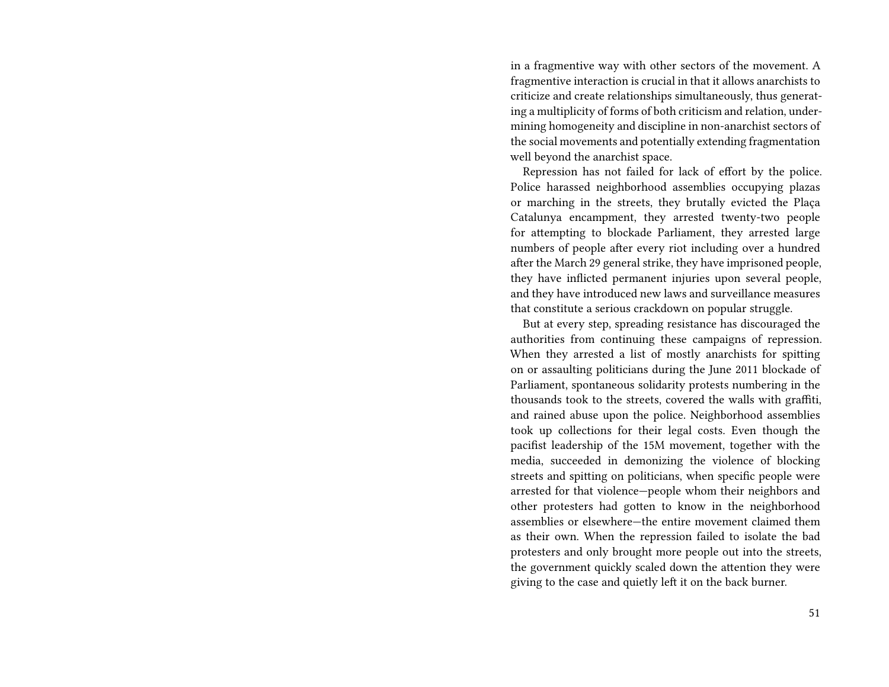in a fragmentive way with other sectors of the movement. A fragmentive interaction is crucial in that it allows anarchists to criticize and create relationships simultaneously, thus generating a multiplicity of forms of both criticism and relation, undermining homogeneity and discipline in non-anarchist sectors of the social movements and potentially extending fragmentation well beyond the anarchist space.

Repression has not failed for lack of effort by the police. Police harassed neighborhood assemblies occupying plazas or marching in the streets, they brutally evicted the Plaça Catalunya encampment, they arrested twenty-two people for attempting to blockade Parliament, they arrested large numbers of people after every riot including over a hundred after the March 29 general strike, they have imprisoned people, they have inflicted permanent injuries upon several people, and they have introduced new laws and surveillance measures that constitute a serious crackdown on popular struggle.

But at every step, spreading resistance has discouraged the authorities from continuing these campaigns of repression. When they arrested a list of mostly anarchists for spitting on or assaulting politicians during the June 2011 blockade of Parliament, spontaneous solidarity protests numbering in the thousands took to the streets, covered the walls with graffiti, and rained abuse upon the police. Neighborhood assemblies took up collections for their legal costs. Even though the pacifist leadership of the 15M movement, together with the media, succeeded in demonizing the violence of blocking streets and spitting on politicians, when specific people were arrested for that violence—people whom their neighbors and other protesters had gotten to know in the neighborhood assemblies or elsewhere—the entire movement claimed them as their own. When the repression failed to isolate the bad protesters and only brought more people out into the streets, the government quickly scaled down the attention they were giving to the case and quietly left it on the back burner.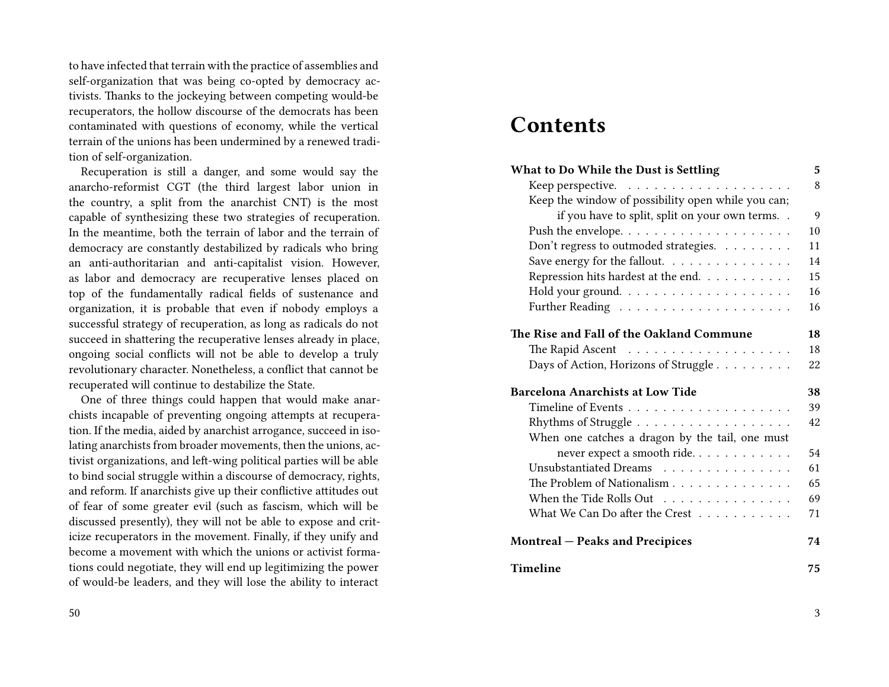to have infected that terrain with the practice of assemblies and self-organization that was being co-opted by democracy activists. Thanks to the jockeying between competing would-be recuperators, the hollow discourse of the democrats has been contaminated with questions of economy, while the vertical terrain of the unions has been undermined by a renewed tradition of self-organization.

Recuperation is still a danger, and some would say the anarcho-reformist CGT (the third largest labor union in the country, a split from the anarchist CNT) is the most capable of synthesizing these two strategies of recuperation. In the meantime, both the terrain of labor and the terrain of democracy are constantly destabilized by radicals who bring an anti-authoritarian and anti-capitalist vision. However, as labor and democracy are recuperative lenses placed on top of the fundamentally radical fields of sustenance and organization, it is probable that even if nobody employs a successful strategy of recuperation, as long as radicals do not succeed in shattering the recuperative lenses already in place, ongoing social conflicts will not be able to develop a truly revolutionary character. Nonetheless, a conflict that cannot be recuperated will continue to destabilize the State.

One of three things could happen that would make anarchists incapable of preventing ongoing attempts at recuperation. If the media, aided by anarchist arrogance, succeed in isolating anarchists from broader movements, then the unions, activist organizations, and left-wing political parties will be able to bind social struggle within a discourse of democracy, rights, and reform. If anarchists give up their conflictive attitudes out of fear of some greater evil (such as fascism, which will be discussed presently), they will not be able to expose and criticize recuperators in the movement. Finally, if they unify and become a movement with which the unions or activist formations could negotiate, they will end up legitimizing the power of would-be leaders, and they will lose the ability to interact

#### 50

### **Contents**

| What to Do While the Dust is Settling                 | 5  |
|-------------------------------------------------------|----|
|                                                       | 8  |
| Keep the window of possibility open while you can;    |    |
| if you have to split, split on your own terms         | 9  |
|                                                       | 10 |
| Don't regress to outmoded strategies.                 | 11 |
| Save energy for the fallout.                          | 14 |
| Repression hits hardest at the end.                   | 15 |
|                                                       | 16 |
|                                                       | 16 |
| The Rise and Fall of the Oakland Commune              | 18 |
| The Rapid Ascent $\ldots \ldots \ldots \ldots \ldots$ | 18 |
| Days of Action, Horizons of Struggle                  | 22 |
| <b>Barcelona Anarchists at Low Tide</b>               | 38 |
|                                                       | 39 |
|                                                       | 42 |
| When one catches a dragon by the tail, one must       |    |
| never expect a smooth ride                            | 54 |
| Unsubstantiated Dreams                                | 61 |
| The Problem of Nationalism                            | 65 |
| When the Tide Rolls Out                               | 69 |
| What We Can Do after the Crest                        | 71 |
| <b>Montreal – Peaks and Precipices</b>                | 74 |
| Timeline                                              | 75 |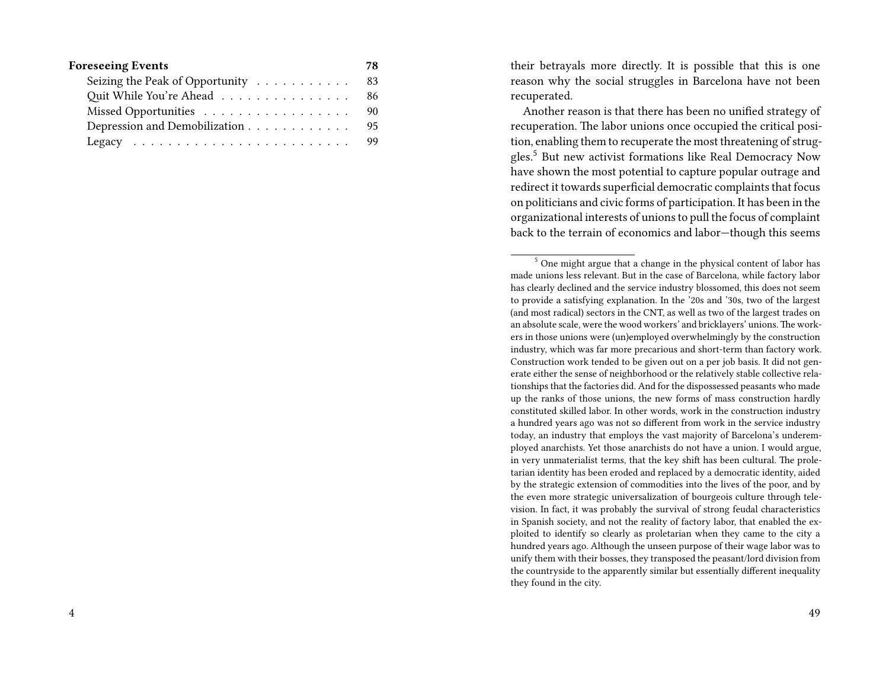| <b>Foreseeing Events</b>           |  |  |  |  |  | 78 |
|------------------------------------|--|--|--|--|--|----|
| Seizing the Peak of Opportunity 83 |  |  |  |  |  |    |
| Quit While You're Ahead            |  |  |  |  |  | 86 |
|                                    |  |  |  |  |  | 90 |
| Depression and Demobilization      |  |  |  |  |  | 95 |
|                                    |  |  |  |  |  |    |

their betrayals more directly. It is possible that this is one reason why the social struggles in Barcelona have not been recuperated.

Another reason is that there has been no unified strategy of recuperation. The labor unions once occupied the critical position, enabling them to recuperate the most threatening of struggles.<sup>5</sup> But new activist formations like Real Democracy Now have shown the most potential to capture popular outrage and redirect it towards superficial democratic complaints that focus on politicians and civic forms of participation. It has been in the organizational interests of unions to pull the focus of complaint back to the terrain of economics and labor—though this seems

<sup>5</sup> One might argue that a change in the physical content of labor has made unions less relevant. But in the case of Barcelona, while factory labor has clearly declined and the service industry blossomed, this does not seem to provide a satisfying explanation. In the '20s and '30s, two of the largest (and most radical) sectors in the CNT, as well as two of the largest trades on an absolute scale, were the wood workers' and bricklayers' unions.The workers in those unions were (un)employed overwhelmingly by the construction industry, which was far more precarious and short-term than factory work. Construction work tended to be given out on a per job basis. It did not generate either the sense of neighborhood or the relatively stable collective relationships that the factories did. And for the dispossessed peasants who made up the ranks of those unions, the new forms of mass construction hardly constituted skilled labor. In other words, work in the construction industry a hundred years ago was not so different from work in the service industry today, an industry that employs the vast majority of Barcelona's underemployed anarchists. Yet those anarchists do not have a union. I would argue, in very unmaterialist terms, that the key shift has been cultural. The proletarian identity has been eroded and replaced by a democratic identity, aided by the strategic extension of commodities into the lives of the poor, and by the even more strategic universalization of bourgeois culture through television. In fact, it was probably the survival of strong feudal characteristics in Spanish society, and not the reality of factory labor, that enabled the exploited to identify so clearly as proletarian when they came to the city a hundred years ago. Although the unseen purpose of their wage labor was to unify them with their bosses, they transposed the peasant/lord division from the countryside to the apparently similar but essentially different inequality they found in the city.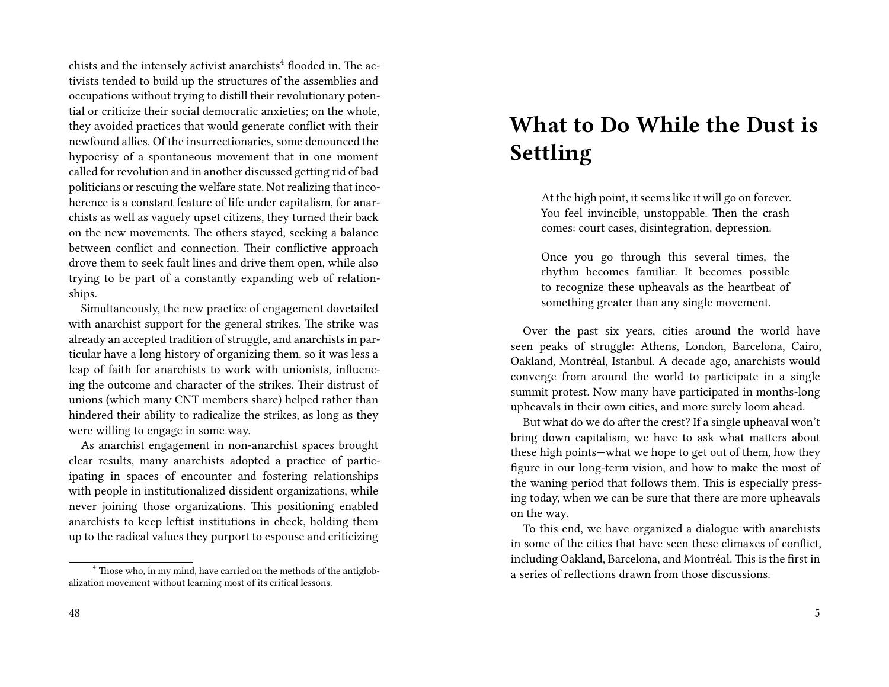chists and the intensely activist anarchists<sup>4</sup> flooded in. The activists tended to build up the structures of the assemblies and occupations without trying to distill their revolutionary potential or criticize their social democratic anxieties; on the whole, they avoided practices that would generate conflict with their newfound allies. Of the insurrectionaries, some denounced the hypocrisy of a spontaneous movement that in one moment called for revolution and in another discussed getting rid of bad politicians or rescuing the welfare state. Not realizing that incoherence is a constant feature of life under capitalism, for anarchists as well as vaguely upset citizens, they turned their back on the new movements. The others stayed, seeking a balance between conflict and connection. Their conflictive approach drove them to seek fault lines and drive them open, while also trying to be part of a constantly expanding web of relationships.

Simultaneously, the new practice of engagement dovetailed with anarchist support for the general strikes. The strike was already an accepted tradition of struggle, and anarchists in particular have a long history of organizing them, so it was less a leap of faith for anarchists to work with unionists, influencing the outcome and character of the strikes. Their distrust of unions (which many CNT members share) helped rather than hindered their ability to radicalize the strikes, as long as they were willing to engage in some way.

As anarchist engagement in non-anarchist spaces brought clear results, many anarchists adopted a practice of participating in spaces of encounter and fostering relationships with people in institutionalized dissident organizations, while never joining those organizations. This positioning enabled anarchists to keep leftist institutions in check, holding them up to the radical values they purport to espouse and criticizing

## **What to Do While the Dust is Settling**

At the high point, it seems like it will go on forever. You feel invincible, unstoppable. Then the crash comes: court cases, disintegration, depression.

Once you go through this several times, the rhythm becomes familiar. It becomes possible to recognize these upheavals as the heartbeat of something greater than any single movement.

Over the past six years, cities around the world have seen peaks of struggle: Athens, London, Barcelona, Cairo, Oakland, Montréal, Istanbul. A decade ago, anarchists would converge from around the world to participate in a single summit protest. Now many have participated in months-long upheavals in their own cities, and more surely loom ahead.

But what do we do after the crest? If a single upheaval won't bring down capitalism, we have to ask what matters about these high points—what we hope to get out of them, how they figure in our long-term vision, and how to make the most of the waning period that follows them. This is especially pressing today, when we can be sure that there are more upheavals on the way.

To this end, we have organized a dialogue with anarchists in some of the cities that have seen these climaxes of conflict, including Oakland, Barcelona, and Montréal. This is the first in a series of reflections drawn from those discussions.

<sup>&</sup>lt;sup>4</sup> Those who, in my mind, have carried on the methods of the antiglobalization movement without learning most of its critical lessons.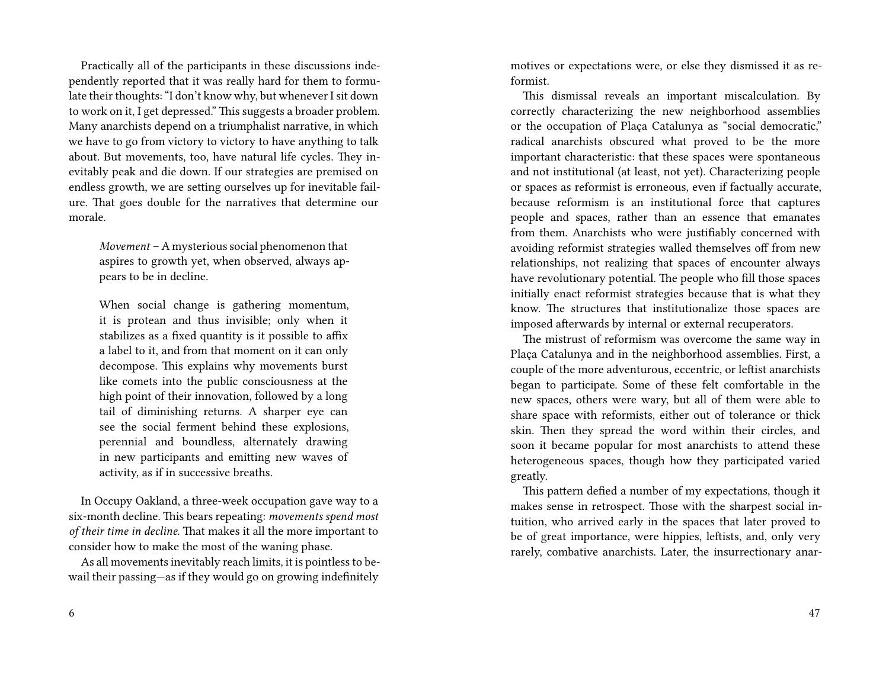Practically all of the participants in these discussions independently reported that it was really hard for them to formulate their thoughts: "I don't know why, but whenever I sit down to work on it, I get depressed." This suggests a broader problem. Many anarchists depend on a triumphalist narrative, in which we have to go from victory to victory to have anything to talk about. But movements, too, have natural life cycles. They inevitably peak and die down. If our strategies are premised on endless growth, we are setting ourselves up for inevitable failure. That goes double for the narratives that determine our morale.

*Movement* – A mysterious social phenomenon that aspires to growth yet, when observed, always appears to be in decline.

When social change is gathering momentum, it is protean and thus invisible; only when it stabilizes as a fixed quantity is it possible to affix a label to it, and from that moment on it can only decompose. This explains why movements burst like comets into the public consciousness at the high point of their innovation, followed by a long tail of diminishing returns. A sharper eye can see the social ferment behind these explosions, perennial and boundless, alternately drawing in new participants and emitting new waves of activity, as if in successive breaths.

In Occupy Oakland, a three-week occupation gave way to a six-month decline. This bears repeating: *movements spend most of their time in decline.* That makes it all the more important to consider how to make the most of the waning phase.

As all movements inevitably reach limits, it is pointless to bewail their passing—as if they would go on growing indefinitely

motives or expectations were, or else they dismissed it as reformist.

This dismissal reveals an important miscalculation. By correctly characterizing the new neighborhood assemblies or the occupation of Plaça Catalunya as "social democratic," radical anarchists obscured what proved to be the more important characteristic: that these spaces were spontaneous and not institutional (at least, not yet). Characterizing people or spaces as reformist is erroneous, even if factually accurate, because reformism is an institutional force that captures people and spaces, rather than an essence that emanates from them. Anarchists who were justifiably concerned with avoiding reformist strategies walled themselves off from new relationships, not realizing that spaces of encounter always have revolutionary potential. The people who fill those spaces initially enact reformist strategies because that is what they know. The structures that institutionalize those spaces are imposed afterwards by internal or external recuperators.

The mistrust of reformism was overcome the same way in Plaça Catalunya and in the neighborhood assemblies. First, a couple of the more adventurous, eccentric, or leftist anarchists began to participate. Some of these felt comfortable in the new spaces, others were wary, but all of them were able to share space with reformists, either out of tolerance or thick skin. Then they spread the word within their circles, and soon it became popular for most anarchists to attend these heterogeneous spaces, though how they participated varied greatly.

This pattern defied a number of my expectations, though it makes sense in retrospect. Those with the sharpest social intuition, who arrived early in the spaces that later proved to be of great importance, were hippies, leftists, and, only very rarely, combative anarchists. Later, the insurrectionary anar-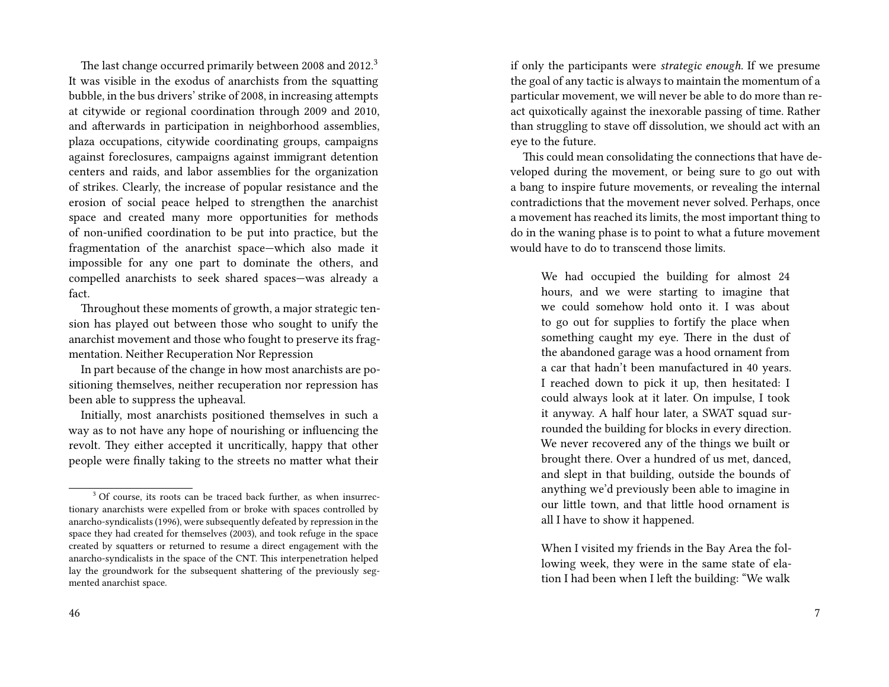The last change occurred primarily between 2008 and 2012.<sup>3</sup> It was visible in the exodus of anarchists from the squatting bubble, in the bus drivers' strike of 2008, in increasing attempts at citywide or regional coordination through 2009 and 2010, and afterwards in participation in neighborhood assemblies, plaza occupations, citywide coordinating groups, campaigns against foreclosures, campaigns against immigrant detention centers and raids, and labor assemblies for the organization of strikes. Clearly, the increase of popular resistance and the erosion of social peace helped to strengthen the anarchist space and created many more opportunities for methods of non-unified coordination to be put into practice, but the fragmentation of the anarchist space—which also made it impossible for any one part to dominate the others, and compelled anarchists to seek shared spaces—was already a fact.

Throughout these moments of growth, a major strategic tension has played out between those who sought to unify the anarchist movement and those who fought to preserve its fragmentation. Neither Recuperation Nor Repression

In part because of the change in how most anarchists are positioning themselves, neither recuperation nor repression has been able to suppress the upheaval.

Initially, most anarchists positioned themselves in such a way as to not have any hope of nourishing or influencing the revolt. They either accepted it uncritically, happy that other people were finally taking to the streets no matter what their

if only the participants were *strategic enough.* If we presume the goal of any tactic is always to maintain the momentum of a particular movement, we will never be able to do more than react quixotically against the inexorable passing of time. Rather than struggling to stave off dissolution, we should act with an eye to the future.

This could mean consolidating the connections that have developed during the movement, or being sure to go out with a bang to inspire future movements, or revealing the internal contradictions that the movement never solved. Perhaps, once a movement has reached its limits, the most important thing to do in the waning phase is to point to what a future movement would have to do to transcend those limits.

We had occupied the building for almost 24 hours, and we were starting to imagine that we could somehow hold onto it. I was about to go out for supplies to fortify the place when something caught my eye. There in the dust of the abandoned garage was a hood ornament from a car that hadn't been manufactured in 40 years. I reached down to pick it up, then hesitated: I could always look at it later. On impulse, I took it anyway. A half hour later, a SWAT squad surrounded the building for blocks in every direction. We never recovered any of the things we built or brought there. Over a hundred of us met, danced, and slept in that building, outside the bounds of anything we'd previously been able to imagine in our little town, and that little hood ornament is all I have to show it happened.

When I visited my friends in the Bay Area the following week, they were in the same state of elation I had been when I left the building: "We walk

<sup>&</sup>lt;sup>3</sup> Of course, its roots can be traced back further, as when insurrectionary anarchists were expelled from or broke with spaces controlled by anarcho-syndicalists (1996), were subsequently defeated by repression in the space they had created for themselves (2003), and took refuge in the space created by squatters or returned to resume a direct engagement with the anarcho-syndicalists in the space of the CNT. This interpenetration helped lay the groundwork for the subsequent shattering of the previously segmented anarchist space.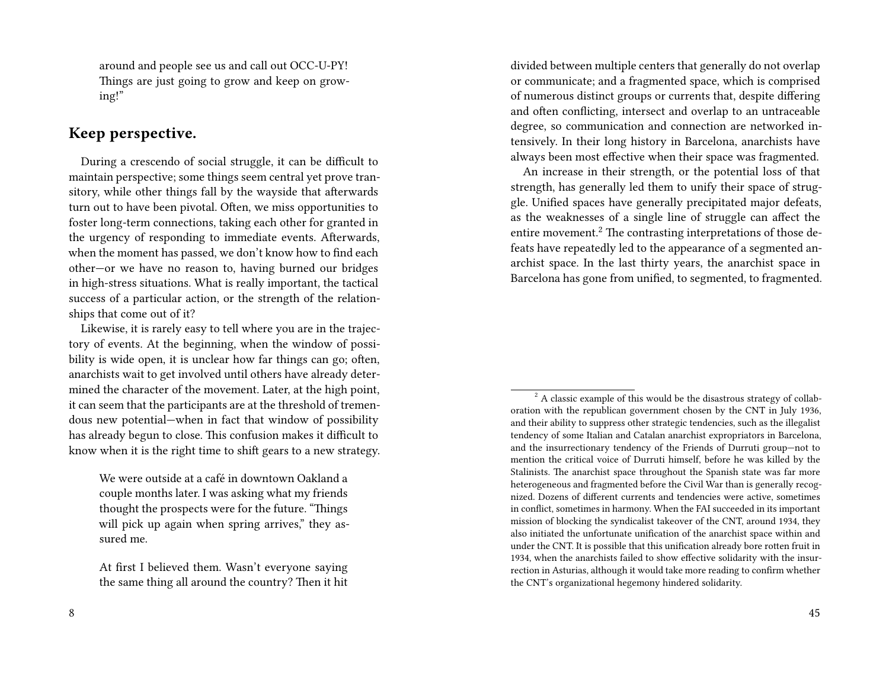around and people see us and call out OCC-U-PY! Things are just going to grow and keep on growing!"

#### **Keep perspective.**

During a crescendo of social struggle, it can be difficult to maintain perspective; some things seem central yet prove transitory, while other things fall by the wayside that afterwards turn out to have been pivotal. Often, we miss opportunities to foster long-term connections, taking each other for granted in the urgency of responding to immediate events. Afterwards, when the moment has passed, we don't know how to find each other—or we have no reason to, having burned our bridges in high-stress situations. What is really important, the tactical success of a particular action, or the strength of the relationships that come out of it?

Likewise, it is rarely easy to tell where you are in the trajectory of events. At the beginning, when the window of possibility is wide open, it is unclear how far things can go; often, anarchists wait to get involved until others have already determined the character of the movement. Later, at the high point, it can seem that the participants are at the threshold of tremendous new potential—when in fact that window of possibility has already begun to close. This confusion makes it difficult to know when it is the right time to shift gears to a new strategy.

We were outside at a café in downtown Oakland a couple months later. I was asking what my friends thought the prospects were for the future. "Things will pick up again when spring arrives," they assured me.

At first I believed them. Wasn't everyone saying the same thing all around the country? Then it hit divided between multiple centers that generally do not overlap or communicate; and a fragmented space, which is comprised of numerous distinct groups or currents that, despite differing and often conflicting, intersect and overlap to an untraceable degree, so communication and connection are networked intensively. In their long history in Barcelona, anarchists have always been most effective when their space was fragmented.

An increase in their strength, or the potential loss of that strength, has generally led them to unify their space of struggle. Unified spaces have generally precipitated major defeats, as the weaknesses of a single line of struggle can affect the entire movement.<sup>2</sup> The contrasting interpretations of those defeats have repeatedly led to the appearance of a segmented anarchist space. In the last thirty years, the anarchist space in Barcelona has gone from unified, to segmented, to fragmented.

 $2^2$  A classic example of this would be the disastrous strategy of collaboration with the republican government chosen by the CNT in July 1936, and their ability to suppress other strategic tendencies, such as the illegalist tendency of some Italian and Catalan anarchist expropriators in Barcelona, and the insurrectionary tendency of the Friends of Durruti group—not to mention the critical voice of Durruti himself, before he was killed by the Stalinists. The anarchist space throughout the Spanish state was far more heterogeneous and fragmented before the Civil War than is generally recognized. Dozens of different currents and tendencies were active, sometimes in conflict, sometimes in harmony. When the FAI succeeded in its important mission of blocking the syndicalist takeover of the CNT, around 1934, they also initiated the unfortunate unification of the anarchist space within and under the CNT. It is possible that this unification already bore rotten fruit in 1934, when the anarchists failed to show effective solidarity with the insurrection in Asturias, although it would take more reading to confirm whether the CNT's organizational hegemony hindered solidarity.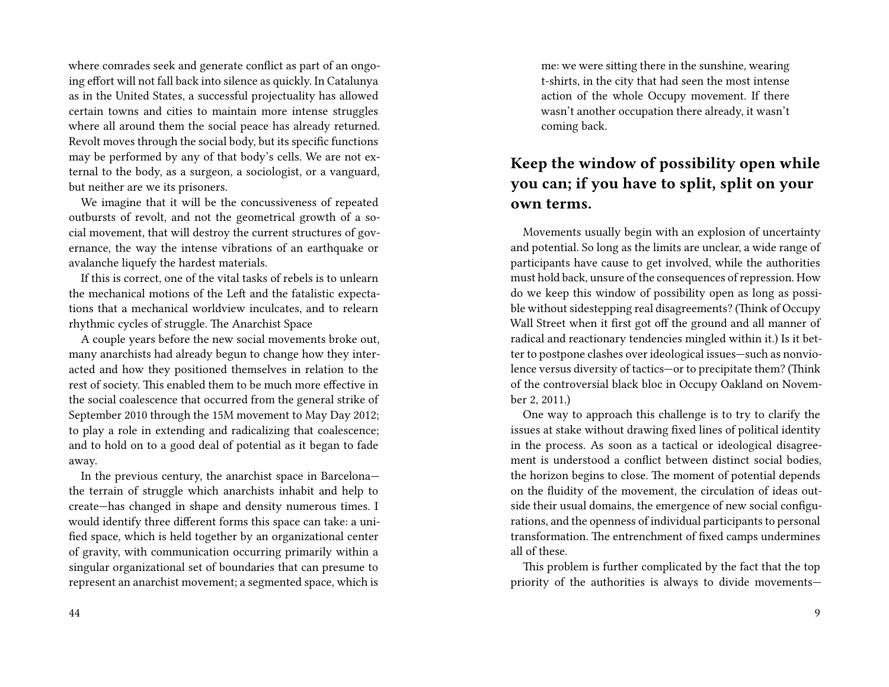where comrades seek and generate conflict as part of an ongoing effort will not fall back into silence as quickly. In Catalunya as in the United States, a successful projectuality has allowed certain towns and cities to maintain more intense struggles where all around them the social peace has already returned. Revolt moves through the social body, but its specific functions may be performed by any of that body's cells. We are not external to the body, as a surgeon, a sociologist, or a vanguard, but neither are we its prisoners.

We imagine that it will be the concussiveness of repeated outbursts of revolt, and not the geometrical growth of a social movement, that will destroy the current structures of governance, the way the intense vibrations of an earthquake or avalanche liquefy the hardest materials.

If this is correct, one of the vital tasks of rebels is to unlearn the mechanical motions of the Left and the fatalistic expectations that a mechanical worldview inculcates, and to relearn rhythmic cycles of struggle. The Anarchist Space

A couple years before the new social movements broke out, many anarchists had already begun to change how they interacted and how they positioned themselves in relation to the rest of society. This enabled them to be much more effective in the social coalescence that occurred from the general strike of September 2010 through the 15M movement to May Day 2012; to play a role in extending and radicalizing that coalescence; and to hold on to a good deal of potential as it began to fade away.

In the previous century, the anarchist space in Barcelona the terrain of struggle which anarchists inhabit and help to create—has changed in shape and density numerous times. I would identify three different forms this space can take: a unified space, which is held together by an organizational center of gravity, with communication occurring primarily within a singular organizational set of boundaries that can presume to represent an anarchist movement; a segmented space, which is

me: we were sitting there in the sunshine, wearing t-shirts, in the city that had seen the most intense action of the whole Occupy movement. If there wasn't another occupation there already, it wasn't coming back.

### **Keep the window of possibility open while you can; if you have to split, split on your own terms.**

Movements usually begin with an explosion of uncertainty and potential. So long as the limits are unclear, a wide range of participants have cause to get involved, while the authorities must hold back, unsure of the consequences of repression. How do we keep this window of possibility open as long as possible without sidestepping real disagreements? (Think of Occupy Wall Street when it first got off the ground and all manner of radical and reactionary tendencies mingled within it.) Is it better to postpone clashes over ideological issues—such as nonviolence versus diversity of tactics—or to precipitate them? (Think of the controversial black bloc in Occupy Oakland on November 2, 2011.)

One way to approach this challenge is to try to clarify the issues at stake without drawing fixed lines of political identity in the process. As soon as a tactical or ideological disagreement is understood a conflict between distinct social bodies, the horizon begins to close. The moment of potential depends on the fluidity of the movement, the circulation of ideas outside their usual domains, the emergence of new social configurations, and the openness of individual participants to personal transformation. The entrenchment of fixed camps undermines all of these.

This problem is further complicated by the fact that the top priority of the authorities is always to divide movements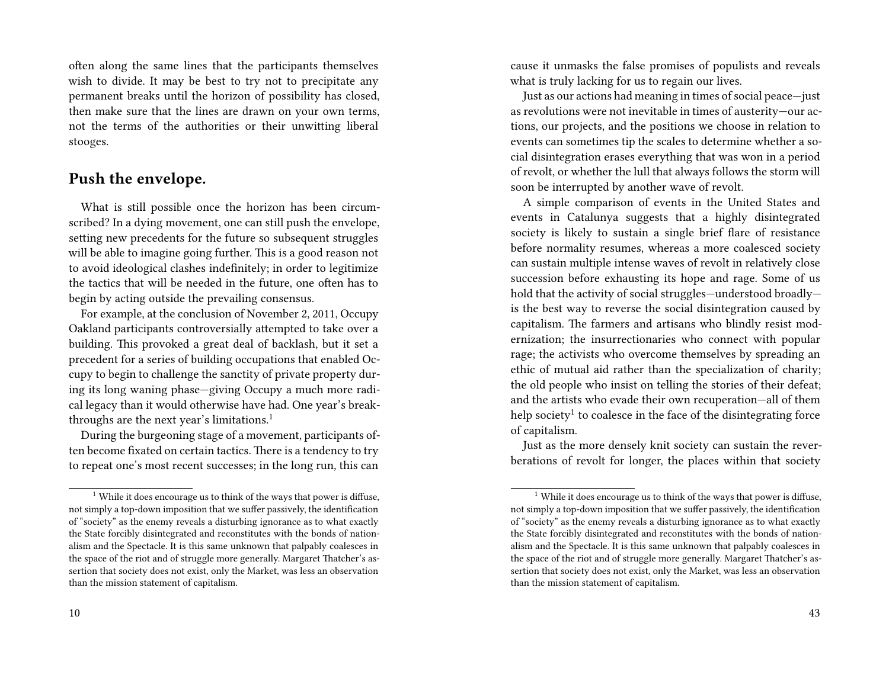often along the same lines that the participants themselves wish to divide. It may be best to try not to precipitate any permanent breaks until the horizon of possibility has closed, then make sure that the lines are drawn on your own terms, not the terms of the authorities or their unwitting liberal stooges.

#### **Push the envelope.**

What is still possible once the horizon has been circumscribed? In a dying movement, one can still push the envelope, setting new precedents for the future so subsequent struggles will be able to imagine going further. This is a good reason not to avoid ideological clashes indefinitely; in order to legitimize the tactics that will be needed in the future, one often has to begin by acting outside the prevailing consensus.

For example, at the conclusion of November 2, 2011, Occupy Oakland participants controversially attempted to take over a building. This provoked a great deal of backlash, but it set a precedent for a series of building occupations that enabled Occupy to begin to challenge the sanctity of private property during its long waning phase—giving Occupy a much more radical legacy than it would otherwise have had. One year's breakthroughs are the next year's limitations.<sup>1</sup>

During the burgeoning stage of a movement, participants often become fixated on certain tactics. There is a tendency to try to repeat one's most recent successes; in the long run, this can

cause it unmasks the false promises of populists and reveals what is truly lacking for us to regain our lives.

Just as our actions had meaning in times of social peace—just as revolutions were not inevitable in times of austerity—our actions, our projects, and the positions we choose in relation to events can sometimes tip the scales to determine whether a social disintegration erases everything that was won in a period of revolt, or whether the lull that always follows the storm will soon be interrupted by another wave of revolt.

A simple comparison of events in the United States and events in Catalunya suggests that a highly disintegrated society is likely to sustain a single brief flare of resistance before normality resumes, whereas a more coalesced society can sustain multiple intense waves of revolt in relatively close succession before exhausting its hope and rage. Some of us hold that the activity of social struggles—understood broadly is the best way to reverse the social disintegration caused by capitalism. The farmers and artisans who blindly resist modernization; the insurrectionaries who connect with popular rage; the activists who overcome themselves by spreading an ethic of mutual aid rather than the specialization of charity; the old people who insist on telling the stories of their defeat; and the artists who evade their own recuperation—all of them help society $^1$  to coalesce in the face of the disintegrating force of capitalism.

Just as the more densely knit society can sustain the reverberations of revolt for longer, the places within that society

<sup>&</sup>lt;sup>1</sup> While it does encourage us to think of the ways that power is diffuse, not simply a top-down imposition that we suffer passively, the identification of "society" as the enemy reveals a disturbing ignorance as to what exactly the State forcibly disintegrated and reconstitutes with the bonds of nationalism and the Spectacle. It is this same unknown that palpably coalesces in the space of the riot and of struggle more generally. Margaret Thatcher's assertion that society does not exist, only the Market, was less an observation than the mission statement of capitalism.

 $1$  While it does encourage us to think of the ways that power is diffuse, not simply a top-down imposition that we suffer passively, the identification of "society" as the enemy reveals a disturbing ignorance as to what exactly the State forcibly disintegrated and reconstitutes with the bonds of nationalism and the Spectacle. It is this same unknown that palpably coalesces in the space of the riot and of struggle more generally. Margaret Thatcher's assertion that society does not exist, only the Market, was less an observation than the mission statement of capitalism.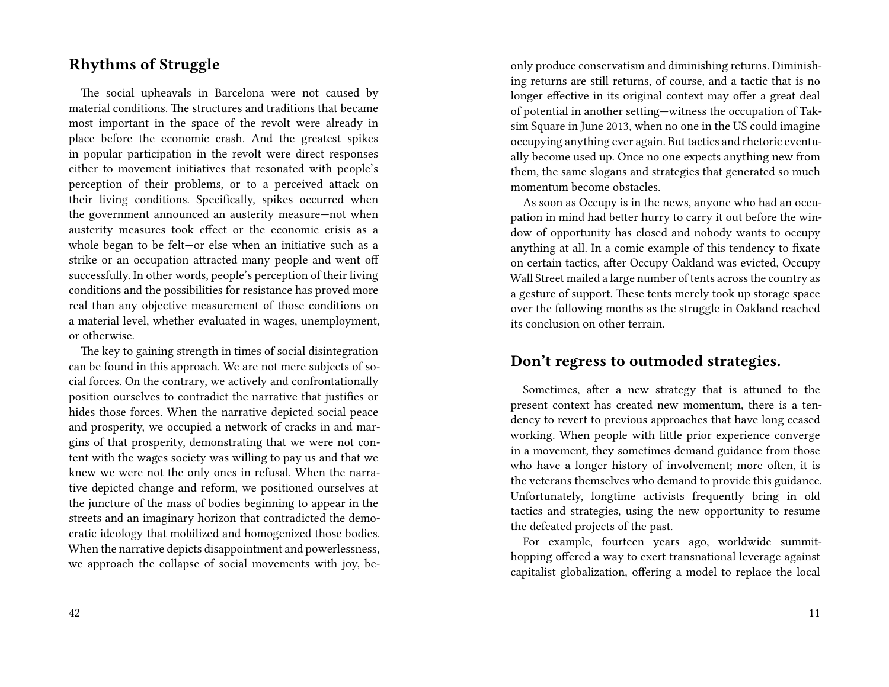#### **Rhythms of Struggle**

The social upheavals in Barcelona were not caused by material conditions. The structures and traditions that became most important in the space of the revolt were already in place before the economic crash. And the greatest spikes in popular participation in the revolt were direct responses either to movement initiatives that resonated with people's perception of their problems, or to a perceived attack on their living conditions. Specifically, spikes occurred when the government announced an austerity measure—not when austerity measures took effect or the economic crisis as a whole began to be felt—or else when an initiative such as a strike or an occupation attracted many people and went off successfully. In other words, people's perception of their living conditions and the possibilities for resistance has proved more real than any objective measurement of those conditions on a material level, whether evaluated in wages, unemployment, or otherwise.

The key to gaining strength in times of social disintegration can be found in this approach. We are not mere subjects of social forces. On the contrary, we actively and confrontationally position ourselves to contradict the narrative that justifies or hides those forces. When the narrative depicted social peace and prosperity, we occupied a network of cracks in and margins of that prosperity, demonstrating that we were not content with the wages society was willing to pay us and that we knew we were not the only ones in refusal. When the narrative depicted change and reform, we positioned ourselves at the juncture of the mass of bodies beginning to appear in the streets and an imaginary horizon that contradicted the democratic ideology that mobilized and homogenized those bodies. When the narrative depicts disappointment and powerlessness, we approach the collapse of social movements with joy, beonly produce conservatism and diminishing returns. Diminishing returns are still returns, of course, and a tactic that is no longer effective in its original context may offer a great deal of potential in another setting—witness the occupation of Taksim Square in June 2013, when no one in the US could imagine occupying anything ever again. But tactics and rhetoric eventually become used up. Once no one expects anything new from them, the same slogans and strategies that generated so much momentum become obstacles.

As soon as Occupy is in the news, anyone who had an occupation in mind had better hurry to carry it out before the window of opportunity has closed and nobody wants to occupy anything at all. In a comic example of this tendency to fixate on certain tactics, after Occupy Oakland was evicted, Occupy Wall Street mailed a large number of tents across the country as a gesture of support. These tents merely took up storage space over the following months as the struggle in Oakland reached its conclusion on other terrain.

#### **Don't regress to outmoded strategies.**

Sometimes, after a new strategy that is attuned to the present context has created new momentum, there is a tendency to revert to previous approaches that have long ceased working. When people with little prior experience converge in a movement, they sometimes demand guidance from those who have a longer history of involvement; more often, it is the veterans themselves who demand to provide this guidance. Unfortunately, longtime activists frequently bring in old tactics and strategies, using the new opportunity to resume the defeated projects of the past.

For example, fourteen years ago, worldwide summithopping offered a way to exert transnational leverage against capitalist globalization, offering a model to replace the local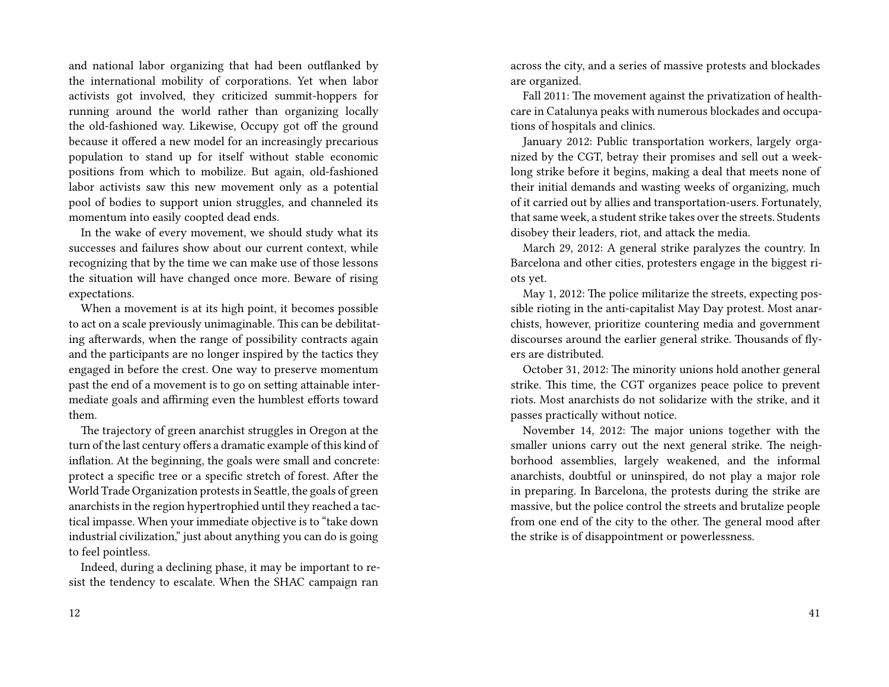and national labor organizing that had been outflanked by the international mobility of corporations. Yet when labor activists got involved, they criticized summit-hoppers for running around the world rather than organizing locally the old-fashioned way. Likewise, Occupy got off the ground because it offered a new model for an increasingly precarious population to stand up for itself without stable economic positions from which to mobilize. But again, old-fashioned labor activists saw this new movement only as a potential pool of bodies to support union struggles, and channeled its momentum into easily coopted dead ends.

In the wake of every movement, we should study what its successes and failures show about our current context, while recognizing that by the time we can make use of those lessons the situation will have changed once more. Beware of rising expectations.

When a movement is at its high point, it becomes possible to act on a scale previously unimaginable. This can be debilitating afterwards, when the range of possibility contracts again and the participants are no longer inspired by the tactics they engaged in before the crest. One way to preserve momentum past the end of a movement is to go on setting attainable intermediate goals and affirming even the humblest efforts toward them.

The trajectory of green anarchist struggles in Oregon at the turn of the last century offers a dramatic example of this kind of inflation. At the beginning, the goals were small and concrete: protect a specific tree or a specific stretch of forest. After the World Trade Organization protests in Seattle, the goals of green anarchists in the region hypertrophied until they reached a tactical impasse. When your immediate objective is to "take down industrial civilization," just about anything you can do is going to feel pointless.

Indeed, during a declining phase, it may be important to resist the tendency to escalate. When the SHAC campaign ran

across the city, and a series of massive protests and blockades are organized.

Fall 2011: The movement against the privatization of healthcare in Catalunya peaks with numerous blockades and occupations of hospitals and clinics.

January 2012: Public transportation workers, largely organized by the CGT, betray their promises and sell out a weeklong strike before it begins, making a deal that meets none of their initial demands and wasting weeks of organizing, much of it carried out by allies and transportation-users. Fortunately, that same week, a student strike takes over the streets. Students disobey their leaders, riot, and attack the media.

March 29, 2012: A general strike paralyzes the country. In Barcelona and other cities, protesters engage in the biggest riots yet.

May 1, 2012: The police militarize the streets, expecting possible rioting in the anti-capitalist May Day protest. Most anarchists, however, prioritize countering media and government discourses around the earlier general strike. Thousands of flyers are distributed.

October 31, 2012: The minority unions hold another general strike. This time, the CGT organizes peace police to prevent riots. Most anarchists do not solidarize with the strike, and it passes practically without notice.

November 14, 2012: The major unions together with the smaller unions carry out the next general strike. The neighborhood assemblies, largely weakened, and the informal anarchists, doubtful or uninspired, do not play a major role in preparing. In Barcelona, the protests during the strike are massive, but the police control the streets and brutalize people from one end of the city to the other. The general mood after the strike is of disappointment or powerlessness.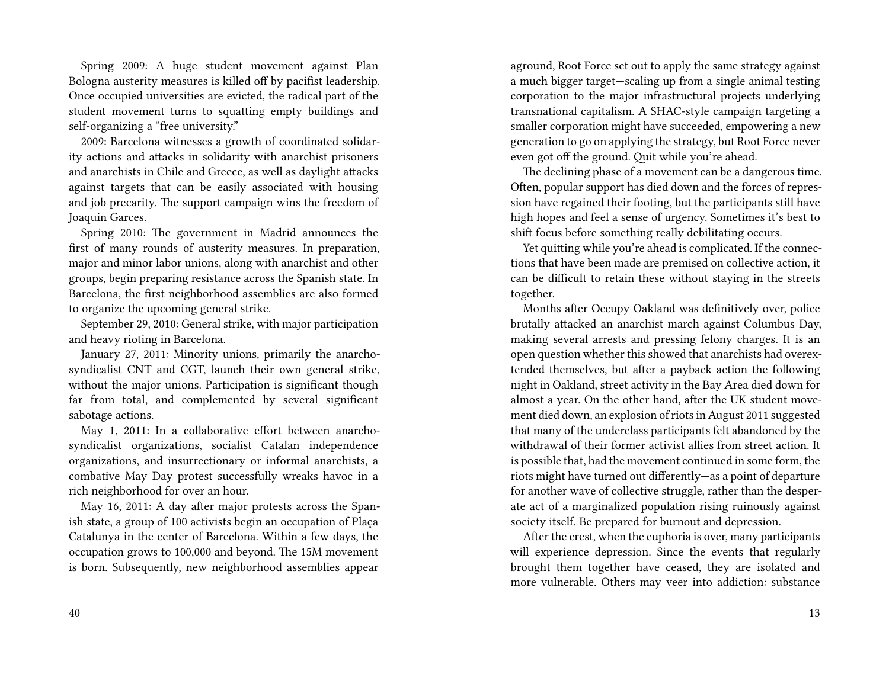Spring 2009: A huge student movement against Plan Bologna austerity measures is killed off by pacifist leadership. Once occupied universities are evicted, the radical part of the student movement turns to squatting empty buildings and self-organizing a "free university."

2009: Barcelona witnesses a growth of coordinated solidarity actions and attacks in solidarity with anarchist prisoners and anarchists in Chile and Greece, as well as daylight attacks against targets that can be easily associated with housing and job precarity. The support campaign wins the freedom of Joaquin Garces.

Spring 2010: The government in Madrid announces the first of many rounds of austerity measures. In preparation, major and minor labor unions, along with anarchist and other groups, begin preparing resistance across the Spanish state. In Barcelona, the first neighborhood assemblies are also formed to organize the upcoming general strike.

September 29, 2010: General strike, with major participation and heavy rioting in Barcelona.

January 27, 2011: Minority unions, primarily the anarchosyndicalist CNT and CGT, launch their own general strike, without the major unions. Participation is significant though far from total, and complemented by several significant sabotage actions.

May 1, 2011: In a collaborative effort between anarchosyndicalist organizations, socialist Catalan independence organizations, and insurrectionary or informal anarchists, a combative May Day protest successfully wreaks havoc in a rich neighborhood for over an hour.

May 16, 2011: A day after major protests across the Spanish state, a group of 100 activists begin an occupation of Plaça Catalunya in the center of Barcelona. Within a few days, the occupation grows to 100,000 and beyond. The 15M movement is born. Subsequently, new neighborhood assemblies appear

aground, Root Force set out to apply the same strategy against a much bigger target—scaling up from a single animal testing corporation to the major infrastructural projects underlying transnational capitalism. A SHAC-style campaign targeting a smaller corporation might have succeeded, empowering a new generation to go on applying the strategy, but Root Force never even got off the ground. Quit while you're ahead.

The declining phase of a movement can be a dangerous time. Often, popular support has died down and the forces of repression have regained their footing, but the participants still have high hopes and feel a sense of urgency. Sometimes it's best to shift focus before something really debilitating occurs.

Yet quitting while you're ahead is complicated. If the connections that have been made are premised on collective action, it can be difficult to retain these without staying in the streets together.

Months after Occupy Oakland was definitively over, police brutally attacked an anarchist march against Columbus Day, making several arrests and pressing felony charges. It is an open question whether this showed that anarchists had overextended themselves, but after a payback action the following night in Oakland, street activity in the Bay Area died down for almost a year. On the other hand, after the UK student movement died down, an explosion of riots in August 2011 suggested that many of the underclass participants felt abandoned by the withdrawal of their former activist allies from street action. It is possible that, had the movement continued in some form, the riots might have turned out differently—as a point of departure for another wave of collective struggle, rather than the desperate act of a marginalized population rising ruinously against society itself. Be prepared for burnout and depression.

After the crest, when the euphoria is over, many participants will experience depression. Since the events that regularly brought them together have ceased, they are isolated and more vulnerable. Others may veer into addiction: substance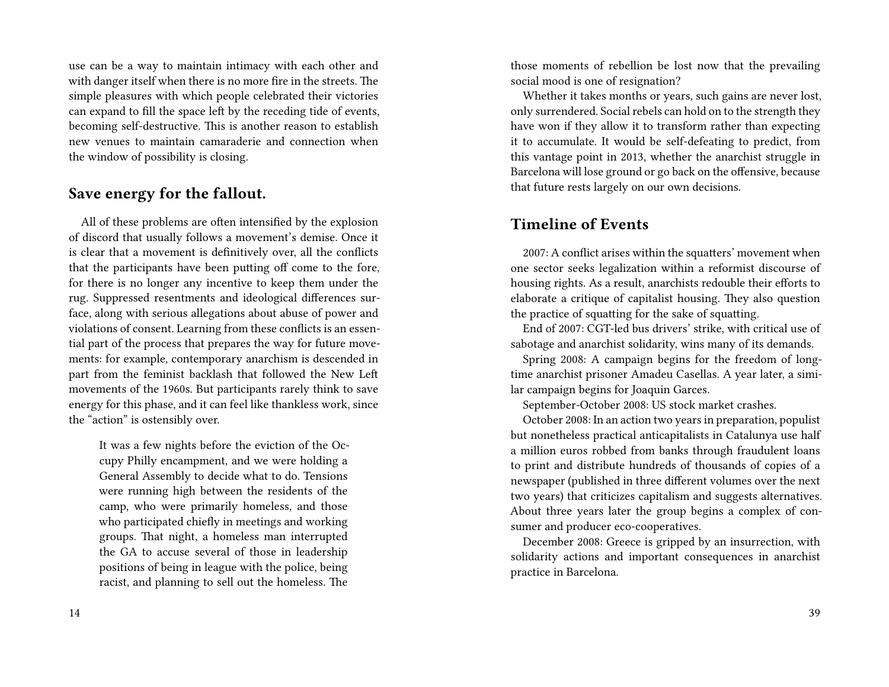use can be a way to maintain intimacy with each other and with danger itself when there is no more fire in the streets. The simple pleasures with which people celebrated their victories can expand to fill the space left by the receding tide of events, becoming self-destructive. This is another reason to establish new venues to maintain camaraderie and connection when the window of possibility is closing.

#### **Save energy for the fallout.**

All of these problems are often intensified by the explosion of discord that usually follows a movement's demise. Once it is clear that a movement is definitively over, all the conflicts that the participants have been putting off come to the fore, for there is no longer any incentive to keep them under the rug. Suppressed resentments and ideological differences surface, along with serious allegations about abuse of power and violations of consent. Learning from these conflicts is an essential part of the process that prepares the way for future movements: for example, contemporary anarchism is descended in part from the feminist backlash that followed the New Left movements of the 1960s. But participants rarely think to save energy for this phase, and it can feel like thankless work, since the "action" is ostensibly over.

It was a few nights before the eviction of the Occupy Philly encampment, and we were holding a General Assembly to decide what to do. Tensions were running high between the residents of the camp, who were primarily homeless, and those who participated chiefly in meetings and working groups. That night, a homeless man interrupted the GA to accuse several of those in leadership positions of being in league with the police, being racist, and planning to sell out the homeless. The

those moments of rebellion be lost now that the prevailing social mood is one of resignation?

Whether it takes months or years, such gains are never lost, only surrendered. Social rebels can hold on to the strength they have won if they allow it to transform rather than expecting it to accumulate. It would be self-defeating to predict, from this vantage point in 2013, whether the anarchist struggle in Barcelona will lose ground or go back on the offensive, because that future rests largely on our own decisions.

#### **Timeline of Events**

2007: A conflict arises within the squatters' movement when one sector seeks legalization within a reformist discourse of housing rights. As a result, anarchists redouble their efforts to elaborate a critique of capitalist housing. They also question the practice of squatting for the sake of squatting.

End of 2007: CGT-led bus drivers' strike, with critical use of sabotage and anarchist solidarity, wins many of its demands.

Spring 2008: A campaign begins for the freedom of longtime anarchist prisoner Amadeu Casellas. A year later, a similar campaign begins for Joaquin Garces.

September-October 2008: US stock market crashes.

October 2008: In an action two years in preparation, populist but nonetheless practical anticapitalists in Catalunya use half a million euros robbed from banks through fraudulent loans to print and distribute hundreds of thousands of copies of a newspaper (published in three different volumes over the next two years) that criticizes capitalism and suggests alternatives. About three years later the group begins a complex of consumer and producer eco-cooperatives.

December 2008: Greece is gripped by an insurrection, with solidarity actions and important consequences in anarchist practice in Barcelona.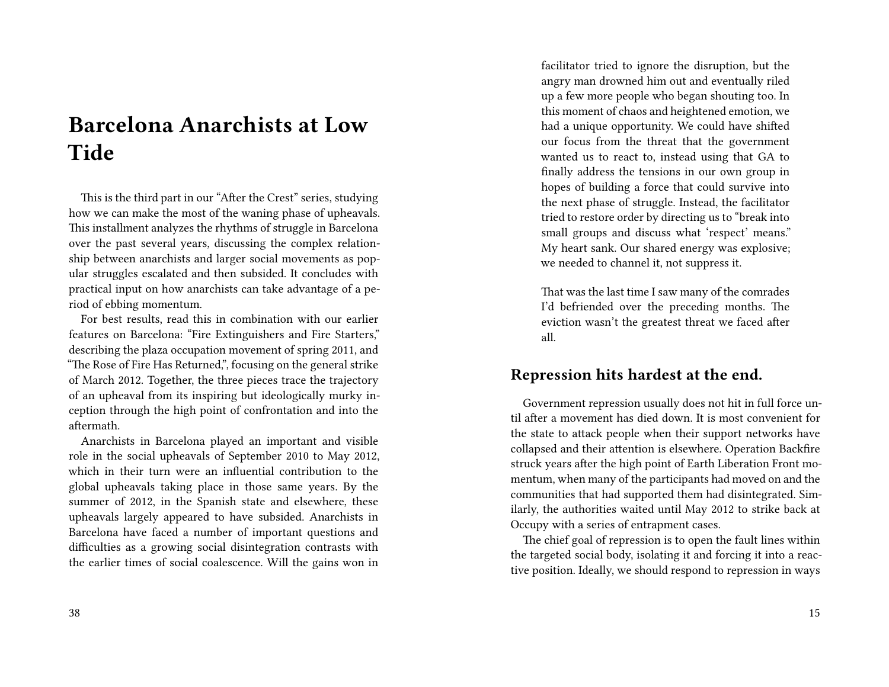# **Barcelona Anarchists at Low Tide**

This is the third part in our "After the Crest" series, studying how we can make the most of the waning phase of upheavals. This installment analyzes the rhythms of struggle in Barcelona over the past several years, discussing the complex relationship between anarchists and larger social movements as popular struggles escalated and then subsided. It concludes with practical input on how anarchists can take advantage of a period of ebbing momentum.

For best results, read this in combination with our earlier features on Barcelona: "Fire Extinguishers and Fire Starters," describing the plaza occupation movement of spring 2011, and "The Rose of Fire Has Returned,", focusing on the general strike of March 2012. Together, the three pieces trace the trajectory of an upheaval from its inspiring but ideologically murky inception through the high point of confrontation and into the aftermath.

Anarchists in Barcelona played an important and visible role in the social upheavals of September 2010 to May 2012, which in their turn were an influential contribution to the global upheavals taking place in those same years. By the summer of 2012, in the Spanish state and elsewhere, these upheavals largely appeared to have subsided. Anarchists in Barcelona have faced a number of important questions and difficulties as a growing social disintegration contrasts with the earlier times of social coalescence. Will the gains won in

facilitator tried to ignore the disruption, but the angry man drowned him out and eventually riled up a few more people who began shouting too. In this moment of chaos and heightened emotion, we had a unique opportunity. We could have shifted our focus from the threat that the government wanted us to react to, instead using that GA to finally address the tensions in our own group in hopes of building a force that could survive into the next phase of struggle. Instead, the facilitator tried to restore order by directing us to "break into small groups and discuss what 'respect' means." My heart sank. Our shared energy was explosive; we needed to channel it, not suppress it.

That was the last time I saw many of the comrades I'd befriended over the preceding months. The eviction wasn't the greatest threat we faced after all.

#### **Repression hits hardest at the end.**

Government repression usually does not hit in full force until after a movement has died down. It is most convenient for the state to attack people when their support networks have collapsed and their attention is elsewhere. Operation Backfire struck years after the high point of Earth Liberation Front momentum, when many of the participants had moved on and the communities that had supported them had disintegrated. Similarly, the authorities waited until May 2012 to strike back at Occupy with a series of entrapment cases.

The chief goal of repression is to open the fault lines within the targeted social body, isolating it and forcing it into a reactive position. Ideally, we should respond to repression in ways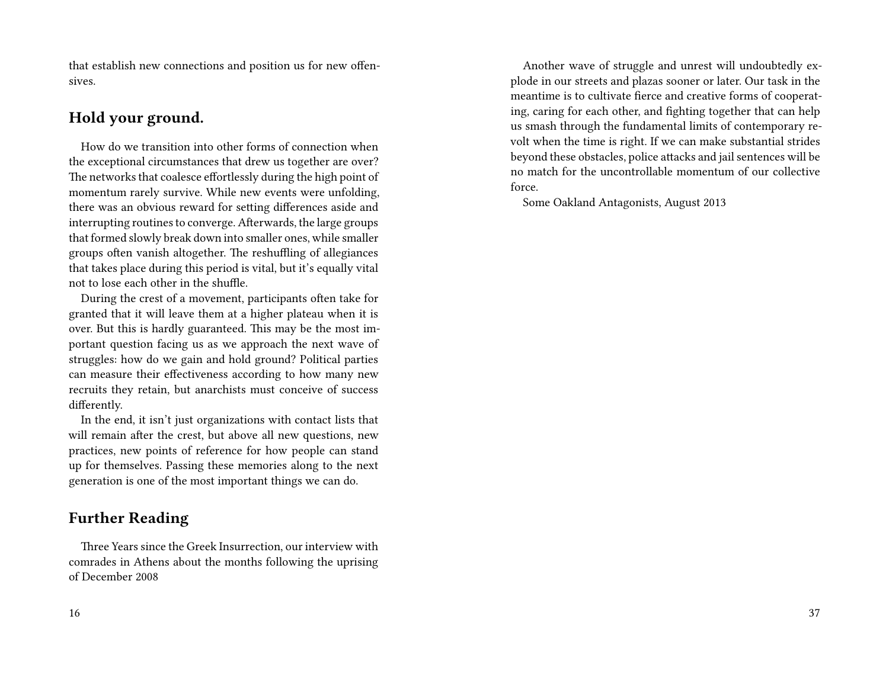that establish new connections and position us for new offensives.

#### **Hold your ground.**

How do we transition into other forms of connection when the exceptional circumstances that drew us together are over? The networks that coalesce effortlessly during the high point of momentum rarely survive. While new events were unfolding, there was an obvious reward for setting differences aside and interrupting routines to converge. Afterwards, the large groups that formed slowly break down into smaller ones, while smaller groups often vanish altogether. The reshuffling of allegiances that takes place during this period is vital, but it's equally vital not to lose each other in the shuffle.

During the crest of a movement, participants often take for granted that it will leave them at a higher plateau when it is over. But this is hardly guaranteed. This may be the most important question facing us as we approach the next wave of struggles: how do we gain and hold ground? Political parties can measure their effectiveness according to how many new recruits they retain, but anarchists must conceive of success differently.

In the end, it isn't just organizations with contact lists that will remain after the crest, but above all new questions, new practices, new points of reference for how people can stand up for themselves. Passing these memories along to the next generation is one of the most important things we can do.

### **Further Reading**

Three Years since the Greek Insurrection, our interview with comrades in Athens about the months following the uprising of December 2008

Another wave of struggle and unrest will undoubtedly explode in our streets and plazas sooner or later. Our task in the meantime is to cultivate fierce and creative forms of cooperating, caring for each other, and fighting together that can help us smash through the fundamental limits of contemporary revolt when the time is right. If we can make substantial strides beyond these obstacles, police attacks and jail sentences will be no match for the uncontrollable momentum of our collective force.

Some Oakland Antagonists, August 2013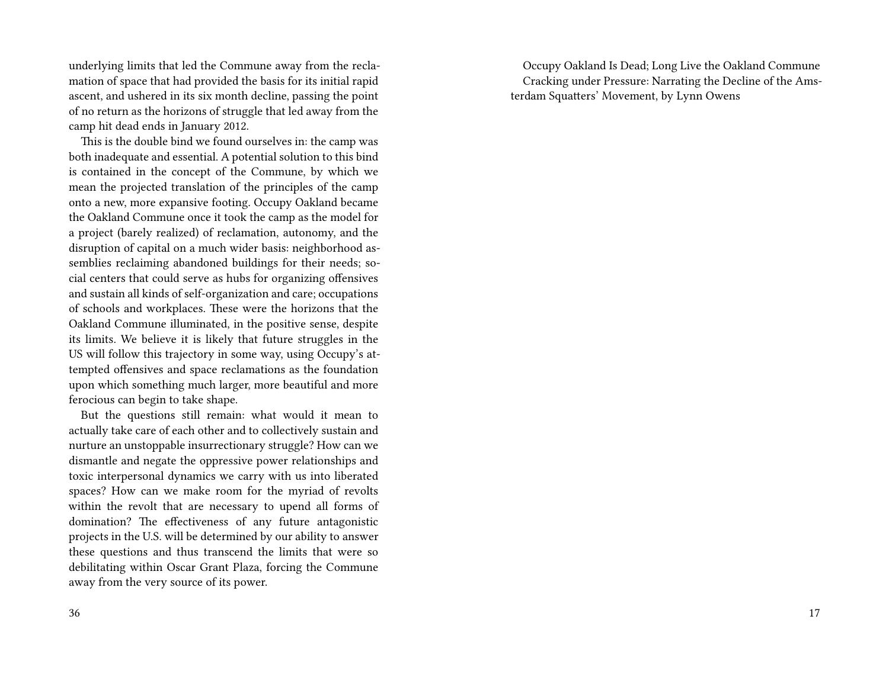underlying limits that led the Commune away from the reclamation of space that had provided the basis for its initial rapid ascent, and ushered in its six month decline, passing the point of no return as the horizons of struggle that led away from the camp hit dead ends in January 2012.

This is the double bind we found ourselves in: the camp was both inadequate and essential. A potential solution to this bind is contained in the concept of the Commune, by which we mean the projected translation of the principles of the camp onto a new, more expansive footing. Occupy Oakland became the Oakland Commune once it took the camp as the model for a project (barely realized) of reclamation, autonomy, and the disruption of capital on a much wider basis: neighborhood assemblies reclaiming abandoned buildings for their needs; social centers that could serve as hubs for organizing offensives and sustain all kinds of self-organization and care; occupations of schools and workplaces. These were the horizons that the Oakland Commune illuminated, in the positive sense, despite its limits. We believe it is likely that future struggles in the US will follow this trajectory in some way, using Occupy's attempted offensives and space reclamations as the foundation upon which something much larger, more beautiful and more ferocious can begin to take shape.

But the questions still remain: what would it mean to actually take care of each other and to collectively sustain and nurture an unstoppable insurrectionary struggle? How can we dismantle and negate the oppressive power relationships and toxic interpersonal dynamics we carry with us into liberated spaces? How can we make room for the myriad of revolts within the revolt that are necessary to upend all forms of domination? The effectiveness of any future antagonistic projects in the U.S. will be determined by our ability to answer these questions and thus transcend the limits that were so debilitating within Oscar Grant Plaza, forcing the Commune away from the very source of its power.

Occupy Oakland Is Dead; Long Live the Oakland Commune Cracking under Pressure: Narrating the Decline of the Amsterdam Squatters' Movement, by Lynn Owens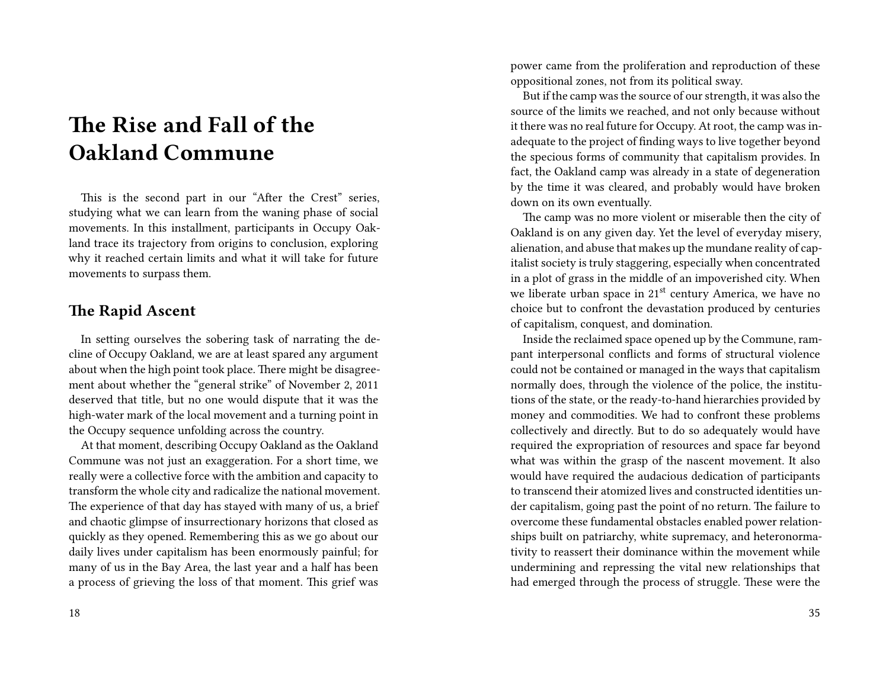# **The Rise and Fall of the Oakland Commune**

This is the second part in our "After the Crest" series, studying what we can learn from the waning phase of social movements. In this installment, participants in Occupy Oakland trace its trajectory from origins to conclusion, exploring why it reached certain limits and what it will take for future movements to surpass them.

#### **The Rapid Ascent**

In setting ourselves the sobering task of narrating the decline of Occupy Oakland, we are at least spared any argument about when the high point took place. There might be disagreement about whether the "general strike" of November 2, 2011 deserved that title, but no one would dispute that it was the high-water mark of the local movement and a turning point in the Occupy sequence unfolding across the country.

At that moment, describing Occupy Oakland as the Oakland Commune was not just an exaggeration. For a short time, we really were a collective force with the ambition and capacity to transform the whole city and radicalize the national movement. The experience of that day has stayed with many of us, a brief and chaotic glimpse of insurrectionary horizons that closed as quickly as they opened. Remembering this as we go about our daily lives under capitalism has been enormously painful; for many of us in the Bay Area, the last year and a half has been a process of grieving the loss of that moment. This grief was

power came from the proliferation and reproduction of these oppositional zones, not from its political sway.

But if the camp was the source of our strength, it was also the source of the limits we reached, and not only because without it there was no real future for Occupy. At root, the camp was inadequate to the project of finding ways to live together beyond the specious forms of community that capitalism provides. In fact, the Oakland camp was already in a state of degeneration by the time it was cleared, and probably would have broken down on its own eventually.

The camp was no more violent or miserable then the city of Oakland is on any given day. Yet the level of everyday misery, alienation, and abuse that makes up the mundane reality of capitalist society is truly staggering, especially when concentrated in a plot of grass in the middle of an impoverished city. When we liberate urban space in 21<sup>st</sup> century America, we have no choice but to confront the devastation produced by centuries of capitalism, conquest, and domination.

Inside the reclaimed space opened up by the Commune, rampant interpersonal conflicts and forms of structural violence could not be contained or managed in the ways that capitalism normally does, through the violence of the police, the institutions of the state, or the ready-to-hand hierarchies provided by money and commodities. We had to confront these problems collectively and directly. But to do so adequately would have required the expropriation of resources and space far beyond what was within the grasp of the nascent movement. It also would have required the audacious dedication of participants to transcend their atomized lives and constructed identities under capitalism, going past the point of no return. The failure to overcome these fundamental obstacles enabled power relationships built on patriarchy, white supremacy, and heteronormativity to reassert their dominance within the movement while undermining and repressing the vital new relationships that had emerged through the process of struggle. These were the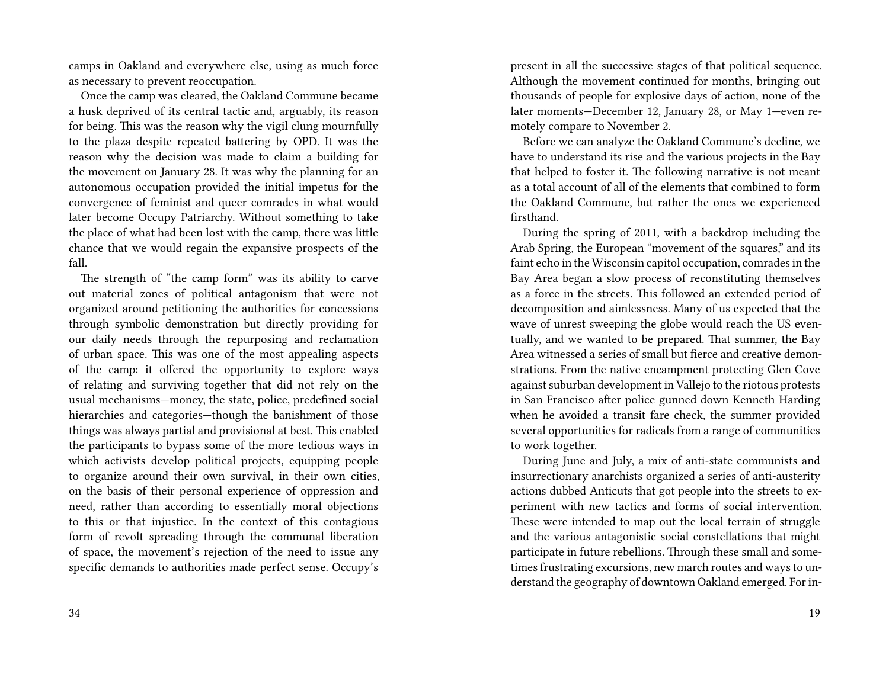camps in Oakland and everywhere else, using as much force as necessary to prevent reoccupation.

Once the camp was cleared, the Oakland Commune became a husk deprived of its central tactic and, arguably, its reason for being. This was the reason why the vigil clung mournfully to the plaza despite repeated battering by OPD. It was the reason why the decision was made to claim a building for the movement on January 28. It was why the planning for an autonomous occupation provided the initial impetus for the convergence of feminist and queer comrades in what would later become Occupy Patriarchy. Without something to take the place of what had been lost with the camp, there was little chance that we would regain the expansive prospects of the fall.

The strength of "the camp form" was its ability to carve out material zones of political antagonism that were not organized around petitioning the authorities for concessions through symbolic demonstration but directly providing for our daily needs through the repurposing and reclamation of urban space. This was one of the most appealing aspects of the camp: it offered the opportunity to explore ways of relating and surviving together that did not rely on the usual mechanisms—money, the state, police, predefined social hierarchies and categories—though the banishment of those things was always partial and provisional at best. This enabled the participants to bypass some of the more tedious ways in which activists develop political projects, equipping people to organize around their own survival, in their own cities, on the basis of their personal experience of oppression and need, rather than according to essentially moral objections to this or that injustice. In the context of this contagious form of revolt spreading through the communal liberation of space, the movement's rejection of the need to issue any specific demands to authorities made perfect sense. Occupy's

present in all the successive stages of that political sequence. Although the movement continued for months, bringing out thousands of people for explosive days of action, none of the later moments—December 12, January 28, or May 1—even remotely compare to November 2.

Before we can analyze the Oakland Commune's decline, we have to understand its rise and the various projects in the Bay that helped to foster it. The following narrative is not meant as a total account of all of the elements that combined to form the Oakland Commune, but rather the ones we experienced firsthand.

During the spring of 2011, with a backdrop including the Arab Spring, the European "movement of the squares," and its faint echo in the Wisconsin capitol occupation, comrades in the Bay Area began a slow process of reconstituting themselves as a force in the streets. This followed an extended period of decomposition and aimlessness. Many of us expected that the wave of unrest sweeping the globe would reach the US eventually, and we wanted to be prepared. That summer, the Bay Area witnessed a series of small but fierce and creative demonstrations. From the native encampment protecting Glen Cove against suburban development in Vallejo to the riotous protests in San Francisco after police gunned down Kenneth Harding when he avoided a transit fare check, the summer provided several opportunities for radicals from a range of communities to work together.

During June and July, a mix of anti-state communists and insurrectionary anarchists organized a series of anti-austerity actions dubbed Anticuts that got people into the streets to experiment with new tactics and forms of social intervention. These were intended to map out the local terrain of struggle and the various antagonistic social constellations that might participate in future rebellions. Through these small and sometimes frustrating excursions, new march routes and ways to understand the geography of downtown Oakland emerged. For in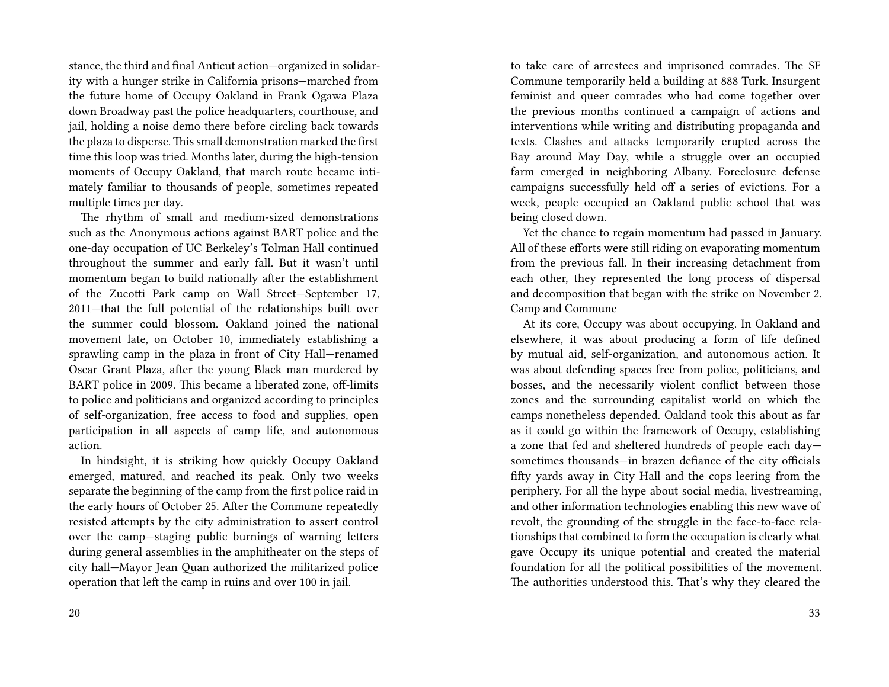stance, the third and final Anticut action—organized in solidarity with a hunger strike in California prisons—marched from the future home of Occupy Oakland in Frank Ogawa Plaza down Broadway past the police headquarters, courthouse, and jail, holding a noise demo there before circling back towards the plaza to disperse. This small demonstration marked the first time this loop was tried. Months later, during the high-tension moments of Occupy Oakland, that march route became intimately familiar to thousands of people, sometimes repeated multiple times per day.

The rhythm of small and medium-sized demonstrations such as the Anonymous actions against BART police and the one-day occupation of UC Berkeley's Tolman Hall continued throughout the summer and early fall. But it wasn't until momentum began to build nationally after the establishment of the Zucotti Park camp on Wall Street—September 17, 2011—that the full potential of the relationships built over the summer could blossom. Oakland joined the national movement late, on October 10, immediately establishing a sprawling camp in the plaza in front of City Hall—renamed Oscar Grant Plaza, after the young Black man murdered by BART police in 2009. This became a liberated zone, off-limits to police and politicians and organized according to principles of self-organization, free access to food and supplies, open participation in all aspects of camp life, and autonomous action.

In hindsight, it is striking how quickly Occupy Oakland emerged, matured, and reached its peak. Only two weeks separate the beginning of the camp from the first police raid in the early hours of October 25. After the Commune repeatedly resisted attempts by the city administration to assert control over the camp—staging public burnings of warning letters during general assemblies in the amphitheater on the steps of city hall—Mayor Jean Quan authorized the militarized police operation that left the camp in ruins and over 100 in jail.

to take care of arrestees and imprisoned comrades. The SF Commune temporarily held a building at 888 Turk. Insurgent feminist and queer comrades who had come together over the previous months continued a campaign of actions and interventions while writing and distributing propaganda and texts. Clashes and attacks temporarily erupted across the Bay around May Day, while a struggle over an occupied farm emerged in neighboring Albany. Foreclosure defense campaigns successfully held off a series of evictions. For a week, people occupied an Oakland public school that was being closed down.

Yet the chance to regain momentum had passed in January. All of these efforts were still riding on evaporating momentum from the previous fall. In their increasing detachment from each other, they represented the long process of dispersal and decomposition that began with the strike on November 2. Camp and Commune

At its core, Occupy was about occupying. In Oakland and elsewhere, it was about producing a form of life defined by mutual aid, self-organization, and autonomous action. It was about defending spaces free from police, politicians, and bosses, and the necessarily violent conflict between those zones and the surrounding capitalist world on which the camps nonetheless depended. Oakland took this about as far as it could go within the framework of Occupy, establishing a zone that fed and sheltered hundreds of people each day sometimes thousands—in brazen defiance of the city officials fifty yards away in City Hall and the cops leering from the periphery. For all the hype about social media, livestreaming, and other information technologies enabling this new wave of revolt, the grounding of the struggle in the face-to-face relationships that combined to form the occupation is clearly what gave Occupy its unique potential and created the material foundation for all the political possibilities of the movement. The authorities understood this. That's why they cleared the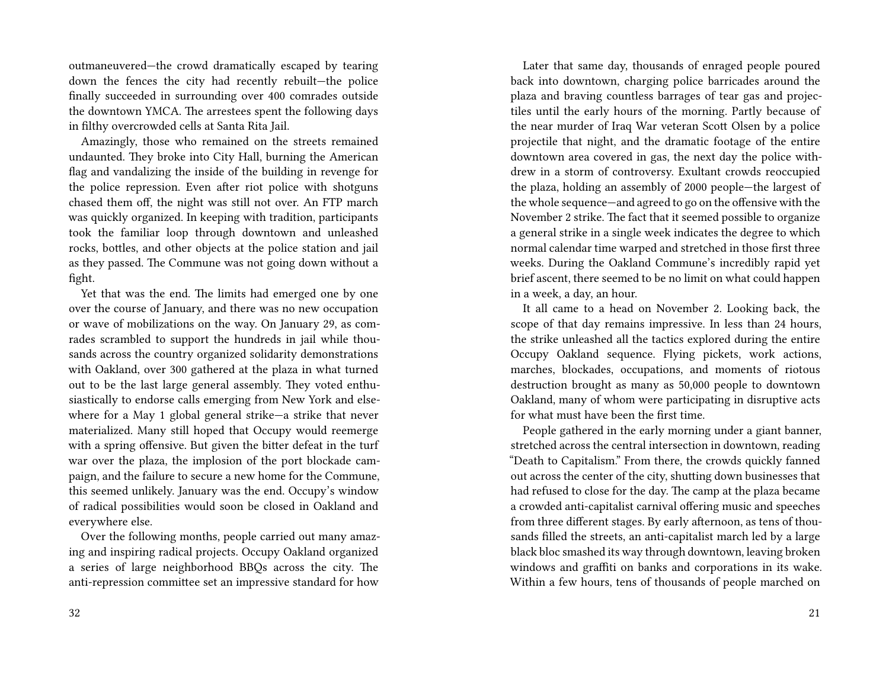outmaneuvered—the crowd dramatically escaped by tearing down the fences the city had recently rebuilt—the police finally succeeded in surrounding over 400 comrades outside the downtown YMCA. The arrestees spent the following days in filthy overcrowded cells at Santa Rita Jail.

Amazingly, those who remained on the streets remained undaunted. They broke into City Hall, burning the American flag and vandalizing the inside of the building in revenge for the police repression. Even after riot police with shotguns chased them off, the night was still not over. An FTP march was quickly organized. In keeping with tradition, participants took the familiar loop through downtown and unleashed rocks, bottles, and other objects at the police station and jail as they passed. The Commune was not going down without a fight.

Yet that was the end. The limits had emerged one by one over the course of January, and there was no new occupation or wave of mobilizations on the way. On January 29, as comrades scrambled to support the hundreds in jail while thousands across the country organized solidarity demonstrations with Oakland, over 300 gathered at the plaza in what turned out to be the last large general assembly. They voted enthusiastically to endorse calls emerging from New York and elsewhere for a May 1 global general strike—a strike that never materialized. Many still hoped that Occupy would reemerge with a spring offensive. But given the bitter defeat in the turf war over the plaza, the implosion of the port blockade campaign, and the failure to secure a new home for the Commune, this seemed unlikely. January was the end. Occupy's window of radical possibilities would soon be closed in Oakland and everywhere else.

Over the following months, people carried out many amazing and inspiring radical projects. Occupy Oakland organized a series of large neighborhood BBQs across the city. The anti-repression committee set an impressive standard for how

Later that same day, thousands of enraged people poured back into downtown, charging police barricades around the plaza and braving countless barrages of tear gas and projectiles until the early hours of the morning. Partly because of the near murder of Iraq War veteran Scott Olsen by a police projectile that night, and the dramatic footage of the entire downtown area covered in gas, the next day the police withdrew in a storm of controversy. Exultant crowds reoccupied the plaza, holding an assembly of 2000 people—the largest of the whole sequence—and agreed to go on the offensive with the November 2 strike. The fact that it seemed possible to organize a general strike in a single week indicates the degree to which normal calendar time warped and stretched in those first three weeks. During the Oakland Commune's incredibly rapid yet brief ascent, there seemed to be no limit on what could happen in a week, a day, an hour.

It all came to a head on November 2. Looking back, the scope of that day remains impressive. In less than 24 hours, the strike unleashed all the tactics explored during the entire Occupy Oakland sequence. Flying pickets, work actions, marches, blockades, occupations, and moments of riotous destruction brought as many as 50,000 people to downtown Oakland, many of whom were participating in disruptive acts for what must have been the first time.

People gathered in the early morning under a giant banner, stretched across the central intersection in downtown, reading "Death to Capitalism." From there, the crowds quickly fanned out across the center of the city, shutting down businesses that had refused to close for the day. The camp at the plaza became a crowded anti-capitalist carnival offering music and speeches from three different stages. By early afternoon, as tens of thousands filled the streets, an anti-capitalist march led by a large black bloc smashed its way through downtown, leaving broken windows and graffiti on banks and corporations in its wake. Within a few hours, tens of thousands of people marched on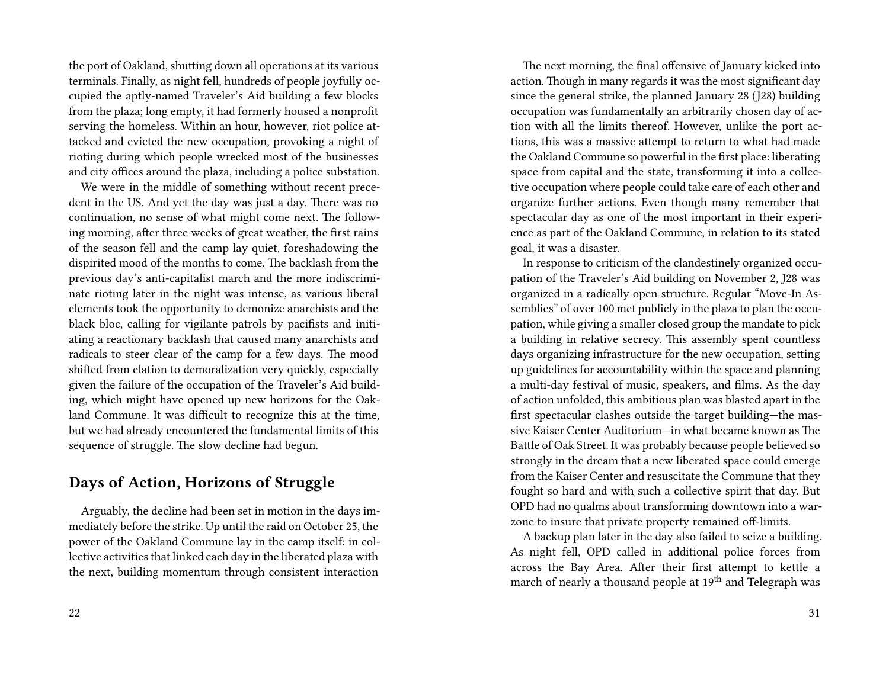the port of Oakland, shutting down all operations at its various terminals. Finally, as night fell, hundreds of people joyfully occupied the aptly-named Traveler's Aid building a few blocks from the plaza; long empty, it had formerly housed a nonprofit serving the homeless. Within an hour, however, riot police attacked and evicted the new occupation, provoking a night of rioting during which people wrecked most of the businesses and city offices around the plaza, including a police substation.

We were in the middle of something without recent precedent in the US. And yet the day was just a day. There was no continuation, no sense of what might come next. The following morning, after three weeks of great weather, the first rains of the season fell and the camp lay quiet, foreshadowing the dispirited mood of the months to come. The backlash from the previous day's anti-capitalist march and the more indiscriminate rioting later in the night was intense, as various liberal elements took the opportunity to demonize anarchists and the black bloc, calling for vigilante patrols by pacifists and initiating a reactionary backlash that caused many anarchists and radicals to steer clear of the camp for a few days. The mood shifted from elation to demoralization very quickly, especially given the failure of the occupation of the Traveler's Aid building, which might have opened up new horizons for the Oakland Commune. It was difficult to recognize this at the time, but we had already encountered the fundamental limits of this sequence of struggle. The slow decline had begun.

#### **Days of Action, Horizons of Struggle**

Arguably, the decline had been set in motion in the days immediately before the strike. Up until the raid on October 25, the power of the Oakland Commune lay in the camp itself: in collective activities that linked each day in the liberated plaza with the next, building momentum through consistent interaction

The next morning, the final offensive of January kicked into action. Though in many regards it was the most significant day since the general strike, the planned January 28 (J28) building occupation was fundamentally an arbitrarily chosen day of action with all the limits thereof. However, unlike the port actions, this was a massive attempt to return to what had made the Oakland Commune so powerful in the first place: liberating space from capital and the state, transforming it into a collective occupation where people could take care of each other and organize further actions. Even though many remember that spectacular day as one of the most important in their experience as part of the Oakland Commune, in relation to its stated goal, it was a disaster.

In response to criticism of the clandestinely organized occupation of the Traveler's Aid building on November 2, J28 was organized in a radically open structure. Regular "Move-In Assemblies" of over 100 met publicly in the plaza to plan the occupation, while giving a smaller closed group the mandate to pick a building in relative secrecy. This assembly spent countless days organizing infrastructure for the new occupation, setting up guidelines for accountability within the space and planning a multi-day festival of music, speakers, and films. As the day of action unfolded, this ambitious plan was blasted apart in the first spectacular clashes outside the target building—the massive Kaiser Center Auditorium—in what became known as The Battle of Oak Street. It was probably because people believed so strongly in the dream that a new liberated space could emerge from the Kaiser Center and resuscitate the Commune that they fought so hard and with such a collective spirit that day. But OPD had no qualms about transforming downtown into a warzone to insure that private property remained off-limits.

A backup plan later in the day also failed to seize a building. As night fell, OPD called in additional police forces from across the Bay Area. After their first attempt to kettle a march of nearly a thousand people at 19<sup>th</sup> and Telegraph was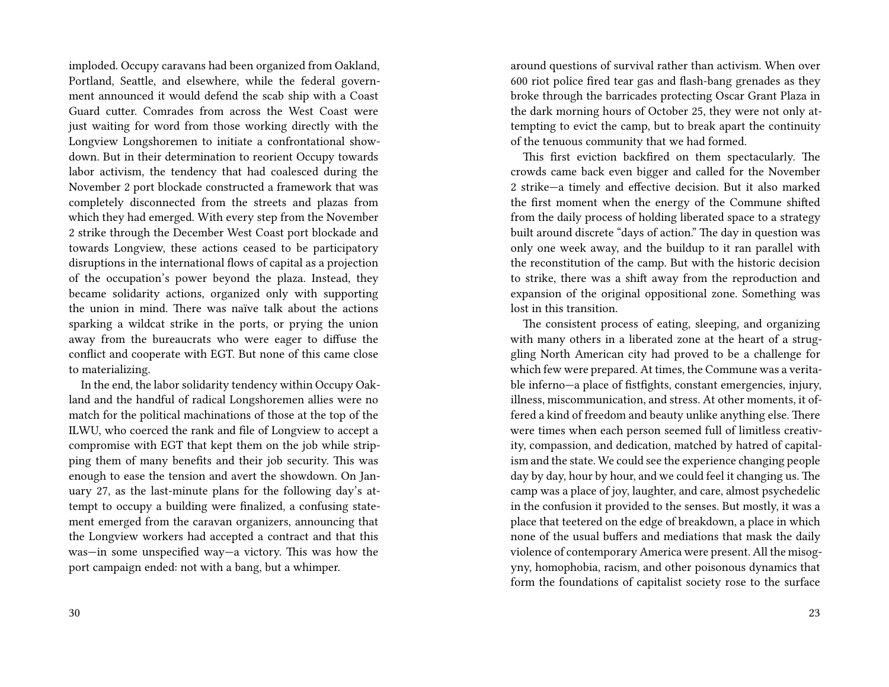imploded. Occupy caravans had been organized from Oakland, Portland, Seattle, and elsewhere, while the federal government announced it would defend the scab ship with a Coast Guard cutter. Comrades from across the West Coast were just waiting for word from those working directly with the Longview Longshoremen to initiate a confrontational showdown. But in their determination to reorient Occupy towards labor activism, the tendency that had coalesced during the November 2 port blockade constructed a framework that was completely disconnected from the streets and plazas from which they had emerged. With every step from the November 2 strike through the December West Coast port blockade and towards Longview, these actions ceased to be participatory disruptions in the international flows of capital as a projection of the occupation's power beyond the plaza. Instead, they became solidarity actions, organized only with supporting the union in mind. There was naïve talk about the actions sparking a wildcat strike in the ports, or prying the union away from the bureaucrats who were eager to diffuse the conflict and cooperate with EGT. But none of this came close to materializing.

In the end, the labor solidarity tendency within Occupy Oakland and the handful of radical Longshoremen allies were no match for the political machinations of those at the top of the ILWU, who coerced the rank and file of Longview to accept a compromise with EGT that kept them on the job while stripping them of many benefits and their job security. This was enough to ease the tension and avert the showdown. On January 27, as the last-minute plans for the following day's attempt to occupy a building were finalized, a confusing statement emerged from the caravan organizers, announcing that the Longview workers had accepted a contract and that this was—in some unspecified way—a victory. This was how the port campaign ended: not with a bang, but a whimper.

around questions of survival rather than activism. When over 600 riot police fired tear gas and flash-bang grenades as they broke through the barricades protecting Oscar Grant Plaza in the dark morning hours of October 25, they were not only attempting to evict the camp, but to break apart the continuity of the tenuous community that we had formed.

This first eviction backfired on them spectacularly. The crowds came back even bigger and called for the November 2 strike—a timely and effective decision. But it also marked the first moment when the energy of the Commune shifted from the daily process of holding liberated space to a strategy built around discrete "days of action." The day in question was only one week away, and the buildup to it ran parallel with the reconstitution of the camp. But with the historic decision to strike, there was a shift away from the reproduction and expansion of the original oppositional zone. Something was lost in this transition.

The consistent process of eating, sleeping, and organizing with many others in a liberated zone at the heart of a struggling North American city had proved to be a challenge for which few were prepared. At times, the Commune was a veritable inferno—a place of fistfights, constant emergencies, injury, illness, miscommunication, and stress. At other moments, it offered a kind of freedom and beauty unlike anything else. There were times when each person seemed full of limitless creativity, compassion, and dedication, matched by hatred of capitalism and the state. We could see the experience changing people day by day, hour by hour, and we could feel it changing us. The camp was a place of joy, laughter, and care, almost psychedelic in the confusion it provided to the senses. But mostly, it was a place that teetered on the edge of breakdown, a place in which none of the usual buffers and mediations that mask the daily violence of contemporary America were present. All the misogyny, homophobia, racism, and other poisonous dynamics that form the foundations of capitalist society rose to the surface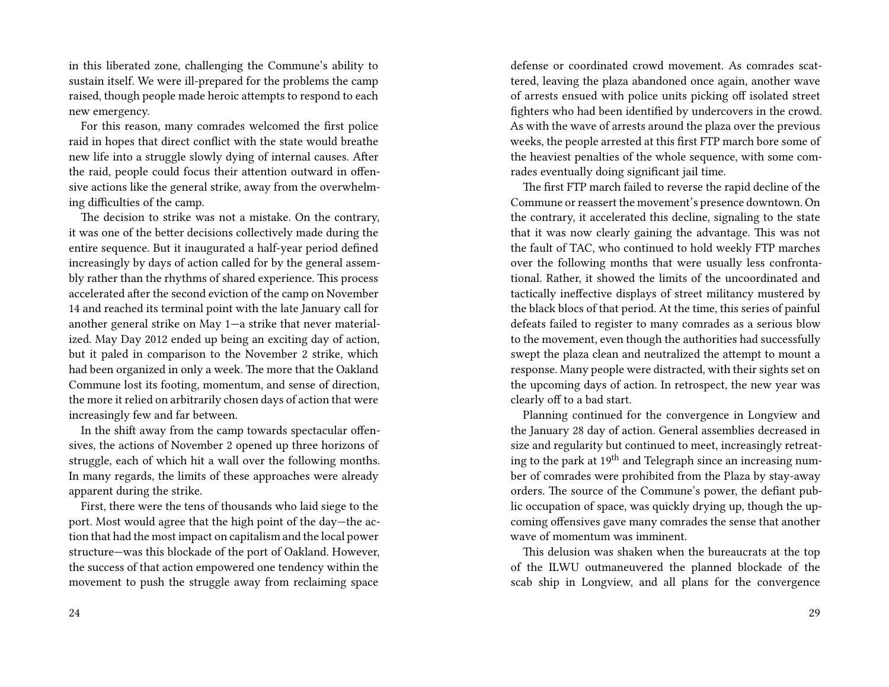in this liberated zone, challenging the Commune's ability to sustain itself. We were ill-prepared for the problems the camp raised, though people made heroic attempts to respond to each new emergency.

For this reason, many comrades welcomed the first police raid in hopes that direct conflict with the state would breathe new life into a struggle slowly dying of internal causes. After the raid, people could focus their attention outward in offensive actions like the general strike, away from the overwhelming difficulties of the camp.

The decision to strike was not a mistake. On the contrary, it was one of the better decisions collectively made during the entire sequence. But it inaugurated a half-year period defined increasingly by days of action called for by the general assembly rather than the rhythms of shared experience. This process accelerated after the second eviction of the camp on November 14 and reached its terminal point with the late January call for another general strike on May 1—a strike that never materialized. May Day 2012 ended up being an exciting day of action, but it paled in comparison to the November 2 strike, which had been organized in only a week. The more that the Oakland Commune lost its footing, momentum, and sense of direction, the more it relied on arbitrarily chosen days of action that were increasingly few and far between.

In the shift away from the camp towards spectacular offensives, the actions of November 2 opened up three horizons of struggle, each of which hit a wall over the following months. In many regards, the limits of these approaches were already apparent during the strike.

First, there were the tens of thousands who laid siege to the port. Most would agree that the high point of the day—the action that had the most impact on capitalism and the local power structure—was this blockade of the port of Oakland. However, the success of that action empowered one tendency within the movement to push the struggle away from reclaiming space

defense or coordinated crowd movement. As comrades scattered, leaving the plaza abandoned once again, another wave of arrests ensued with police units picking off isolated street fighters who had been identified by undercovers in the crowd. As with the wave of arrests around the plaza over the previous weeks, the people arrested at this first FTP march bore some of the heaviest penalties of the whole sequence, with some comrades eventually doing significant jail time.

The first FTP march failed to reverse the rapid decline of the Commune or reassert the movement's presence downtown. On the contrary, it accelerated this decline, signaling to the state that it was now clearly gaining the advantage. This was not the fault of TAC, who continued to hold weekly FTP marches over the following months that were usually less confrontational. Rather, it showed the limits of the uncoordinated and tactically ineffective displays of street militancy mustered by the black blocs of that period. At the time, this series of painful defeats failed to register to many comrades as a serious blow to the movement, even though the authorities had successfully swept the plaza clean and neutralized the attempt to mount a response. Many people were distracted, with their sights set on the upcoming days of action. In retrospect, the new year was clearly off to a bad start.

Planning continued for the convergence in Longview and the January 28 day of action. General assemblies decreased in size and regularity but continued to meet, increasingly retreating to the park at  $19<sup>th</sup>$  and Telegraph since an increasing number of comrades were prohibited from the Plaza by stay-away orders. The source of the Commune's power, the defiant public occupation of space, was quickly drying up, though the upcoming offensives gave many comrades the sense that another wave of momentum was imminent.

This delusion was shaken when the bureaucrats at the top of the ILWU outmaneuvered the planned blockade of the scab ship in Longview, and all plans for the convergence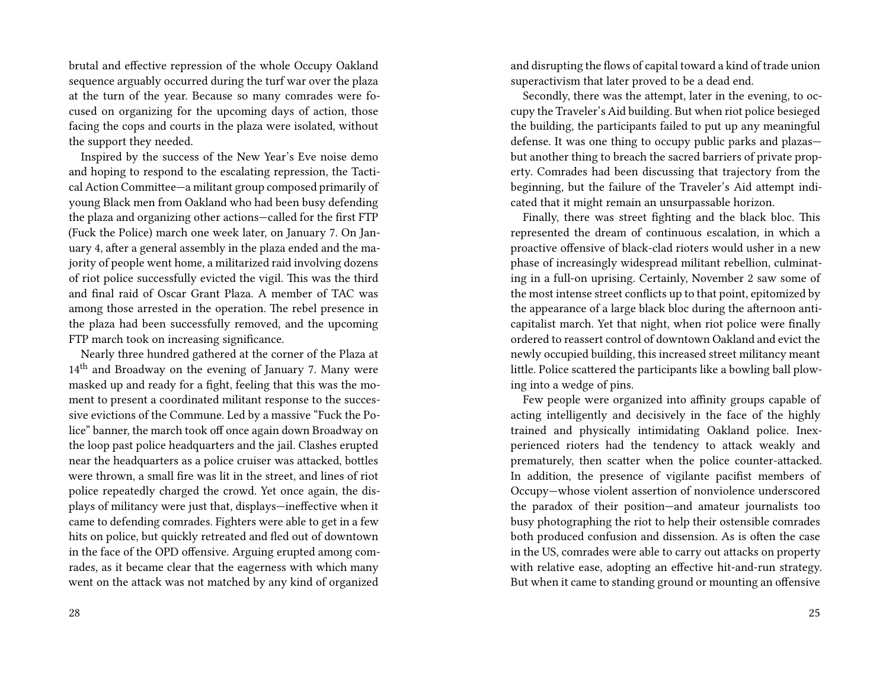brutal and effective repression of the whole Occupy Oakland sequence arguably occurred during the turf war over the plaza at the turn of the year. Because so many comrades were focused on organizing for the upcoming days of action, those facing the cops and courts in the plaza were isolated, without the support they needed.

Inspired by the success of the New Year's Eve noise demo and hoping to respond to the escalating repression, the Tactical Action Committee—a militant group composed primarily of young Black men from Oakland who had been busy defending the plaza and organizing other actions—called for the first FTP (Fuck the Police) march one week later, on January 7. On January 4, after a general assembly in the plaza ended and the majority of people went home, a militarized raid involving dozens of riot police successfully evicted the vigil. This was the third and final raid of Oscar Grant Plaza. A member of TAC was among those arrested in the operation. The rebel presence in the plaza had been successfully removed, and the upcoming FTP march took on increasing significance.

Nearly three hundred gathered at the corner of the Plaza at 14<sup>th</sup> and Broadway on the evening of January 7. Many were masked up and ready for a fight, feeling that this was the moment to present a coordinated militant response to the successive evictions of the Commune. Led by a massive "Fuck the Police" banner, the march took off once again down Broadway on the loop past police headquarters and the jail. Clashes erupted near the headquarters as a police cruiser was attacked, bottles were thrown, a small fire was lit in the street, and lines of riot police repeatedly charged the crowd. Yet once again, the displays of militancy were just that, displays—ineffective when it came to defending comrades. Fighters were able to get in a few hits on police, but quickly retreated and fled out of downtown in the face of the OPD offensive. Arguing erupted among comrades, as it became clear that the eagerness with which many went on the attack was not matched by any kind of organized

and disrupting the flows of capital toward a kind of trade union superactivism that later proved to be a dead end.

Secondly, there was the attempt, later in the evening, to occupy the Traveler's Aid building. But when riot police besieged the building, the participants failed to put up any meaningful defense. It was one thing to occupy public parks and plazas but another thing to breach the sacred barriers of private property. Comrades had been discussing that trajectory from the beginning, but the failure of the Traveler's Aid attempt indicated that it might remain an unsurpassable horizon.

Finally, there was street fighting and the black bloc. This represented the dream of continuous escalation, in which a proactive offensive of black-clad rioters would usher in a new phase of increasingly widespread militant rebellion, culminating in a full-on uprising. Certainly, November 2 saw some of the most intense street conflicts up to that point, epitomized by the appearance of a large black bloc during the afternoon anticapitalist march. Yet that night, when riot police were finally ordered to reassert control of downtown Oakland and evict the newly occupied building, this increased street militancy meant little. Police scattered the participants like a bowling ball plowing into a wedge of pins.

Few people were organized into affinity groups capable of acting intelligently and decisively in the face of the highly trained and physically intimidating Oakland police. Inexperienced rioters had the tendency to attack weakly and prematurely, then scatter when the police counter-attacked. In addition, the presence of vigilante pacifist members of Occupy—whose violent assertion of nonviolence underscored the paradox of their position—and amateur journalists too busy photographing the riot to help their ostensible comrades both produced confusion and dissension. As is often the case in the US, comrades were able to carry out attacks on property with relative ease, adopting an effective hit-and-run strategy. But when it came to standing ground or mounting an offensive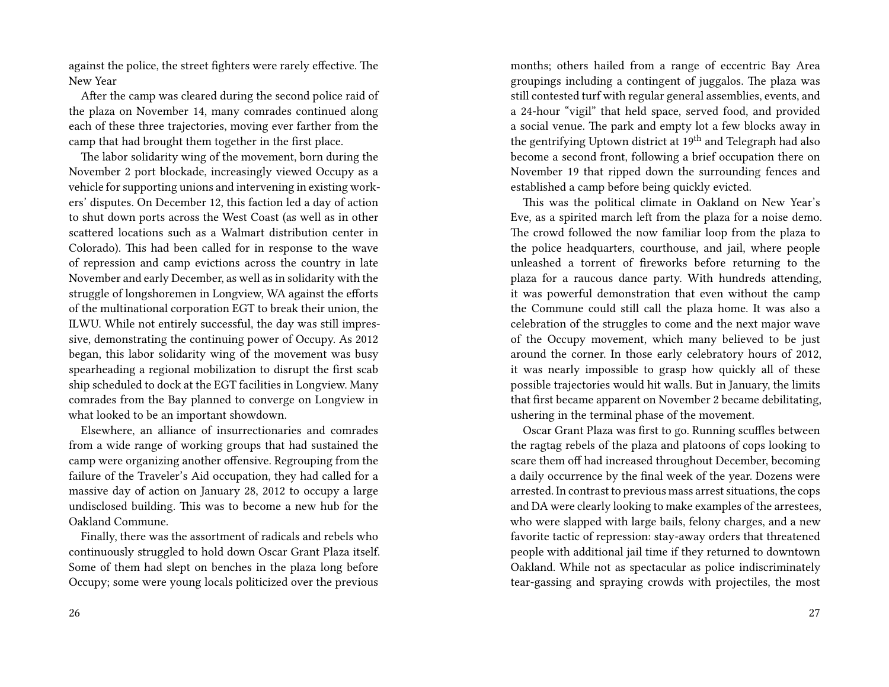against the police, the street fighters were rarely effective. The New Year

After the camp was cleared during the second police raid of the plaza on November 14, many comrades continued along each of these three trajectories, moving ever farther from the camp that had brought them together in the first place.

The labor solidarity wing of the movement, born during the November 2 port blockade, increasingly viewed Occupy as a vehicle for supporting unions and intervening in existing workers' disputes. On December 12, this faction led a day of action to shut down ports across the West Coast (as well as in other scattered locations such as a Walmart distribution center in Colorado). This had been called for in response to the wave of repression and camp evictions across the country in late November and early December, as well as in solidarity with the struggle of longshoremen in Longview, WA against the efforts of the multinational corporation EGT to break their union, the ILWU. While not entirely successful, the day was still impressive, demonstrating the continuing power of Occupy. As 2012 began, this labor solidarity wing of the movement was busy spearheading a regional mobilization to disrupt the first scab ship scheduled to dock at the EGT facilities in Longview. Many comrades from the Bay planned to converge on Longview in what looked to be an important showdown.

Elsewhere, an alliance of insurrectionaries and comrades from a wide range of working groups that had sustained the camp were organizing another offensive. Regrouping from the failure of the Traveler's Aid occupation, they had called for a massive day of action on January 28, 2012 to occupy a large undisclosed building. This was to become a new hub for the Oakland Commune.

Finally, there was the assortment of radicals and rebels who continuously struggled to hold down Oscar Grant Plaza itself. Some of them had slept on benches in the plaza long before Occupy; some were young locals politicized over the previous

months; others hailed from a range of eccentric Bay Area groupings including a contingent of juggalos. The plaza was still contested turf with regular general assemblies, events, and a 24-hour "vigil" that held space, served food, and provided a social venue. The park and empty lot a few blocks away in the gentrifying Uptown district at  $19<sup>th</sup>$  and Telegraph had also become a second front, following a brief occupation there on November 19 that ripped down the surrounding fences and established a camp before being quickly evicted.

This was the political climate in Oakland on New Year's Eve, as a spirited march left from the plaza for a noise demo. The crowd followed the now familiar loop from the plaza to the police headquarters, courthouse, and jail, where people unleashed a torrent of fireworks before returning to the plaza for a raucous dance party. With hundreds attending, it was powerful demonstration that even without the camp the Commune could still call the plaza home. It was also a celebration of the struggles to come and the next major wave of the Occupy movement, which many believed to be just around the corner. In those early celebratory hours of 2012, it was nearly impossible to grasp how quickly all of these possible trajectories would hit walls. But in January, the limits that first became apparent on November 2 became debilitating, ushering in the terminal phase of the movement.

Oscar Grant Plaza was first to go. Running scuffles between the ragtag rebels of the plaza and platoons of cops looking to scare them off had increased throughout December, becoming a daily occurrence by the final week of the year. Dozens were arrested. In contrast to previous mass arrest situations, the cops and DA were clearly looking to make examples of the arrestees, who were slapped with large bails, felony charges, and a new favorite tactic of repression: stay-away orders that threatened people with additional jail time if they returned to downtown Oakland. While not as spectacular as police indiscriminately tear-gassing and spraying crowds with projectiles, the most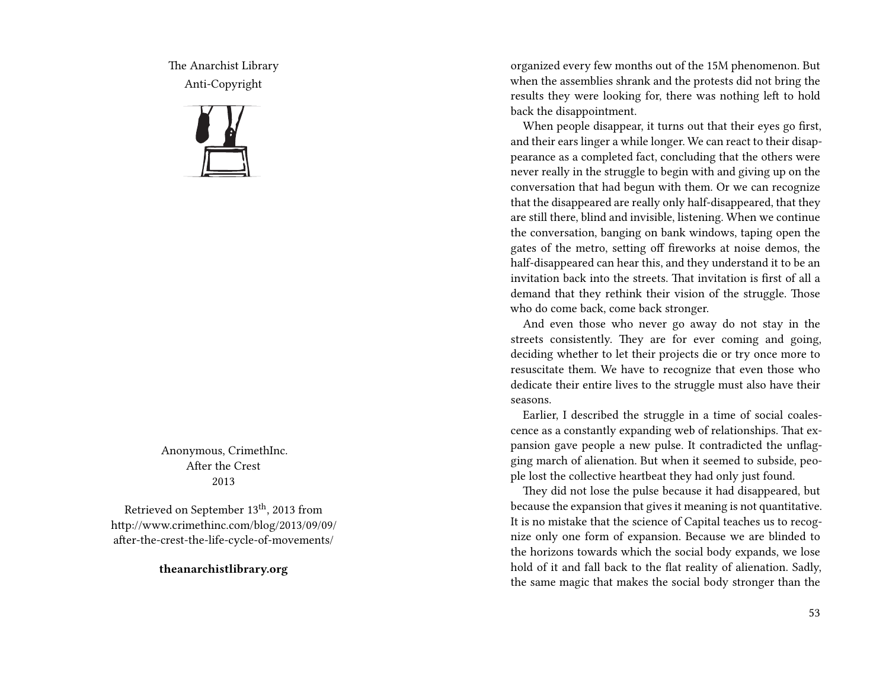The Anarchist Library Anti-Copyright



Anonymous, CrimethInc. After the Crest 2013

Retrieved on September 13<sup>th</sup>, 2013 from http://www.crimethinc.com/blog/2013/09/09/ after-the-crest-the-life-cycle-of-movements/

**theanarchistlibrary.org**

organized every few months out of the 15M phenomenon. But when the assemblies shrank and the protests did not bring the results they were looking for, there was nothing left to hold back the disappointment.

When people disappear, it turns out that their eyes go first, and their ears linger a while longer. We can react to their disappearance as a completed fact, concluding that the others were never really in the struggle to begin with and giving up on the conversation that had begun with them. Or we can recognize that the disappeared are really only half-disappeared, that they are still there, blind and invisible, listening. When we continue the conversation, banging on bank windows, taping open the gates of the metro, setting off fireworks at noise demos, the half-disappeared can hear this, and they understand it to be an invitation back into the streets. That invitation is first of all a demand that they rethink their vision of the struggle. Those who do come back, come back stronger.

And even those who never go away do not stay in the streets consistently. They are for ever coming and going, deciding whether to let their projects die or try once more to resuscitate them. We have to recognize that even those who dedicate their entire lives to the struggle must also have their seasons.

Earlier, I described the struggle in a time of social coalescence as a constantly expanding web of relationships. That expansion gave people a new pulse. It contradicted the unflagging march of alienation. But when it seemed to subside, people lost the collective heartbeat they had only just found.

They did not lose the pulse because it had disappeared, but because the expansion that gives it meaning is not quantitative. It is no mistake that the science of Capital teaches us to recognize only one form of expansion. Because we are blinded to the horizons towards which the social body expands, we lose hold of it and fall back to the flat reality of alienation. Sadly, the same magic that makes the social body stronger than the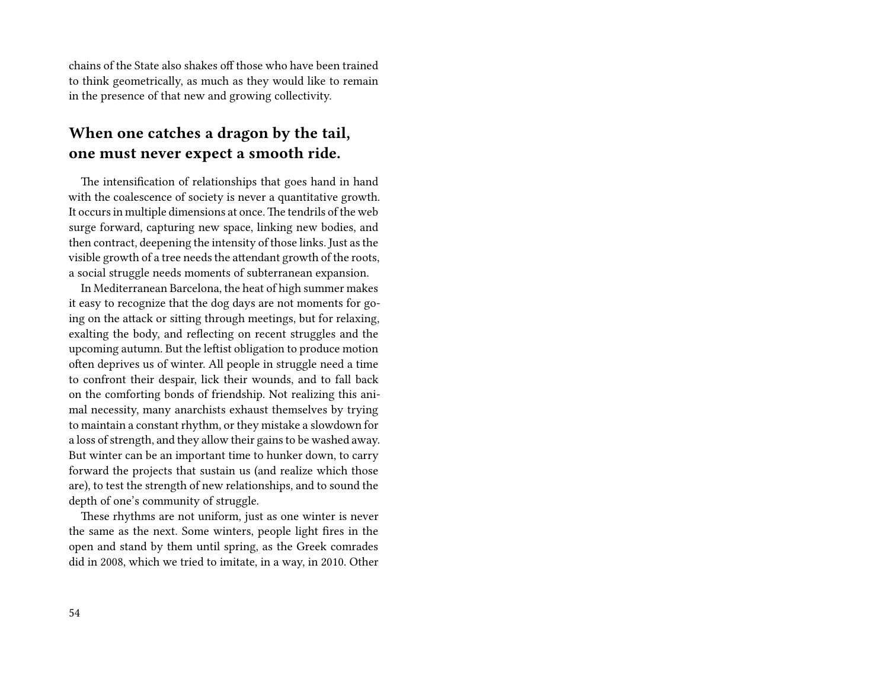chains of the State also shakes off those who have been trained to think geometrically, as much as they would like to remain in the presence of that new and growing collectivity.

### **When one catches a dragon by the tail, one must never expect a smooth ride.**

The intensification of relationships that goes hand in hand with the coalescence of society is never a quantitative growth. It occurs in multiple dimensions at once.The tendrils of the web surge forward, capturing new space, linking new bodies, and then contract, deepening the intensity of those links. Just as the visible growth of a tree needs the attendant growth of the roots, a social struggle needs moments of subterranean expansion.

In Mediterranean Barcelona, the heat of high summer makes it easy to recognize that the dog days are not moments for going on the attack or sitting through meetings, but for relaxing, exalting the body, and reflecting on recent struggles and the upcoming autumn. But the leftist obligation to produce motion often deprives us of winter. All people in struggle need a time to confront their despair, lick their wounds, and to fall back on the comforting bonds of friendship. Not realizing this animal necessity, many anarchists exhaust themselves by trying to maintain a constant rhythm, or they mistake a slowdown for a loss of strength, and they allow their gains to be washed away. But winter can be an important time to hunker down, to carry forward the projects that sustain us (and realize which those are), to test the strength of new relationships, and to sound the depth of one's community of struggle.

These rhythms are not uniform, just as one winter is never the same as the next. Some winters, people light fires in the open and stand by them until spring, as the Greek comrades did in 2008, which we tried to imitate, in a way, in 2010. Other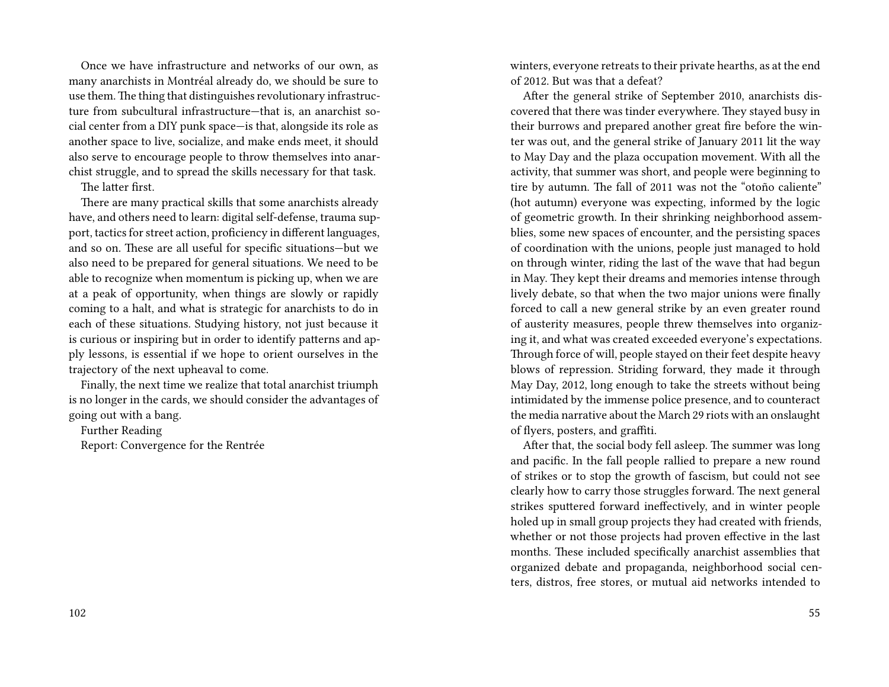Once we have infrastructure and networks of our own, as many anarchists in Montréal already do, we should be sure to use them.The thing that distinguishes revolutionary infrastructure from subcultural infrastructure—that is, an anarchist social center from a DIY punk space—is that, alongside its role as another space to live, socialize, and make ends meet, it should also serve to encourage people to throw themselves into anarchist struggle, and to spread the skills necessary for that task. The latter first.

There are many practical skills that some anarchists already have, and others need to learn: digital self-defense, trauma support, tactics for street action, proficiency in different languages, and so on. These are all useful for specific situations—but we also need to be prepared for general situations. We need to be able to recognize when momentum is picking up, when we are at a peak of opportunity, when things are slowly or rapidly coming to a halt, and what is strategic for anarchists to do in each of these situations. Studying history, not just because it is curious or inspiring but in order to identify patterns and apply lessons, is essential if we hope to orient ourselves in the trajectory of the next upheaval to come.

Finally, the next time we realize that total anarchist triumph is no longer in the cards, we should consider the advantages of going out with a bang.

Further Reading

Report: Convergence for the Rentrée

winters, everyone retreats to their private hearths, as at the end of 2012. But was that a defeat?

After the general strike of September 2010, anarchists discovered that there was tinder everywhere. They stayed busy in their burrows and prepared another great fire before the winter was out, and the general strike of January 2011 lit the way to May Day and the plaza occupation movement. With all the activity, that summer was short, and people were beginning to tire by autumn. The fall of 2011 was not the "otoño caliente" (hot autumn) everyone was expecting, informed by the logic of geometric growth. In their shrinking neighborhood assemblies, some new spaces of encounter, and the persisting spaces of coordination with the unions, people just managed to hold on through winter, riding the last of the wave that had begun in May. They kept their dreams and memories intense through lively debate, so that when the two major unions were finally forced to call a new general strike by an even greater round of austerity measures, people threw themselves into organizing it, and what was created exceeded everyone's expectations. Through force of will, people stayed on their feet despite heavy blows of repression. Striding forward, they made it through May Day, 2012, long enough to take the streets without being intimidated by the immense police presence, and to counteract the media narrative about the March 29 riots with an onslaught of flyers, posters, and graffiti.

After that, the social body fell asleep. The summer was long and pacific. In the fall people rallied to prepare a new round of strikes or to stop the growth of fascism, but could not see clearly how to carry those struggles forward. The next general strikes sputtered forward ineffectively, and in winter people holed up in small group projects they had created with friends, whether or not those projects had proven effective in the last months. These included specifically anarchist assemblies that organized debate and propaganda, neighborhood social centers, distros, free stores, or mutual aid networks intended to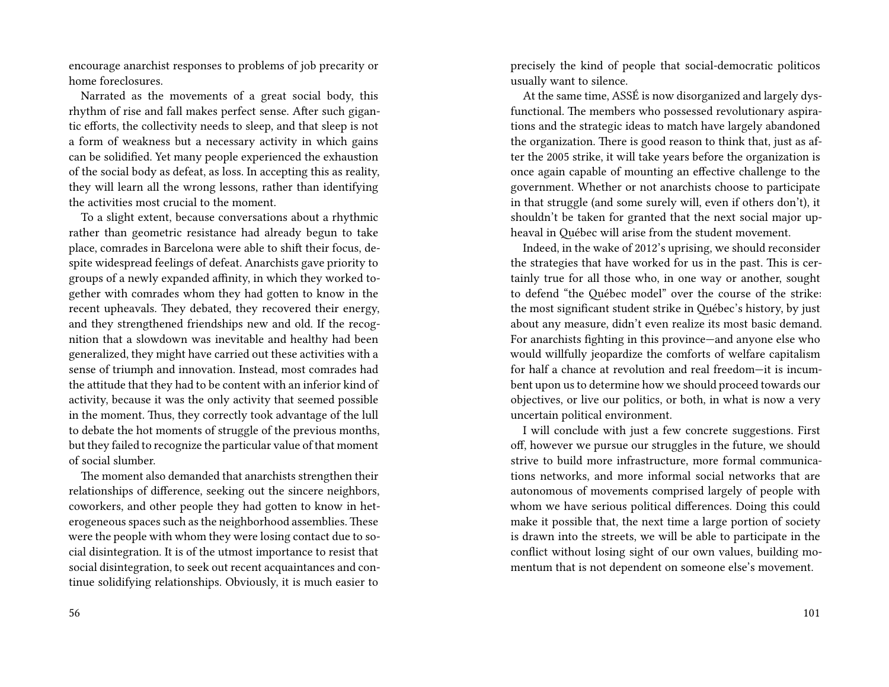encourage anarchist responses to problems of job precarity or home foreclosures.

Narrated as the movements of a great social body, this rhythm of rise and fall makes perfect sense. After such gigantic efforts, the collectivity needs to sleep, and that sleep is not a form of weakness but a necessary activity in which gains can be solidified. Yet many people experienced the exhaustion of the social body as defeat, as loss. In accepting this as reality, they will learn all the wrong lessons, rather than identifying the activities most crucial to the moment.

To a slight extent, because conversations about a rhythmic rather than geometric resistance had already begun to take place, comrades in Barcelona were able to shift their focus, despite widespread feelings of defeat. Anarchists gave priority to groups of a newly expanded affinity, in which they worked together with comrades whom they had gotten to know in the recent upheavals. They debated, they recovered their energy, and they strengthened friendships new and old. If the recognition that a slowdown was inevitable and healthy had been generalized, they might have carried out these activities with a sense of triumph and innovation. Instead, most comrades had the attitude that they had to be content with an inferior kind of activity, because it was the only activity that seemed possible in the moment. Thus, they correctly took advantage of the lull to debate the hot moments of struggle of the previous months, but they failed to recognize the particular value of that moment of social slumber.

The moment also demanded that anarchists strengthen their relationships of difference, seeking out the sincere neighbors, coworkers, and other people they had gotten to know in heterogeneous spaces such as the neighborhood assemblies. These were the people with whom they were losing contact due to social disintegration. It is of the utmost importance to resist that social disintegration, to seek out recent acquaintances and continue solidifying relationships. Obviously, it is much easier to

56

precisely the kind of people that social-democratic politicos usually want to silence.

At the same time, ASSÉ is now disorganized and largely dysfunctional. The members who possessed revolutionary aspirations and the strategic ideas to match have largely abandoned the organization. There is good reason to think that, just as after the 2005 strike, it will take years before the organization is once again capable of mounting an effective challenge to the government. Whether or not anarchists choose to participate in that struggle (and some surely will, even if others don't), it shouldn't be taken for granted that the next social major upheaval in Québec will arise from the student movement.

Indeed, in the wake of 2012's uprising, we should reconsider the strategies that have worked for us in the past. This is certainly true for all those who, in one way or another, sought to defend "the Québec model" over the course of the strike: the most significant student strike in Québec's history, by just about any measure, didn't even realize its most basic demand. For anarchists fighting in this province—and anyone else who would willfully jeopardize the comforts of welfare capitalism for half a chance at revolution and real freedom—it is incumbent upon us to determine how we should proceed towards our objectives, or live our politics, or both, in what is now a very uncertain political environment.

I will conclude with just a few concrete suggestions. First off, however we pursue our struggles in the future, we should strive to build more infrastructure, more formal communications networks, and more informal social networks that are autonomous of movements comprised largely of people with whom we have serious political differences. Doing this could make it possible that, the next time a large portion of society is drawn into the streets, we will be able to participate in the conflict without losing sight of our own values, building momentum that is not dependent on someone else's movement.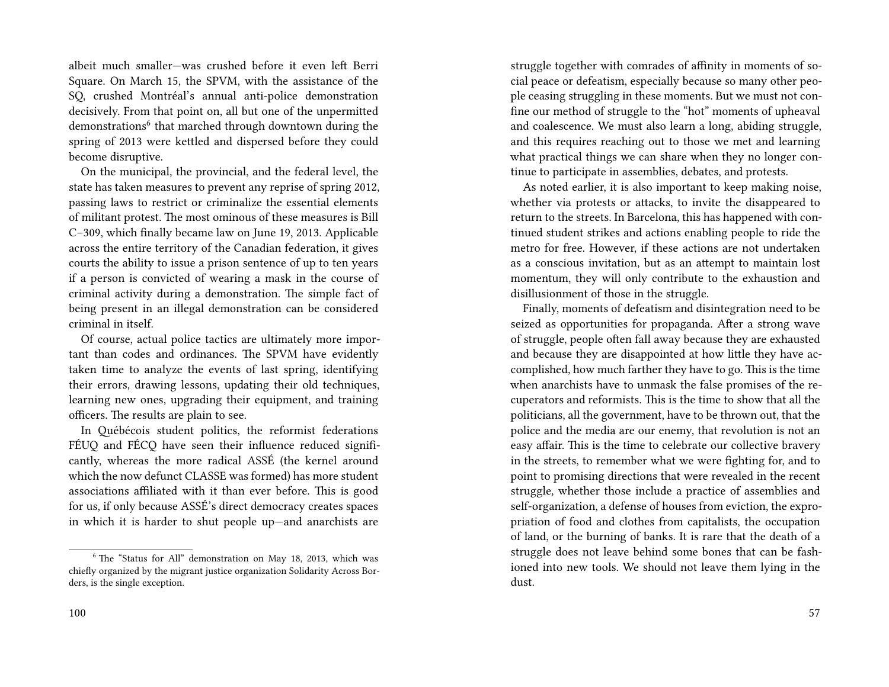albeit much smaller—was crushed before it even left Berri Square. On March 15, the SPVM, with the assistance of the SQ, crushed Montréal's annual anti-police demonstration decisively. From that point on, all but one of the unpermitted demonstrations<sup>6</sup> that marched through downtown during the spring of 2013 were kettled and dispersed before they could become disruptive.

On the municipal, the provincial, and the federal level, the state has taken measures to prevent any reprise of spring 2012, passing laws to restrict or criminalize the essential elements of militant protest. The most ominous of these measures is Bill C–309, which finally became law on June 19, 2013. Applicable across the entire territory of the Canadian federation, it gives courts the ability to issue a prison sentence of up to ten years if a person is convicted of wearing a mask in the course of criminal activity during a demonstration. The simple fact of being present in an illegal demonstration can be considered criminal in itself.

Of course, actual police tactics are ultimately more important than codes and ordinances. The SPVM have evidently taken time to analyze the events of last spring, identifying their errors, drawing lessons, updating their old techniques, learning new ones, upgrading their equipment, and training officers. The results are plain to see.

In Québécois student politics, the reformist federations FÉUQ and FÉCQ have seen their influence reduced significantly, whereas the more radical ASSÉ (the kernel around which the now defunct CLASSE was formed) has more student associations affiliated with it than ever before. This is good for us, if only because ASSÉ's direct democracy creates spaces in which it is harder to shut people up—and anarchists are

struggle together with comrades of affinity in moments of social peace or defeatism, especially because so many other people ceasing struggling in these moments. But we must not confine our method of struggle to the "hot" moments of upheaval and coalescence. We must also learn a long, abiding struggle, and this requires reaching out to those we met and learning what practical things we can share when they no longer continue to participate in assemblies, debates, and protests.

As noted earlier, it is also important to keep making noise, whether via protests or attacks, to invite the disappeared to return to the streets. In Barcelona, this has happened with continued student strikes and actions enabling people to ride the metro for free. However, if these actions are not undertaken as a conscious invitation, but as an attempt to maintain lost momentum, they will only contribute to the exhaustion and disillusionment of those in the struggle.

Finally, moments of defeatism and disintegration need to be seized as opportunities for propaganda. After a strong wave of struggle, people often fall away because they are exhausted and because they are disappointed at how little they have accomplished, how much farther they have to go. This is the time when anarchists have to unmask the false promises of the recuperators and reformists. This is the time to show that all the politicians, all the government, have to be thrown out, that the police and the media are our enemy, that revolution is not an easy affair. This is the time to celebrate our collective bravery in the streets, to remember what we were fighting for, and to point to promising directions that were revealed in the recent struggle, whether those include a practice of assemblies and self-organization, a defense of houses from eviction, the expropriation of food and clothes from capitalists, the occupation of land, or the burning of banks. It is rare that the death of a struggle does not leave behind some bones that can be fashioned into new tools. We should not leave them lying in the dust.

<sup>6</sup> The "Status for All" demonstration on May 18, 2013, which was chiefly organized by the migrant justice organization Solidarity Across Borders, is the single exception.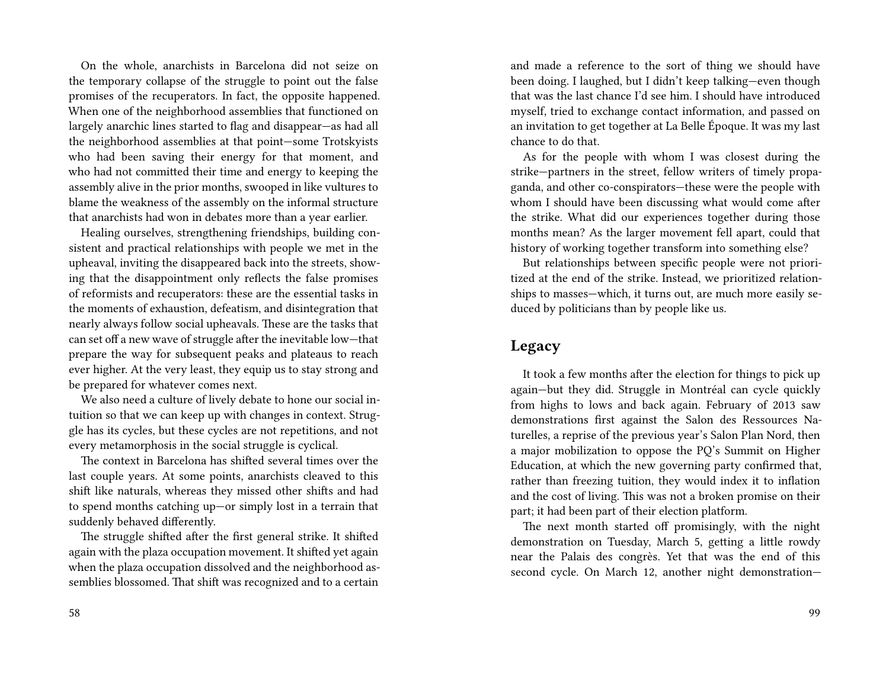On the whole, anarchists in Barcelona did not seize on the temporary collapse of the struggle to point out the false promises of the recuperators. In fact, the opposite happened. When one of the neighborhood assemblies that functioned on largely anarchic lines started to flag and disappear—as had all the neighborhood assemblies at that point—some Trotskyists who had been saving their energy for that moment, and who had not committed their time and energy to keeping the assembly alive in the prior months, swooped in like vultures to blame the weakness of the assembly on the informal structure that anarchists had won in debates more than a year earlier.

Healing ourselves, strengthening friendships, building consistent and practical relationships with people we met in the upheaval, inviting the disappeared back into the streets, showing that the disappointment only reflects the false promises of reformists and recuperators: these are the essential tasks in the moments of exhaustion, defeatism, and disintegration that nearly always follow social upheavals. These are the tasks that can set off a new wave of struggle after the inevitable low—that prepare the way for subsequent peaks and plateaus to reach ever higher. At the very least, they equip us to stay strong and be prepared for whatever comes next.

We also need a culture of lively debate to hone our social intuition so that we can keep up with changes in context. Struggle has its cycles, but these cycles are not repetitions, and not every metamorphosis in the social struggle is cyclical.

The context in Barcelona has shifted several times over the last couple years. At some points, anarchists cleaved to this shift like naturals, whereas they missed other shifts and had to spend months catching up—or simply lost in a terrain that suddenly behaved differently.

The struggle shifted after the first general strike. It shifted again with the plaza occupation movement. It shifted yet again when the plaza occupation dissolved and the neighborhood assemblies blossomed. That shift was recognized and to a certain

and made a reference to the sort of thing we should have been doing. I laughed, but I didn't keep talking—even though that was the last chance I'd see him. I should have introduced myself, tried to exchange contact information, and passed on an invitation to get together at La Belle Époque. It was my last chance to do that.

As for the people with whom I was closest during the strike—partners in the street, fellow writers of timely propaganda, and other co-conspirators—these were the people with whom I should have been discussing what would come after the strike. What did our experiences together during those months mean? As the larger movement fell apart, could that history of working together transform into something else?

But relationships between specific people were not prioritized at the end of the strike. Instead, we prioritized relationships to masses—which, it turns out, are much more easily seduced by politicians than by people like us.

#### **Legacy**

It took a few months after the election for things to pick up again—but they did. Struggle in Montréal can cycle quickly from highs to lows and back again. February of 2013 saw demonstrations first against the Salon des Ressources Naturelles, a reprise of the previous year's Salon Plan Nord, then a major mobilization to oppose the PQ's Summit on Higher Education, at which the new governing party confirmed that, rather than freezing tuition, they would index it to inflation and the cost of living. This was not a broken promise on their part; it had been part of their election platform.

The next month started off promisingly, with the night demonstration on Tuesday, March 5, getting a little rowdy near the Palais des congrès. Yet that was the end of this second cycle. On March 12, another night demonstration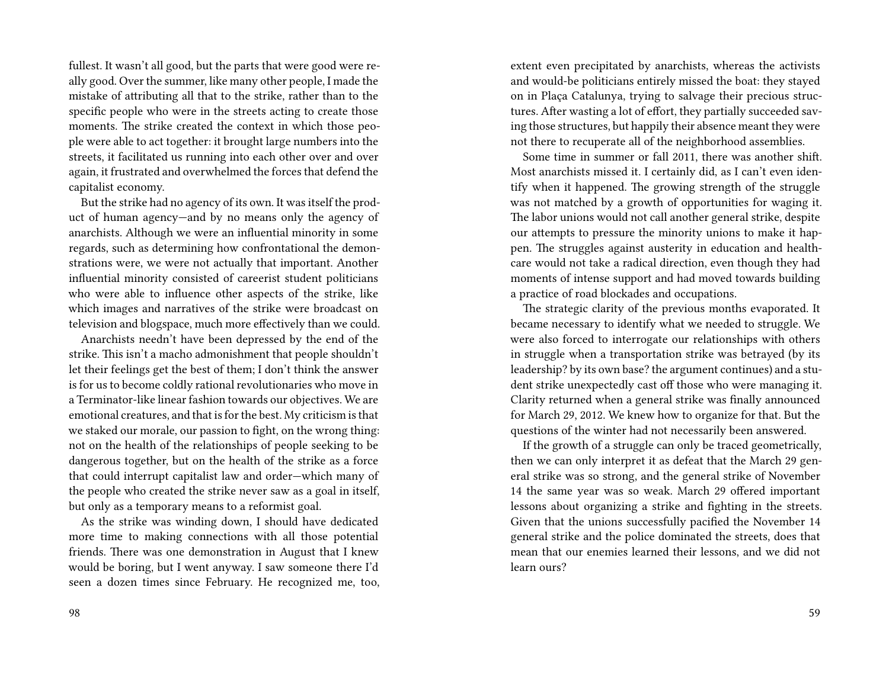fullest. It wasn't all good, but the parts that were good were really good. Over the summer, like many other people, I made the mistake of attributing all that to the strike, rather than to the specific people who were in the streets acting to create those moments. The strike created the context in which those people were able to act together: it brought large numbers into the streets, it facilitated us running into each other over and over again, it frustrated and overwhelmed the forces that defend the capitalist economy.

But the strike had no agency of its own. It was itself the product of human agency—and by no means only the agency of anarchists. Although we were an influential minority in some regards, such as determining how confrontational the demonstrations were, we were not actually that important. Another influential minority consisted of careerist student politicians who were able to influence other aspects of the strike, like which images and narratives of the strike were broadcast on television and blogspace, much more effectively than we could.

Anarchists needn't have been depressed by the end of the strike. This isn't a macho admonishment that people shouldn't let their feelings get the best of them; I don't think the answer is for us to become coldly rational revolutionaries who move in a Terminator-like linear fashion towards our objectives. We are emotional creatures, and that is for the best. My criticism is that we staked our morale, our passion to fight, on the wrong thing: not on the health of the relationships of people seeking to be dangerous together, but on the health of the strike as a force that could interrupt capitalist law and order—which many of the people who created the strike never saw as a goal in itself, but only as a temporary means to a reformist goal.

As the strike was winding down, I should have dedicated more time to making connections with all those potential friends. There was one demonstration in August that I knew would be boring, but I went anyway. I saw someone there I'd seen a dozen times since February. He recognized me, too, extent even precipitated by anarchists, whereas the activists and would-be politicians entirely missed the boat: they stayed on in Plaça Catalunya, trying to salvage their precious structures. After wasting a lot of effort, they partially succeeded saving those structures, but happily their absence meant they were not there to recuperate all of the neighborhood assemblies.

Some time in summer or fall 2011, there was another shift. Most anarchists missed it. I certainly did, as I can't even identify when it happened. The growing strength of the struggle was not matched by a growth of opportunities for waging it. The labor unions would not call another general strike, despite our attempts to pressure the minority unions to make it happen. The struggles against austerity in education and healthcare would not take a radical direction, even though they had moments of intense support and had moved towards building a practice of road blockades and occupations.

The strategic clarity of the previous months evaporated. It became necessary to identify what we needed to struggle. We were also forced to interrogate our relationships with others in struggle when a transportation strike was betrayed (by its leadership? by its own base? the argument continues) and a student strike unexpectedly cast off those who were managing it. Clarity returned when a general strike was finally announced for March 29, 2012. We knew how to organize for that. But the questions of the winter had not necessarily been answered.

If the growth of a struggle can only be traced geometrically, then we can only interpret it as defeat that the March 29 general strike was so strong, and the general strike of November 14 the same year was so weak. March 29 offered important lessons about organizing a strike and fighting in the streets. Given that the unions successfully pacified the November 14 general strike and the police dominated the streets, does that mean that our enemies learned their lessons, and we did not learn ours?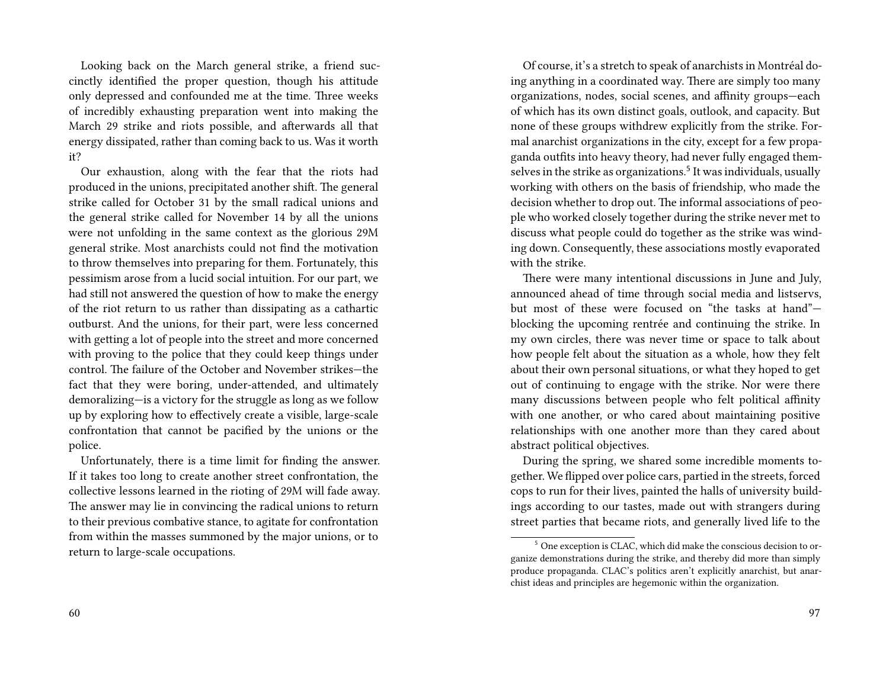Looking back on the March general strike, a friend succinctly identified the proper question, though his attitude only depressed and confounded me at the time. Three weeks of incredibly exhausting preparation went into making the March 29 strike and riots possible, and afterwards all that energy dissipated, rather than coming back to us. Was it worth it?

Our exhaustion, along with the fear that the riots had produced in the unions, precipitated another shift. The general strike called for October 31 by the small radical unions and the general strike called for November 14 by all the unions were not unfolding in the same context as the glorious 29M general strike. Most anarchists could not find the motivation to throw themselves into preparing for them. Fortunately, this pessimism arose from a lucid social intuition. For our part, we had still not answered the question of how to make the energy of the riot return to us rather than dissipating as a cathartic outburst. And the unions, for their part, were less concerned with getting a lot of people into the street and more concerned with proving to the police that they could keep things under control. The failure of the October and November strikes—the fact that they were boring, under-attended, and ultimately demoralizing—is a victory for the struggle as long as we follow up by exploring how to effectively create a visible, large-scale confrontation that cannot be pacified by the unions or the police.

Unfortunately, there is a time limit for finding the answer. If it takes too long to create another street confrontation, the collective lessons learned in the rioting of 29M will fade away. The answer may lie in convincing the radical unions to return to their previous combative stance, to agitate for confrontation from within the masses summoned by the major unions, or to return to large-scale occupations.

Of course, it's a stretch to speak of anarchists in Montréal doing anything in a coordinated way. There are simply too many organizations, nodes, social scenes, and affinity groups—each of which has its own distinct goals, outlook, and capacity. But none of these groups withdrew explicitly from the strike. Formal anarchist organizations in the city, except for a few propaganda outfits into heavy theory, had never fully engaged themselves in the strike as organizations. $^5$  It was individuals, usually working with others on the basis of friendship, who made the decision whether to drop out. The informal associations of people who worked closely together during the strike never met to discuss what people could do together as the strike was winding down. Consequently, these associations mostly evaporated with the strike.

There were many intentional discussions in June and July, announced ahead of time through social media and listservs, but most of these were focused on "the tasks at hand" blocking the upcoming rentrée and continuing the strike. In my own circles, there was never time or space to talk about how people felt about the situation as a whole, how they felt about their own personal situations, or what they hoped to get out of continuing to engage with the strike. Nor were there many discussions between people who felt political affinity with one another, or who cared about maintaining positive relationships with one another more than they cared about abstract political objectives.

During the spring, we shared some incredible moments together. We flipped over police cars, partied in the streets, forced cops to run for their lives, painted the halls of university buildings according to our tastes, made out with strangers during street parties that became riots, and generally lived life to the

<sup>5</sup> One exception is CLAC, which did make the conscious decision to organize demonstrations during the strike, and thereby did more than simply produce propaganda. CLAC's politics aren't explicitly anarchist, but anarchist ideas and principles are hegemonic within the organization.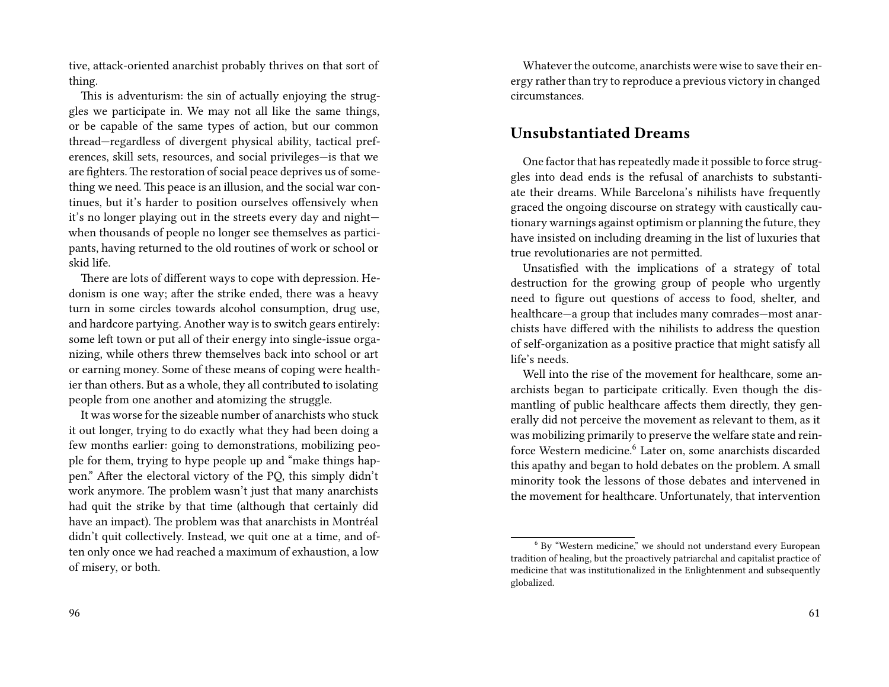tive, attack-oriented anarchist probably thrives on that sort of thing.

This is adventurism: the sin of actually enjoying the struggles we participate in. We may not all like the same things, or be capable of the same types of action, but our common thread—regardless of divergent physical ability, tactical preferences, skill sets, resources, and social privileges—is that we are fighters. The restoration of social peace deprives us of something we need. This peace is an illusion, and the social war continues, but it's harder to position ourselves offensively when it's no longer playing out in the streets every day and night when thousands of people no longer see themselves as participants, having returned to the old routines of work or school or skid life.

There are lots of different ways to cope with depression. Hedonism is one way; after the strike ended, there was a heavy turn in some circles towards alcohol consumption, drug use, and hardcore partying. Another way is to switch gears entirely: some left town or put all of their energy into single-issue organizing, while others threw themselves back into school or art or earning money. Some of these means of coping were healthier than others. But as a whole, they all contributed to isolating people from one another and atomizing the struggle.

It was worse for the sizeable number of anarchists who stuck it out longer, trying to do exactly what they had been doing a few months earlier: going to demonstrations, mobilizing people for them, trying to hype people up and "make things happen." After the electoral victory of the PQ, this simply didn't work anymore. The problem wasn't just that many anarchists had quit the strike by that time (although that certainly did have an impact). The problem was that anarchists in Montréal didn't quit collectively. Instead, we quit one at a time, and often only once we had reached a maximum of exhaustion, a low of misery, or both.

Whatever the outcome, anarchists were wise to save their energy rather than try to reproduce a previous victory in changed circumstances.

#### **Unsubstantiated Dreams**

One factor that has repeatedly made it possible to force struggles into dead ends is the refusal of anarchists to substantiate their dreams. While Barcelona's nihilists have frequently graced the ongoing discourse on strategy with caustically cautionary warnings against optimism or planning the future, they have insisted on including dreaming in the list of luxuries that true revolutionaries are not permitted.

Unsatisfied with the implications of a strategy of total destruction for the growing group of people who urgently need to figure out questions of access to food, shelter, and healthcare—a group that includes many comrades—most anarchists have differed with the nihilists to address the question of self-organization as a positive practice that might satisfy all life's needs.

Well into the rise of the movement for healthcare, some anarchists began to participate critically. Even though the dismantling of public healthcare affects them directly, they generally did not perceive the movement as relevant to them, as it was mobilizing primarily to preserve the welfare state and reinforce Western medicine.<sup>6</sup> Later on, some anarchists discarded this apathy and began to hold debates on the problem. A small minority took the lessons of those debates and intervened in the movement for healthcare. Unfortunately, that intervention

<sup>6</sup> By "Western medicine," we should not understand every European tradition of healing, but the proactively patriarchal and capitalist practice of medicine that was institutionalized in the Enlightenment and subsequently globalized.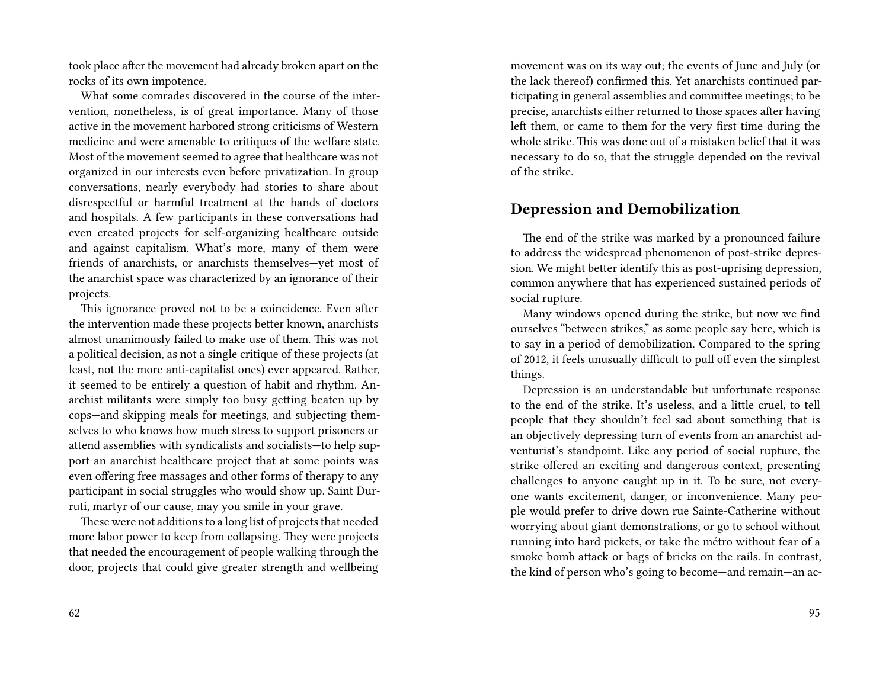took place after the movement had already broken apart on the rocks of its own impotence.

What some comrades discovered in the course of the intervention, nonetheless, is of great importance. Many of those active in the movement harbored strong criticisms of Western medicine and were amenable to critiques of the welfare state. Most of the movement seemed to agree that healthcare was not organized in our interests even before privatization. In group conversations, nearly everybody had stories to share about disrespectful or harmful treatment at the hands of doctors and hospitals. A few participants in these conversations had even created projects for self-organizing healthcare outside and against capitalism. What's more, many of them were friends of anarchists, or anarchists themselves—yet most of the anarchist space was characterized by an ignorance of their projects.

This ignorance proved not to be a coincidence. Even after the intervention made these projects better known, anarchists almost unanimously failed to make use of them. This was not a political decision, as not a single critique of these projects (at least, not the more anti-capitalist ones) ever appeared. Rather, it seemed to be entirely a question of habit and rhythm. Anarchist militants were simply too busy getting beaten up by cops—and skipping meals for meetings, and subjecting themselves to who knows how much stress to support prisoners or attend assemblies with syndicalists and socialists—to help support an anarchist healthcare project that at some points was even offering free massages and other forms of therapy to any participant in social struggles who would show up. Saint Durruti, martyr of our cause, may you smile in your grave.

These were not additions to a long list of projects that needed more labor power to keep from collapsing. They were projects that needed the encouragement of people walking through the door, projects that could give greater strength and wellbeing movement was on its way out; the events of June and July (or the lack thereof) confirmed this. Yet anarchists continued participating in general assemblies and committee meetings; to be precise, anarchists either returned to those spaces after having left them, or came to them for the very first time during the whole strike. This was done out of a mistaken belief that it was necessary to do so, that the struggle depended on the revival of the strike.

#### **Depression and Demobilization**

The end of the strike was marked by a pronounced failure to address the widespread phenomenon of post-strike depression. We might better identify this as post-uprising depression, common anywhere that has experienced sustained periods of social rupture.

Many windows opened during the strike, but now we find ourselves "between strikes," as some people say here, which is to say in a period of demobilization. Compared to the spring of 2012, it feels unusually difficult to pull off even the simplest things.

Depression is an understandable but unfortunate response to the end of the strike. It's useless, and a little cruel, to tell people that they shouldn't feel sad about something that is an objectively depressing turn of events from an anarchist adventurist's standpoint. Like any period of social rupture, the strike offered an exciting and dangerous context, presenting challenges to anyone caught up in it. To be sure, not everyone wants excitement, danger, or inconvenience. Many people would prefer to drive down rue Sainte-Catherine without worrying about giant demonstrations, or go to school without running into hard pickets, or take the métro without fear of a smoke bomb attack or bags of bricks on the rails. In contrast, the kind of person who's going to become—and remain—an ac-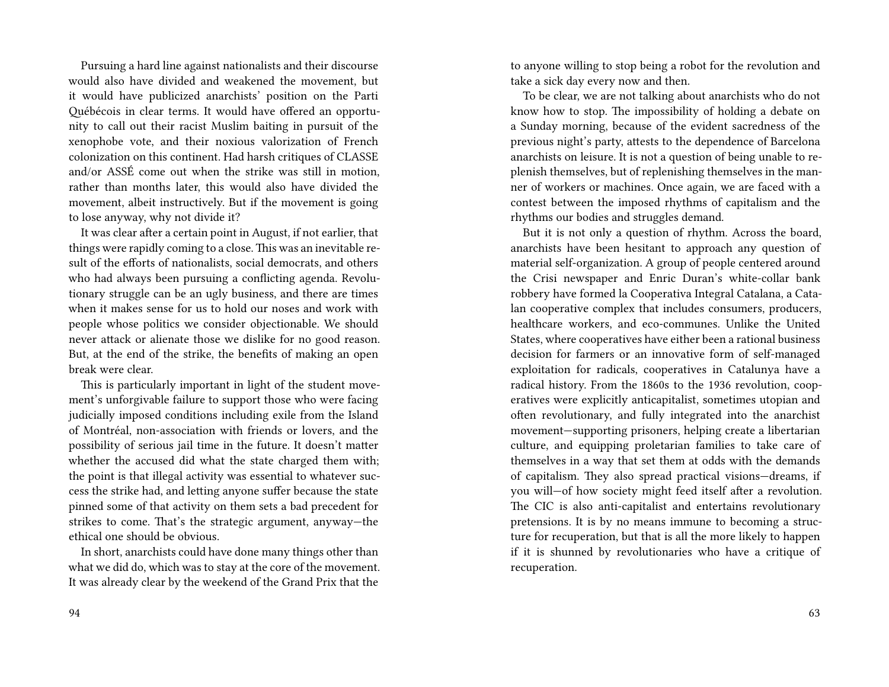Pursuing a hard line against nationalists and their discourse would also have divided and weakened the movement, but it would have publicized anarchists' position on the Parti Québécois in clear terms. It would have offered an opportunity to call out their racist Muslim baiting in pursuit of the xenophobe vote, and their noxious valorization of French colonization on this continent. Had harsh critiques of CLASSE and/or ASSÉ come out when the strike was still in motion, rather than months later, this would also have divided the movement, albeit instructively. But if the movement is going to lose anyway, why not divide it?

It was clear after a certain point in August, if not earlier, that things were rapidly coming to a close. This was an inevitable result of the efforts of nationalists, social democrats, and others who had always been pursuing a conflicting agenda. Revolutionary struggle can be an ugly business, and there are times when it makes sense for us to hold our noses and work with people whose politics we consider objectionable. We should never attack or alienate those we dislike for no good reason. But, at the end of the strike, the benefits of making an open break were clear.

This is particularly important in light of the student movement's unforgivable failure to support those who were facing judicially imposed conditions including exile from the Island of Montréal, non-association with friends or lovers, and the possibility of serious jail time in the future. It doesn't matter whether the accused did what the state charged them with; the point is that illegal activity was essential to whatever success the strike had, and letting anyone suffer because the state pinned some of that activity on them sets a bad precedent for strikes to come. That's the strategic argument, anyway—the ethical one should be obvious.

In short, anarchists could have done many things other than what we did do, which was to stay at the core of the movement. It was already clear by the weekend of the Grand Prix that the

to anyone willing to stop being a robot for the revolution and take a sick day every now and then.

To be clear, we are not talking about anarchists who do not know how to stop. The impossibility of holding a debate on a Sunday morning, because of the evident sacredness of the previous night's party, attests to the dependence of Barcelona anarchists on leisure. It is not a question of being unable to replenish themselves, but of replenishing themselves in the manner of workers or machines. Once again, we are faced with a contest between the imposed rhythms of capitalism and the rhythms our bodies and struggles demand.

But it is not only a question of rhythm. Across the board, anarchists have been hesitant to approach any question of material self-organization. A group of people centered around the Crisi newspaper and Enric Duran's white-collar bank robbery have formed la Cooperativa Integral Catalana, a Catalan cooperative complex that includes consumers, producers, healthcare workers, and eco-communes. Unlike the United States, where cooperatives have either been a rational business decision for farmers or an innovative form of self-managed exploitation for radicals, cooperatives in Catalunya have a radical history. From the 1860s to the 1936 revolution, cooperatives were explicitly anticapitalist, sometimes utopian and often revolutionary, and fully integrated into the anarchist movement—supporting prisoners, helping create a libertarian culture, and equipping proletarian families to take care of themselves in a way that set them at odds with the demands of capitalism. They also spread practical visions—dreams, if you will—of how society might feed itself after a revolution. The CIC is also anti-capitalist and entertains revolutionary pretensions. It is by no means immune to becoming a structure for recuperation, but that is all the more likely to happen if it is shunned by revolutionaries who have a critique of recuperation.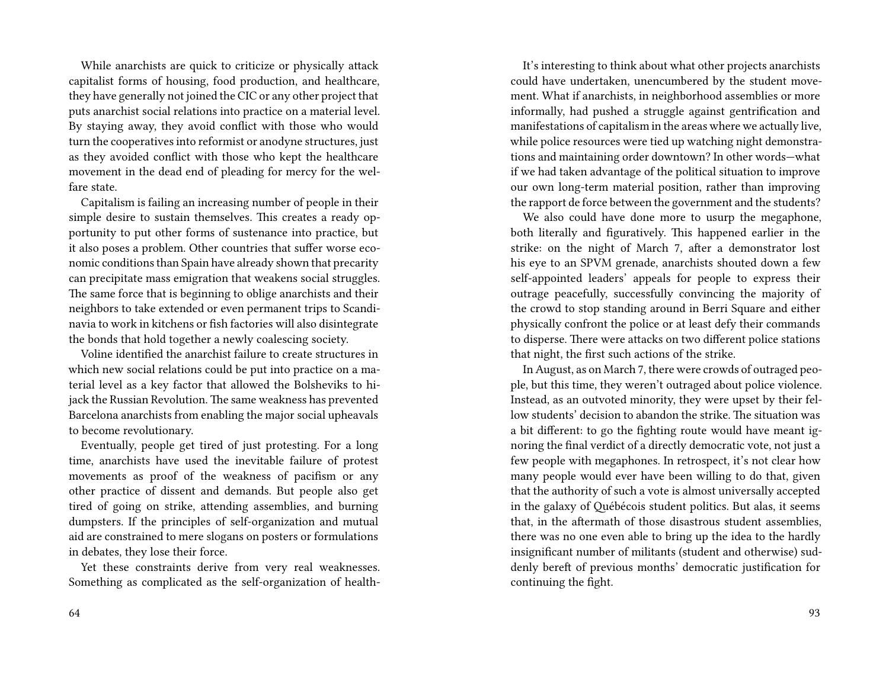While anarchists are quick to criticize or physically attack capitalist forms of housing, food production, and healthcare, they have generally not joined the CIC or any other project that puts anarchist social relations into practice on a material level. By staying away, they avoid conflict with those who would turn the cooperatives into reformist or anodyne structures, just as they avoided conflict with those who kept the healthcare movement in the dead end of pleading for mercy for the welfare state.

Capitalism is failing an increasing number of people in their simple desire to sustain themselves. This creates a ready opportunity to put other forms of sustenance into practice, but it also poses a problem. Other countries that suffer worse economic conditions than Spain have already shown that precarity can precipitate mass emigration that weakens social struggles. The same force that is beginning to oblige anarchists and their neighbors to take extended or even permanent trips to Scandinavia to work in kitchens or fish factories will also disintegrate the bonds that hold together a newly coalescing society.

Voline identified the anarchist failure to create structures in which new social relations could be put into practice on a material level as a key factor that allowed the Bolsheviks to hijack the Russian Revolution. The same weakness has prevented Barcelona anarchists from enabling the major social upheavals to become revolutionary.

Eventually, people get tired of just protesting. For a long time, anarchists have used the inevitable failure of protest movements as proof of the weakness of pacifism or any other practice of dissent and demands. But people also get tired of going on strike, attending assemblies, and burning dumpsters. If the principles of self-organization and mutual aid are constrained to mere slogans on posters or formulations in debates, they lose their force.

Yet these constraints derive from very real weaknesses. Something as complicated as the self-organization of health-

It's interesting to think about what other projects anarchists could have undertaken, unencumbered by the student movement. What if anarchists, in neighborhood assemblies or more informally, had pushed a struggle against gentrification and manifestations of capitalism in the areas where we actually live, while police resources were tied up watching night demonstrations and maintaining order downtown? In other words—what if we had taken advantage of the political situation to improve our own long-term material position, rather than improving the rapport de force between the government and the students?

We also could have done more to usurp the megaphone, both literally and figuratively. This happened earlier in the strike: on the night of March 7, after a demonstrator lost his eye to an SPVM grenade, anarchists shouted down a few self-appointed leaders' appeals for people to express their outrage peacefully, successfully convincing the majority of the crowd to stop standing around in Berri Square and either physically confront the police or at least defy their commands to disperse. There were attacks on two different police stations that night, the first such actions of the strike.

In August, as on March 7, there were crowds of outraged people, but this time, they weren't outraged about police violence. Instead, as an outvoted minority, they were upset by their fellow students' decision to abandon the strike. The situation was a bit different: to go the fighting route would have meant ignoring the final verdict of a directly democratic vote, not just a few people with megaphones. In retrospect, it's not clear how many people would ever have been willing to do that, given that the authority of such a vote is almost universally accepted in the galaxy of Québécois student politics. But alas, it seems that, in the aftermath of those disastrous student assemblies, there was no one even able to bring up the idea to the hardly insignificant number of militants (student and otherwise) suddenly bereft of previous months' democratic justification for continuing the fight.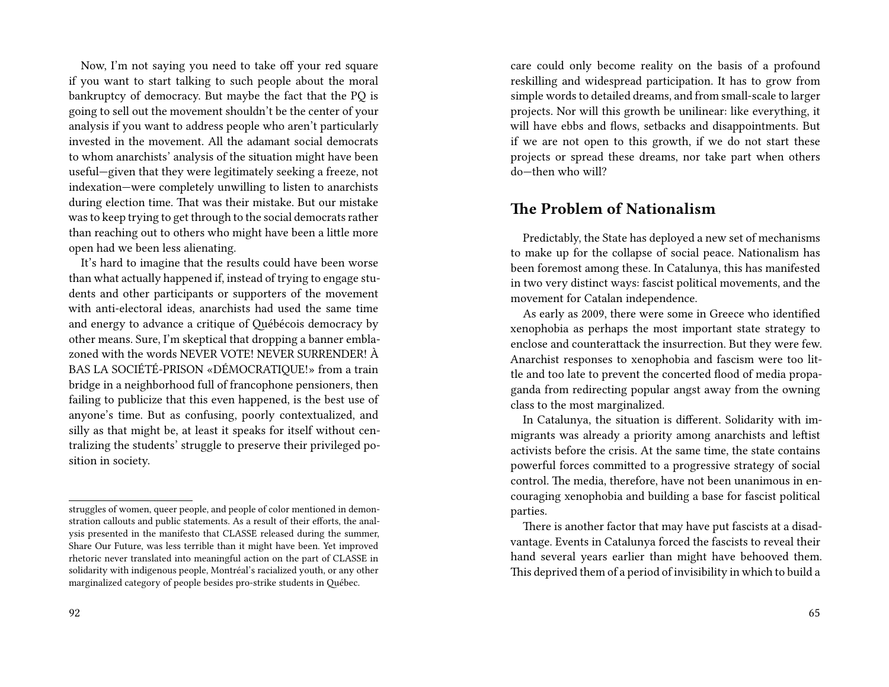Now, I'm not saying you need to take off your red square if you want to start talking to such people about the moral bankruptcy of democracy. But maybe the fact that the PQ is going to sell out the movement shouldn't be the center of your analysis if you want to address people who aren't particularly invested in the movement. All the adamant social democrats to whom anarchists' analysis of the situation might have been useful—given that they were legitimately seeking a freeze, not indexation—were completely unwilling to listen to anarchists during election time. That was their mistake. But our mistake was to keep trying to get through to the social democrats rather than reaching out to others who might have been a little more open had we been less alienating.

It's hard to imagine that the results could have been worse than what actually happened if, instead of trying to engage students and other participants or supporters of the movement with anti-electoral ideas, anarchists had used the same time and energy to advance a critique of Québécois democracy by other means. Sure, I'm skeptical that dropping a banner emblazoned with the words NEVER VOTE! NEVER SURRENDER! À BAS LA SOCIÉTÉ-PRISON «DÉMOCRATIQUE!» from a train bridge in a neighborhood full of francophone pensioners, then failing to publicize that this even happened, is the best use of anyone's time. But as confusing, poorly contextualized, and silly as that might be, at least it speaks for itself without centralizing the students' struggle to preserve their privileged position in society.

care could only become reality on the basis of a profound reskilling and widespread participation. It has to grow from simple words to detailed dreams, and from small-scale to larger projects. Nor will this growth be unilinear: like everything, it will have ebbs and flows, setbacks and disappointments. But if we are not open to this growth, if we do not start these projects or spread these dreams, nor take part when others do—then who will?

#### **The Problem of Nationalism**

Predictably, the State has deployed a new set of mechanisms to make up for the collapse of social peace. Nationalism has been foremost among these. In Catalunya, this has manifested in two very distinct ways: fascist political movements, and the movement for Catalan independence.

As early as 2009, there were some in Greece who identified xenophobia as perhaps the most important state strategy to enclose and counterattack the insurrection. But they were few. Anarchist responses to xenophobia and fascism were too little and too late to prevent the concerted flood of media propaganda from redirecting popular angst away from the owning class to the most marginalized.

In Catalunya, the situation is different. Solidarity with immigrants was already a priority among anarchists and leftist activists before the crisis. At the same time, the state contains powerful forces committed to a progressive strategy of social control. The media, therefore, have not been unanimous in encouraging xenophobia and building a base for fascist political parties.

struggles of women, queer people, and people of color mentioned in demonstration callouts and public statements. As a result of their efforts, the analysis presented in the manifesto that CLASSE released during the summer, Share Our Future, was less terrible than it might have been. Yet improved rhetoric never translated into meaningful action on the part of CLASSE in solidarity with indigenous people, Montréal's racialized youth, or any other marginalized category of people besides pro-strike students in Québec.

There is another factor that may have put fascists at a disadvantage. Events in Catalunya forced the fascists to reveal their hand several years earlier than might have behooved them. This deprived them of a period of invisibility in which to build a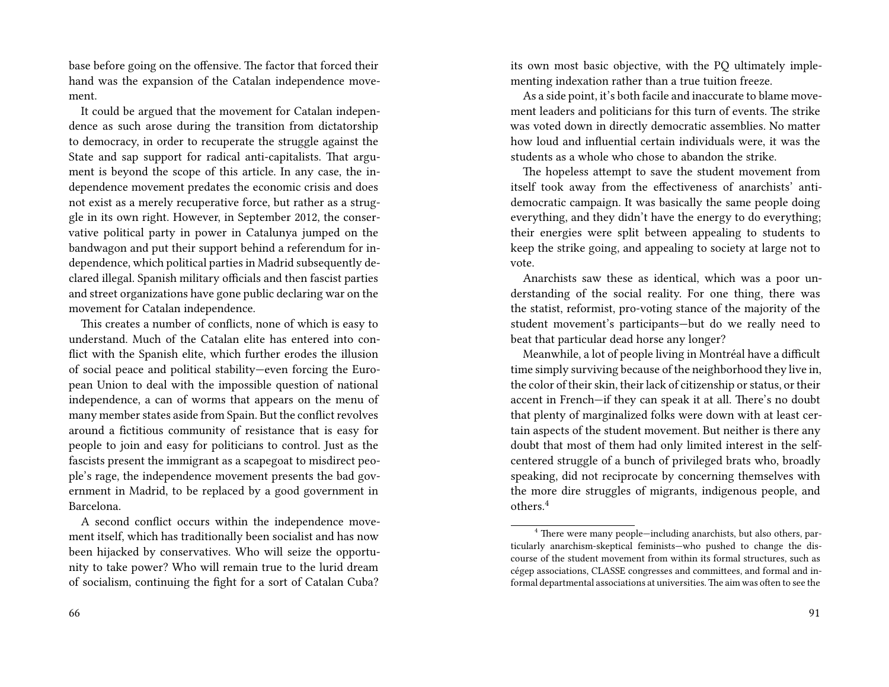base before going on the offensive. The factor that forced their hand was the expansion of the Catalan independence movement.

It could be argued that the movement for Catalan independence as such arose during the transition from dictatorship to democracy, in order to recuperate the struggle against the State and sap support for radical anti-capitalists. That argument is beyond the scope of this article. In any case, the independence movement predates the economic crisis and does not exist as a merely recuperative force, but rather as a struggle in its own right. However, in September 2012, the conservative political party in power in Catalunya jumped on the bandwagon and put their support behind a referendum for independence, which political parties in Madrid subsequently declared illegal. Spanish military officials and then fascist parties and street organizations have gone public declaring war on the movement for Catalan independence.

This creates a number of conflicts, none of which is easy to understand. Much of the Catalan elite has entered into conflict with the Spanish elite, which further erodes the illusion of social peace and political stability—even forcing the European Union to deal with the impossible question of national independence, a can of worms that appears on the menu of many member states aside from Spain. But the conflict revolves around a fictitious community of resistance that is easy for people to join and easy for politicians to control. Just as the fascists present the immigrant as a scapegoat to misdirect people's rage, the independence movement presents the bad government in Madrid, to be replaced by a good government in Barcelona.

A second conflict occurs within the independence movement itself, which has traditionally been socialist and has now been hijacked by conservatives. Who will seize the opportunity to take power? Who will remain true to the lurid dream of socialism, continuing the fight for a sort of Catalan Cuba?

its own most basic objective, with the PQ ultimately implementing indexation rather than a true tuition freeze.

As a side point, it's both facile and inaccurate to blame movement leaders and politicians for this turn of events. The strike was voted down in directly democratic assemblies. No matter how loud and influential certain individuals were, it was the students as a whole who chose to abandon the strike.

The hopeless attempt to save the student movement from itself took away from the effectiveness of anarchists' antidemocratic campaign. It was basically the same people doing everything, and they didn't have the energy to do everything; their energies were split between appealing to students to keep the strike going, and appealing to society at large not to vote.

Anarchists saw these as identical, which was a poor understanding of the social reality. For one thing, there was the statist, reformist, pro-voting stance of the majority of the student movement's participants—but do we really need to beat that particular dead horse any longer?

Meanwhile, a lot of people living in Montréal have a difficult time simply surviving because of the neighborhood they live in, the color of their skin, their lack of citizenship or status, or their accent in French—if they can speak it at all. There's no doubt that plenty of marginalized folks were down with at least certain aspects of the student movement. But neither is there any doubt that most of them had only limited interest in the selfcentered struggle of a bunch of privileged brats who, broadly speaking, did not reciprocate by concerning themselves with the more dire struggles of migrants, indigenous people, and others.<sup>4</sup>

<sup>4</sup> There were many people—including anarchists, but also others, particularly anarchism-skeptical feminists—who pushed to change the discourse of the student movement from within its formal structures, such as cégep associations, CLASSE congresses and committees, and formal and informal departmental associations at universities.The aim was often to see the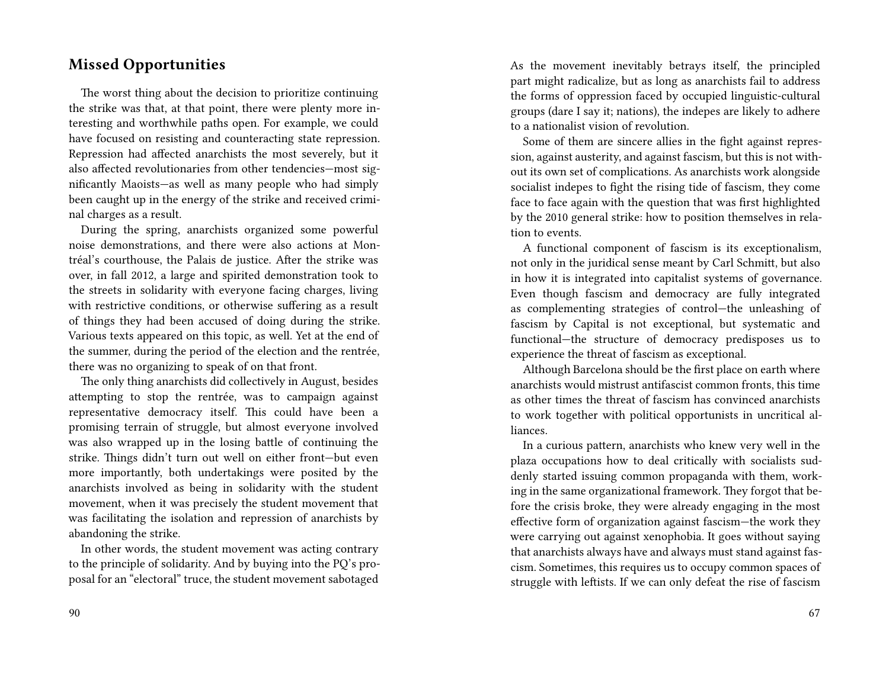#### **Missed Opportunities**

The worst thing about the decision to prioritize continuing the strike was that, at that point, there were plenty more interesting and worthwhile paths open. For example, we could have focused on resisting and counteracting state repression. Repression had affected anarchists the most severely, but it also affected revolutionaries from other tendencies—most significantly Maoists—as well as many people who had simply been caught up in the energy of the strike and received criminal charges as a result.

During the spring, anarchists organized some powerful noise demonstrations, and there were also actions at Montréal's courthouse, the Palais de justice. After the strike was over, in fall 2012, a large and spirited demonstration took to the streets in solidarity with everyone facing charges, living with restrictive conditions, or otherwise suffering as a result of things they had been accused of doing during the strike. Various texts appeared on this topic, as well. Yet at the end of the summer, during the period of the election and the rentrée, there was no organizing to speak of on that front.

The only thing anarchists did collectively in August, besides attempting to stop the rentrée, was to campaign against representative democracy itself. This could have been a promising terrain of struggle, but almost everyone involved was also wrapped up in the losing battle of continuing the strike. Things didn't turn out well on either front—but even more importantly, both undertakings were posited by the anarchists involved as being in solidarity with the student movement, when it was precisely the student movement that was facilitating the isolation and repression of anarchists by abandoning the strike.

In other words, the student movement was acting contrary to the principle of solidarity. And by buying into the PQ's proposal for an "electoral" truce, the student movement sabotaged

As the movement inevitably betrays itself, the principled part might radicalize, but as long as anarchists fail to address the forms of oppression faced by occupied linguistic-cultural groups (dare I say it; nations), the indepes are likely to adhere to a nationalist vision of revolution.

Some of them are sincere allies in the fight against repression, against austerity, and against fascism, but this is not without its own set of complications. As anarchists work alongside socialist indepes to fight the rising tide of fascism, they come face to face again with the question that was first highlighted by the 2010 general strike: how to position themselves in relation to events.

A functional component of fascism is its exceptionalism, not only in the juridical sense meant by Carl Schmitt, but also in how it is integrated into capitalist systems of governance. Even though fascism and democracy are fully integrated as complementing strategies of control—the unleashing of fascism by Capital is not exceptional, but systematic and functional—the structure of democracy predisposes us to experience the threat of fascism as exceptional.

Although Barcelona should be the first place on earth where anarchists would mistrust antifascist common fronts, this time as other times the threat of fascism has convinced anarchists to work together with political opportunists in uncritical alliances.

In a curious pattern, anarchists who knew very well in the plaza occupations how to deal critically with socialists suddenly started issuing common propaganda with them, working in the same organizational framework. They forgot that before the crisis broke, they were already engaging in the most effective form of organization against fascism—the work they were carrying out against xenophobia. It goes without saying that anarchists always have and always must stand against fascism. Sometimes, this requires us to occupy common spaces of struggle with leftists. If we can only defeat the rise of fascism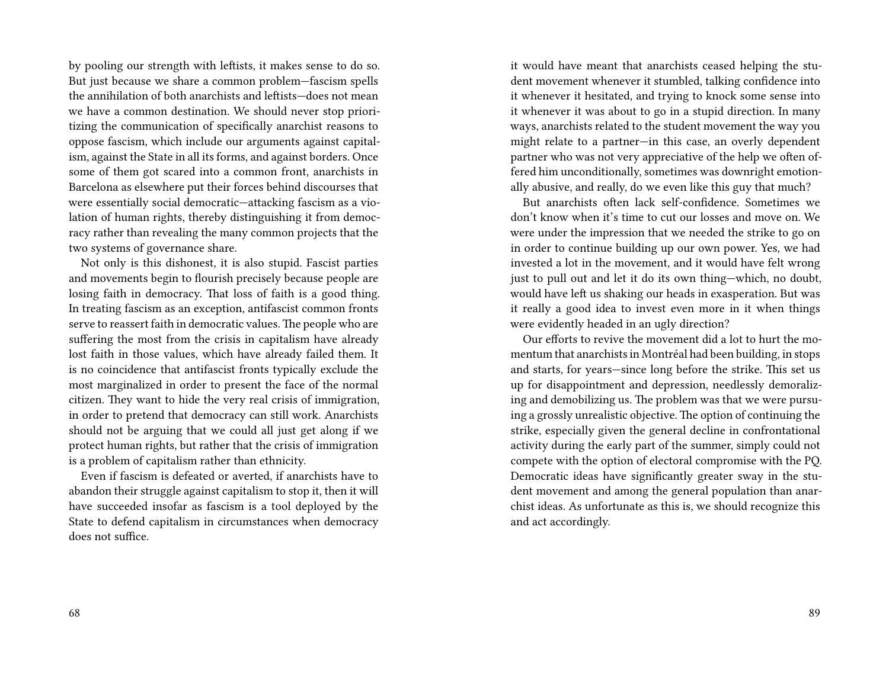by pooling our strength with leftists, it makes sense to do so. But just because we share a common problem—fascism spells the annihilation of both anarchists and leftists—does not mean we have a common destination. We should never stop prioritizing the communication of specifically anarchist reasons to oppose fascism, which include our arguments against capitalism, against the State in all its forms, and against borders. Once some of them got scared into a common front, anarchists in Barcelona as elsewhere put their forces behind discourses that were essentially social democratic—attacking fascism as a violation of human rights, thereby distinguishing it from democracy rather than revealing the many common projects that the two systems of governance share.

Not only is this dishonest, it is also stupid. Fascist parties and movements begin to flourish precisely because people are losing faith in democracy. That loss of faith is a good thing. In treating fascism as an exception, antifascist common fronts serve to reassert faith in democratic values. The people who are suffering the most from the crisis in capitalism have already lost faith in those values, which have already failed them. It is no coincidence that antifascist fronts typically exclude the most marginalized in order to present the face of the normal citizen. They want to hide the very real crisis of immigration, in order to pretend that democracy can still work. Anarchists should not be arguing that we could all just get along if we protect human rights, but rather that the crisis of immigration is a problem of capitalism rather than ethnicity.

Even if fascism is defeated or averted, if anarchists have to abandon their struggle against capitalism to stop it, then it will have succeeded insofar as fascism is a tool deployed by the State to defend capitalism in circumstances when democracy does not suffice.

it would have meant that anarchists ceased helping the student movement whenever it stumbled, talking confidence into it whenever it hesitated, and trying to knock some sense into it whenever it was about to go in a stupid direction. In many ways, anarchists related to the student movement the way you might relate to a partner—in this case, an overly dependent partner who was not very appreciative of the help we often offered him unconditionally, sometimes was downright emotionally abusive, and really, do we even like this guy that much?

But anarchists often lack self-confidence. Sometimes we don't know when it's time to cut our losses and move on. We were under the impression that we needed the strike to go on in order to continue building up our own power. Yes, we had invested a lot in the movement, and it would have felt wrong just to pull out and let it do its own thing—which, no doubt, would have left us shaking our heads in exasperation. But was it really a good idea to invest even more in it when things were evidently headed in an ugly direction?

Our efforts to revive the movement did a lot to hurt the momentum that anarchists in Montréal had been building, in stops and starts, for years—since long before the strike. This set us up for disappointment and depression, needlessly demoralizing and demobilizing us. The problem was that we were pursuing a grossly unrealistic objective. The option of continuing the strike, especially given the general decline in confrontational activity during the early part of the summer, simply could not compete with the option of electoral compromise with the PQ. Democratic ideas have significantly greater sway in the student movement and among the general population than anarchist ideas. As unfortunate as this is, we should recognize this and act accordingly.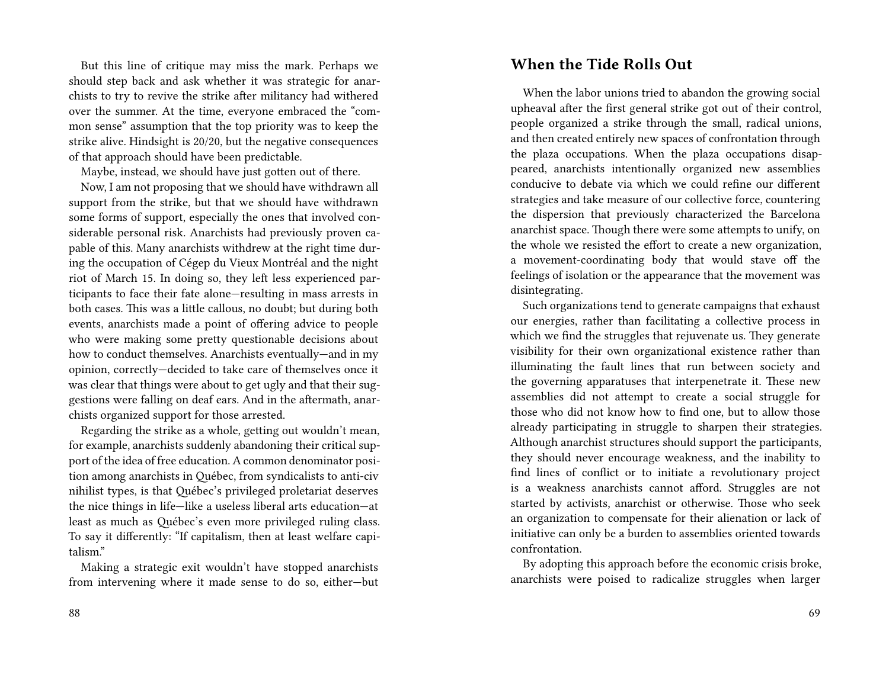But this line of critique may miss the mark. Perhaps we should step back and ask whether it was strategic for anarchists to try to revive the strike after militancy had withered over the summer. At the time, everyone embraced the "common sense" assumption that the top priority was to keep the strike alive. Hindsight is 20/20, but the negative consequences of that approach should have been predictable.

Maybe, instead, we should have just gotten out of there.

Now, I am not proposing that we should have withdrawn all support from the strike, but that we should have withdrawn some forms of support, especially the ones that involved considerable personal risk. Anarchists had previously proven capable of this. Many anarchists withdrew at the right time during the occupation of Cégep du Vieux Montréal and the night riot of March 15. In doing so, they left less experienced participants to face their fate alone—resulting in mass arrests in both cases. This was a little callous, no doubt; but during both events, anarchists made a point of offering advice to people who were making some pretty questionable decisions about how to conduct themselves. Anarchists eventually—and in my opinion, correctly—decided to take care of themselves once it was clear that things were about to get ugly and that their suggestions were falling on deaf ears. And in the aftermath, anarchists organized support for those arrested.

Regarding the strike as a whole, getting out wouldn't mean, for example, anarchists suddenly abandoning their critical support of the idea of free education. A common denominator position among anarchists in Québec, from syndicalists to anti-civ nihilist types, is that Québec's privileged proletariat deserves the nice things in life—like a useless liberal arts education—at least as much as Québec's even more privileged ruling class. To say it differently: "If capitalism, then at least welfare capitalism."

Making a strategic exit wouldn't have stopped anarchists from intervening where it made sense to do so, either—but

#### **When the Tide Rolls Out**

When the labor unions tried to abandon the growing social upheaval after the first general strike got out of their control, people organized a strike through the small, radical unions, and then created entirely new spaces of confrontation through the plaza occupations. When the plaza occupations disappeared, anarchists intentionally organized new assemblies conducive to debate via which we could refine our different strategies and take measure of our collective force, countering the dispersion that previously characterized the Barcelona anarchist space. Though there were some attempts to unify, on the whole we resisted the effort to create a new organization, a movement-coordinating body that would stave off the feelings of isolation or the appearance that the movement was disintegrating.

Such organizations tend to generate campaigns that exhaust our energies, rather than facilitating a collective process in which we find the struggles that rejuvenate us. They generate visibility for their own organizational existence rather than illuminating the fault lines that run between society and the governing apparatuses that interpenetrate it. These new assemblies did not attempt to create a social struggle for those who did not know how to find one, but to allow those already participating in struggle to sharpen their strategies. Although anarchist structures should support the participants, they should never encourage weakness, and the inability to find lines of conflict or to initiate a revolutionary project is a weakness anarchists cannot afford. Struggles are not started by activists, anarchist or otherwise. Those who seek an organization to compensate for their alienation or lack of initiative can only be a burden to assemblies oriented towards confrontation.

By adopting this approach before the economic crisis broke, anarchists were poised to radicalize struggles when larger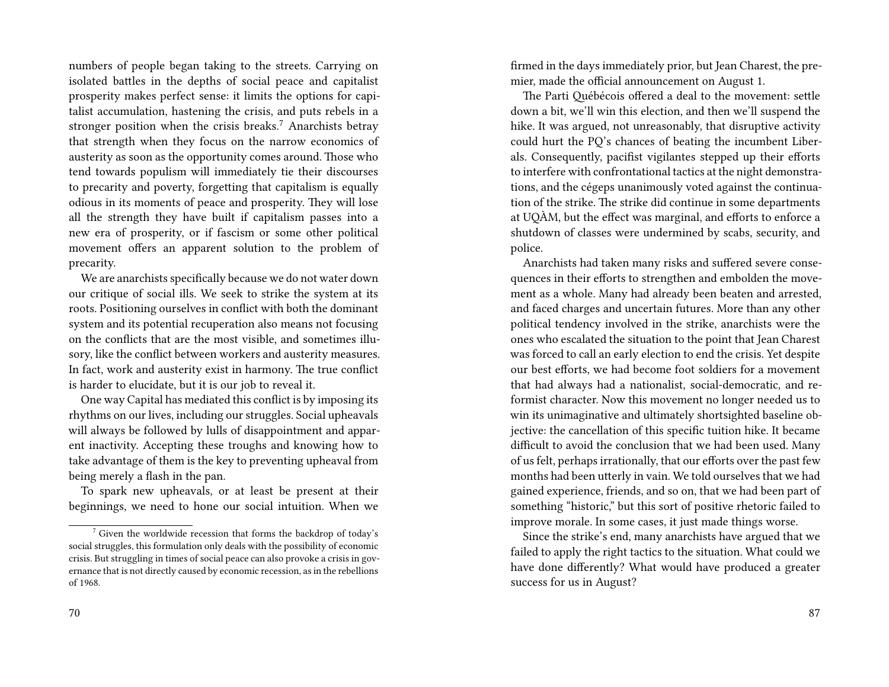numbers of people began taking to the streets. Carrying on isolated battles in the depths of social peace and capitalist prosperity makes perfect sense: it limits the options for capitalist accumulation, hastening the crisis, and puts rebels in a stronger position when the crisis breaks.<sup>7</sup> Anarchists betray that strength when they focus on the narrow economics of austerity as soon as the opportunity comes around. Those who tend towards populism will immediately tie their discourses to precarity and poverty, forgetting that capitalism is equally odious in its moments of peace and prosperity. They will lose all the strength they have built if capitalism passes into a new era of prosperity, or if fascism or some other political movement offers an apparent solution to the problem of precarity.

We are anarchists specifically because we do not water down our critique of social ills. We seek to strike the system at its roots. Positioning ourselves in conflict with both the dominant system and its potential recuperation also means not focusing on the conflicts that are the most visible, and sometimes illusory, like the conflict between workers and austerity measures. In fact, work and austerity exist in harmony. The true conflict is harder to elucidate, but it is our job to reveal it.

One way Capital has mediated this conflict is by imposing its rhythms on our lives, including our struggles. Social upheavals will always be followed by lulls of disappointment and apparent inactivity. Accepting these troughs and knowing how to take advantage of them is the key to preventing upheaval from being merely a flash in the pan.

To spark new upheavals, or at least be present at their beginnings, we need to hone our social intuition. When we firmed in the days immediately prior, but Jean Charest, the premier, made the official announcement on August 1.

The Parti Québécois offered a deal to the movement: settle down a bit, we'll win this election, and then we'll suspend the hike. It was argued, not unreasonably, that disruptive activity could hurt the PQ's chances of beating the incumbent Liberals. Consequently, pacifist vigilantes stepped up their efforts to interfere with confrontational tactics at the night demonstrations, and the cégeps unanimously voted against the continuation of the strike. The strike did continue in some departments at UQÀM, but the effect was marginal, and efforts to enforce a shutdown of classes were undermined by scabs, security, and police.

Anarchists had taken many risks and suffered severe consequences in their efforts to strengthen and embolden the movement as a whole. Many had already been beaten and arrested, and faced charges and uncertain futures. More than any other political tendency involved in the strike, anarchists were the ones who escalated the situation to the point that Jean Charest was forced to call an early election to end the crisis. Yet despite our best efforts, we had become foot soldiers for a movement that had always had a nationalist, social-democratic, and reformist character. Now this movement no longer needed us to win its unimaginative and ultimately shortsighted baseline objective: the cancellation of this specific tuition hike. It became difficult to avoid the conclusion that we had been used. Many of us felt, perhaps irrationally, that our efforts over the past few months had been utterly in vain. We told ourselves that we had gained experience, friends, and so on, that we had been part of something "historic," but this sort of positive rhetoric failed to improve morale. In some cases, it just made things worse.

Since the strike's end, many anarchists have argued that we failed to apply the right tactics to the situation. What could we have done differently? What would have produced a greater success for us in August?

 $7$  Given the worldwide recession that forms the backdrop of today's social struggles, this formulation only deals with the possibility of economic crisis. But struggling in times of social peace can also provoke a crisis in governance that is not directly caused by economic recession, as in the rebellions of 1968.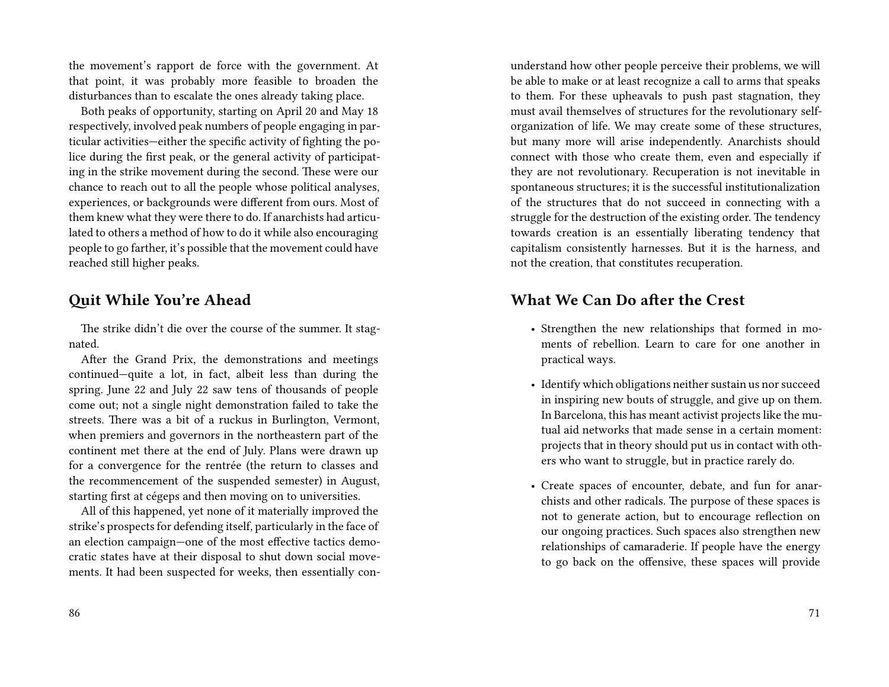the movement's rapport de force with the government. At that point, it was probably more feasible to broaden the disturbances than to escalate the ones already taking place.

Both peaks of opportunity, starting on April 20 and May 18 respectively, involved peak numbers of people engaging in particular activities—either the specific activity of fighting the police during the first peak, or the general activity of participating in the strike movement during the second. These were our chance to reach out to all the people whose political analyses, experiences, or backgrounds were different from ours. Most of them knew what they were there to do. If anarchists had articulated to others a method of how to do it while also encouraging people to go farther, it's possible that the movement could have reached still higher peaks.

#### **Quit While You're Ahead**

The strike didn't die over the course of the summer. It stagnated.

After the Grand Prix, the demonstrations and meetings continued—quite a lot, in fact, albeit less than during the spring. June 22 and July 22 saw tens of thousands of people come out; not a single night demonstration failed to take the streets. There was a bit of a ruckus in Burlington, Vermont, when premiers and governors in the northeastern part of the continent met there at the end of July. Plans were drawn up for a convergence for the rentrée (the return to classes and the recommencement of the suspended semester) in August, starting first at cégeps and then moving on to universities.

All of this happened, yet none of it materially improved the strike's prospects for defending itself, particularly in the face of an election campaign—one of the most effective tactics democratic states have at their disposal to shut down social movements. It had been suspected for weeks, then essentially conunderstand how other people perceive their problems, we will be able to make or at least recognize a call to arms that speaks to them. For these upheavals to push past stagnation, they must avail themselves of structures for the revolutionary selforganization of life. We may create some of these structures, but many more will arise independently. Anarchists should connect with those who create them, even and especially if they are not revolutionary. Recuperation is not inevitable in spontaneous structures; it is the successful institutionalization of the structures that do not succeed in connecting with a struggle for the destruction of the existing order. The tendency towards creation is an essentially liberating tendency that capitalism consistently harnesses. But it is the harness, and not the creation, that constitutes recuperation.

#### **What We Can Do after the Crest**

- Strengthen the new relationships that formed in moments of rebellion. Learn to care for one another in practical ways.
- Identify which obligations neither sustain us nor succeed in inspiring new bouts of struggle, and give up on them. In Barcelona, this has meant activist projects like the mutual aid networks that made sense in a certain moment: projects that in theory should put us in contact with others who want to struggle, but in practice rarely do.
- Create spaces of encounter, debate, and fun for anarchists and other radicals. The purpose of these spaces is not to generate action, but to encourage reflection on our ongoing practices. Such spaces also strengthen new relationships of camaraderie. If people have the energy to go back on the offensive, these spaces will provide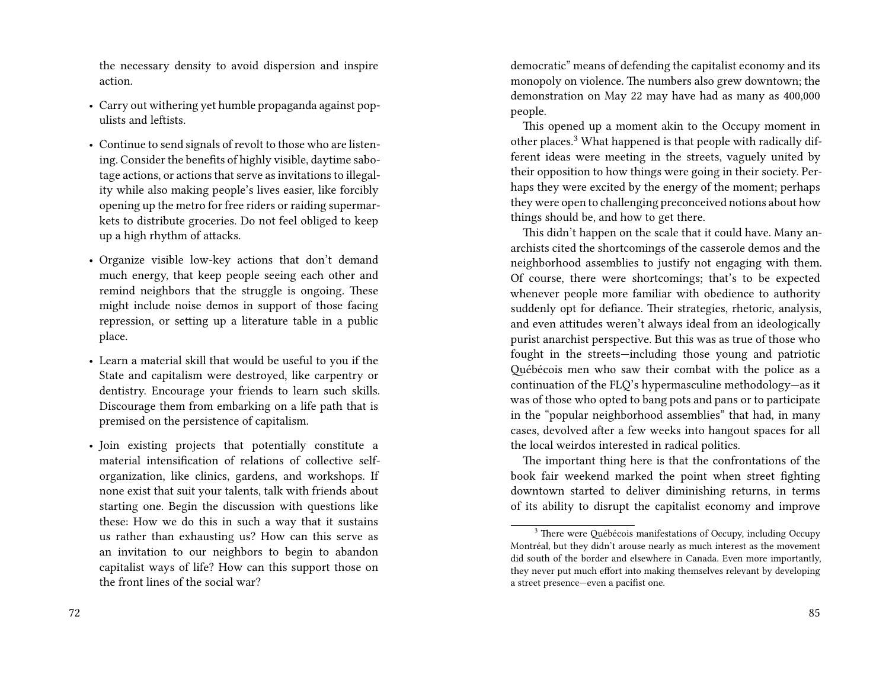the necessary density to avoid dispersion and inspire action.

- Carry out withering yet humble propaganda against populists and leftists.
- Continue to send signals of revolt to those who are listening. Consider the benefits of highly visible, daytime sabotage actions, or actions that serve as invitations to illegality while also making people's lives easier, like forcibly opening up the metro for free riders or raiding supermarkets to distribute groceries. Do not feel obliged to keep up a high rhythm of attacks.
- Organize visible low-key actions that don't demand much energy, that keep people seeing each other and remind neighbors that the struggle is ongoing. These might include noise demos in support of those facing repression, or setting up a literature table in a public place.
- Learn a material skill that would be useful to you if the State and capitalism were destroyed, like carpentry or dentistry. Encourage your friends to learn such skills. Discourage them from embarking on a life path that is premised on the persistence of capitalism.
- Join existing projects that potentially constitute a material intensification of relations of collective selforganization, like clinics, gardens, and workshops. If none exist that suit your talents, talk with friends about starting one. Begin the discussion with questions like these: How we do this in such a way that it sustains us rather than exhausting us? How can this serve as an invitation to our neighbors to begin to abandon capitalist ways of life? How can this support those on the front lines of the social war?

democratic" means of defending the capitalist economy and its monopoly on violence. The numbers also grew downtown; the demonstration on May 22 may have had as many as 400,000 people.

This opened up a moment akin to the Occupy moment in other places.<sup>3</sup> What happened is that people with radically different ideas were meeting in the streets, vaguely united by their opposition to how things were going in their society. Perhaps they were excited by the energy of the moment; perhaps they were open to challenging preconceived notions about how things should be, and how to get there.

This didn't happen on the scale that it could have. Many anarchists cited the shortcomings of the casserole demos and the neighborhood assemblies to justify not engaging with them. Of course, there were shortcomings; that's to be expected whenever people more familiar with obedience to authority suddenly opt for defiance. Their strategies, rhetoric, analysis, and even attitudes weren't always ideal from an ideologically purist anarchist perspective. But this was as true of those who fought in the streets—including those young and patriotic Québécois men who saw their combat with the police as a continuation of the FLQ's hypermasculine methodology—as it was of those who opted to bang pots and pans or to participate in the "popular neighborhood assemblies" that had, in many cases, devolved after a few weeks into hangout spaces for all the local weirdos interested in radical politics.

The important thing here is that the confrontations of the book fair weekend marked the point when street fighting downtown started to deliver diminishing returns, in terms of its ability to disrupt the capitalist economy and improve

<sup>&</sup>lt;sup>3</sup> There were Québécois manifestations of Occupy, including Occupy Montréal, but they didn't arouse nearly as much interest as the movement did south of the border and elsewhere in Canada. Even more importantly, they never put much effort into making themselves relevant by developing a street presence—even a pacifist one.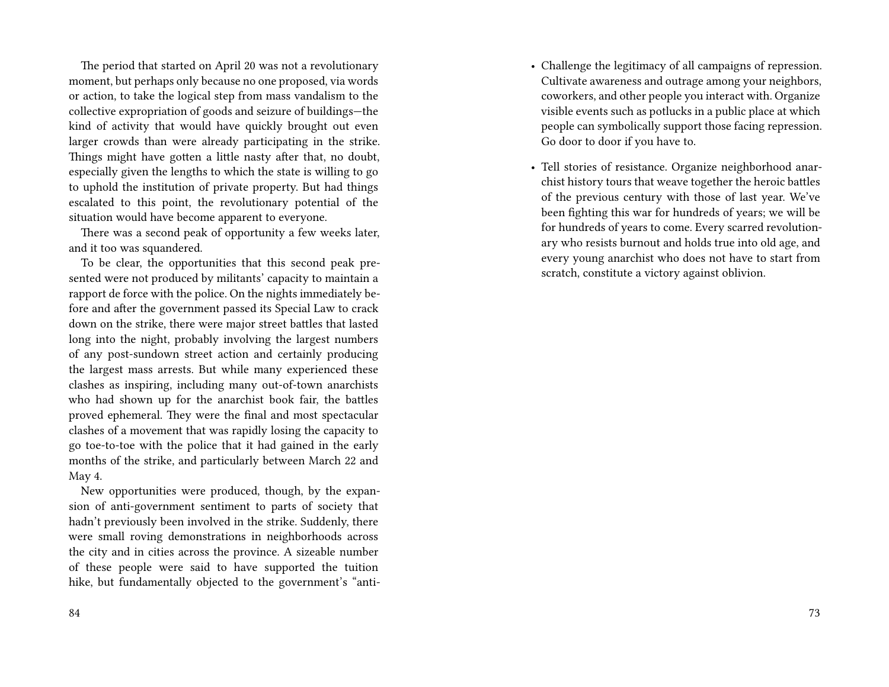The period that started on April 20 was not a revolutionary moment, but perhaps only because no one proposed, via words or action, to take the logical step from mass vandalism to the collective expropriation of goods and seizure of buildings—the kind of activity that would have quickly brought out even larger crowds than were already participating in the strike. Things might have gotten a little nasty after that, no doubt, especially given the lengths to which the state is willing to go to uphold the institution of private property. But had things escalated to this point, the revolutionary potential of the situation would have become apparent to everyone.

There was a second peak of opportunity a few weeks later, and it too was squandered.

To be clear, the opportunities that this second peak presented were not produced by militants' capacity to maintain a rapport de force with the police. On the nights immediately before and after the government passed its Special Law to crack down on the strike, there were major street battles that lasted long into the night, probably involving the largest numbers of any post-sundown street action and certainly producing the largest mass arrests. But while many experienced these clashes as inspiring, including many out-of-town anarchists who had shown up for the anarchist book fair, the battles proved ephemeral. They were the final and most spectacular clashes of a movement that was rapidly losing the capacity to go toe-to-toe with the police that it had gained in the early months of the strike, and particularly between March 22 and May 4.

New opportunities were produced, though, by the expansion of anti-government sentiment to parts of society that hadn't previously been involved in the strike. Suddenly, there were small roving demonstrations in neighborhoods across the city and in cities across the province. A sizeable number of these people were said to have supported the tuition hike, but fundamentally objected to the government's "anti-

- Challenge the legitimacy of all campaigns of repression. Cultivate awareness and outrage among your neighbors, coworkers, and other people you interact with. Organize visible events such as potlucks in a public place at which people can symbolically support those facing repression. Go door to door if you have to.
- Tell stories of resistance. Organize neighborhood anarchist history tours that weave together the heroic battles of the previous century with those of last year. We've been fighting this war for hundreds of years; we will be for hundreds of years to come. Every scarred revolutionary who resists burnout and holds true into old age, and every young anarchist who does not have to start from scratch, constitute a victory against oblivion.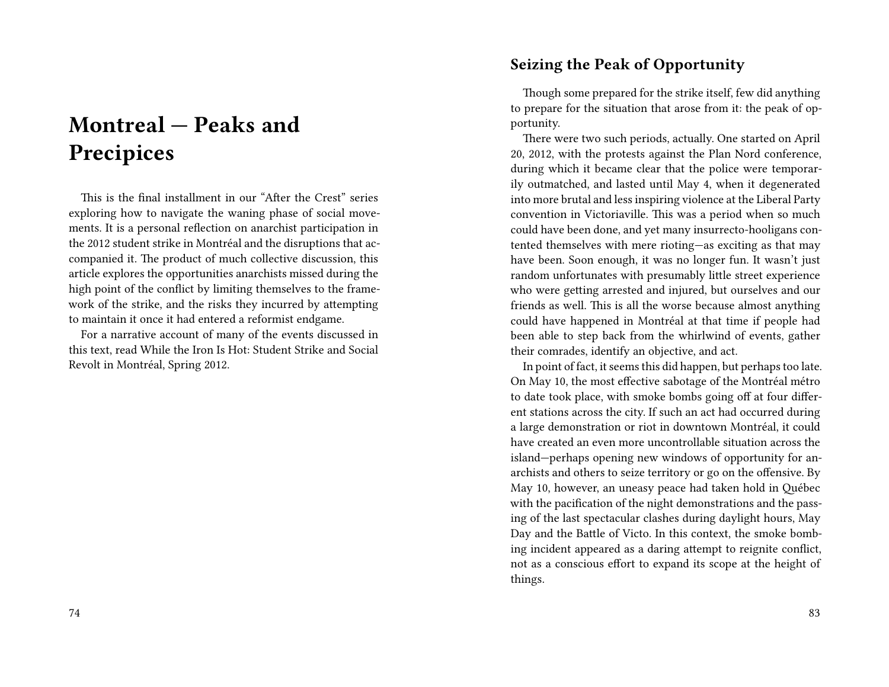# **Montreal — Peaks and Precipices**

This is the final installment in our "After the Crest" series exploring how to navigate the waning phase of social movements. It is a personal reflection on anarchist participation in the 2012 student strike in Montréal and the disruptions that accompanied it. The product of much collective discussion, this article explores the opportunities anarchists missed during the high point of the conflict by limiting themselves to the framework of the strike, and the risks they incurred by attempting to maintain it once it had entered a reformist endgame.

For a narrative account of many of the events discussed in this text, read While the Iron Is Hot: Student Strike and Social Revolt in Montréal, Spring 2012.

#### **Seizing the Peak of Opportunity**

Though some prepared for the strike itself, few did anything to prepare for the situation that arose from it: the peak of opportunity.

There were two such periods, actually. One started on April 20, 2012, with the protests against the Plan Nord conference, during which it became clear that the police were temporarily outmatched, and lasted until May 4, when it degenerated into more brutal and less inspiring violence at the Liberal Party convention in Victoriaville. This was a period when so much could have been done, and yet many insurrecto-hooligans contented themselves with mere rioting—as exciting as that may have been. Soon enough, it was no longer fun. It wasn't just random unfortunates with presumably little street experience who were getting arrested and injured, but ourselves and our friends as well. This is all the worse because almost anything could have happened in Montréal at that time if people had been able to step back from the whirlwind of events, gather their comrades, identify an objective, and act.

In point of fact, it seems this did happen, but perhaps too late. On May 10, the most effective sabotage of the Montréal métro to date took place, with smoke bombs going off at four different stations across the city. If such an act had occurred during a large demonstration or riot in downtown Montréal, it could have created an even more uncontrollable situation across the island—perhaps opening new windows of opportunity for anarchists and others to seize territory or go on the offensive. By May 10, however, an uneasy peace had taken hold in Québec with the pacification of the night demonstrations and the passing of the last spectacular clashes during daylight hours, May Day and the Battle of Victo. In this context, the smoke bombing incident appeared as a daring attempt to reignite conflict, not as a conscious effort to expand its scope at the height of things.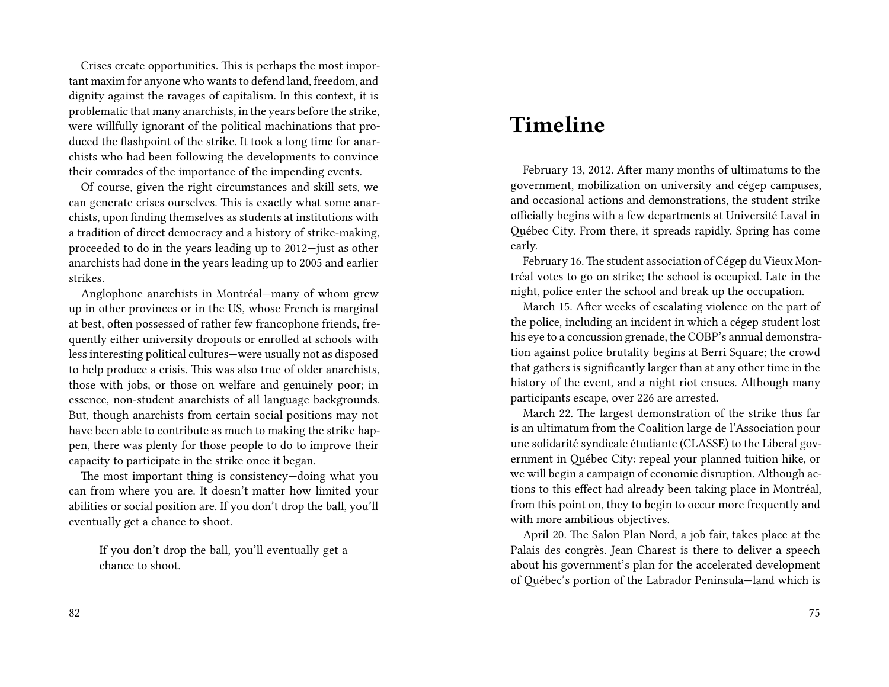Crises create opportunities. This is perhaps the most important maxim for anyone who wants to defend land, freedom, and dignity against the ravages of capitalism. In this context, it is problematic that many anarchists, in the years before the strike, were willfully ignorant of the political machinations that produced the flashpoint of the strike. It took a long time for anarchists who had been following the developments to convince their comrades of the importance of the impending events.

Of course, given the right circumstances and skill sets, we can generate crises ourselves. This is exactly what some anarchists, upon finding themselves as students at institutions with a tradition of direct democracy and a history of strike-making, proceeded to do in the years leading up to 2012—just as other anarchists had done in the years leading up to 2005 and earlier strikes.

Anglophone anarchists in Montréal—many of whom grew up in other provinces or in the US, whose French is marginal at best, often possessed of rather few francophone friends, frequently either university dropouts or enrolled at schools with less interesting political cultures—were usually not as disposed to help produce a crisis. This was also true of older anarchists, those with jobs, or those on welfare and genuinely poor; in essence, non-student anarchists of all language backgrounds. But, though anarchists from certain social positions may not have been able to contribute as much to making the strike happen, there was plenty for those people to do to improve their capacity to participate in the strike once it began.

The most important thing is consistency—doing what you can from where you are. It doesn't matter how limited your abilities or social position are. If you don't drop the ball, you'll eventually get a chance to shoot.

If you don't drop the ball, you'll eventually get a chance to shoot.

### **Timeline**

February 13, 2012. After many months of ultimatums to the government, mobilization on university and cégep campuses, and occasional actions and demonstrations, the student strike officially begins with a few departments at Université Laval in Québec City. From there, it spreads rapidly. Spring has come early.

February 16.The student association of Cégep du Vieux Montréal votes to go on strike; the school is occupied. Late in the night, police enter the school and break up the occupation.

March 15. After weeks of escalating violence on the part of the police, including an incident in which a cégep student lost his eye to a concussion grenade, the COBP's annual demonstration against police brutality begins at Berri Square; the crowd that gathers is significantly larger than at any other time in the history of the event, and a night riot ensues. Although many participants escape, over 226 are arrested.

March 22. The largest demonstration of the strike thus far is an ultimatum from the Coalition large de l'Association pour une solidarité syndicale étudiante (CLASSE) to the Liberal government in Québec City: repeal your planned tuition hike, or we will begin a campaign of economic disruption. Although actions to this effect had already been taking place in Montréal, from this point on, they to begin to occur more frequently and with more ambitious objectives.

April 20. The Salon Plan Nord, a job fair, takes place at the Palais des congrès. Jean Charest is there to deliver a speech about his government's plan for the accelerated development of Québec's portion of the Labrador Peninsula—land which is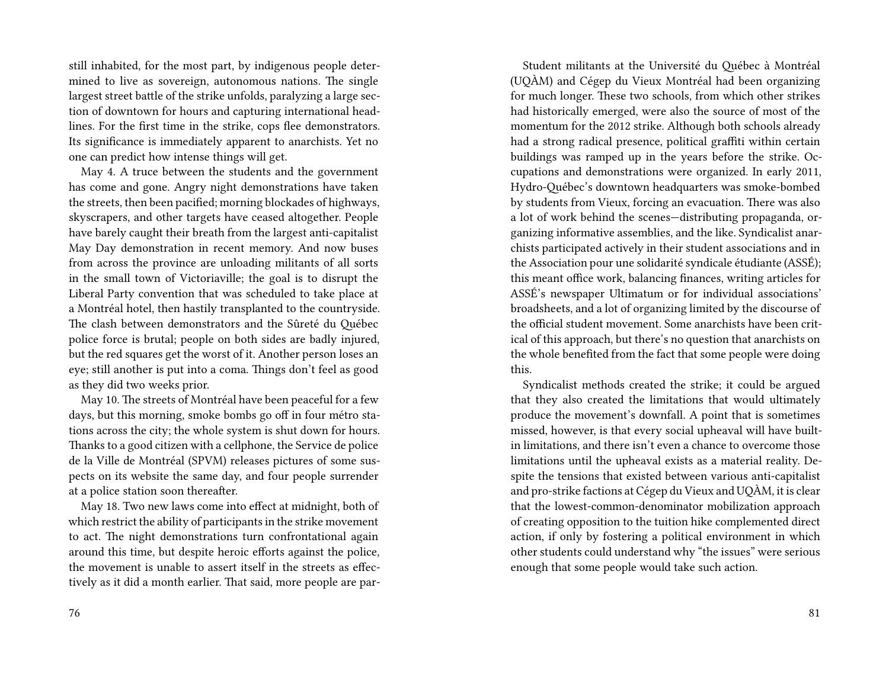still inhabited, for the most part, by indigenous people determined to live as sovereign, autonomous nations. The single largest street battle of the strike unfolds, paralyzing a large section of downtown for hours and capturing international headlines. For the first time in the strike, cops flee demonstrators. Its significance is immediately apparent to anarchists. Yet no one can predict how intense things will get.

May 4. A truce between the students and the government has come and gone. Angry night demonstrations have taken the streets, then been pacified; morning blockades of highways, skyscrapers, and other targets have ceased altogether. People have barely caught their breath from the largest anti-capitalist May Day demonstration in recent memory. And now buses from across the province are unloading militants of all sorts in the small town of Victoriaville; the goal is to disrupt the Liberal Party convention that was scheduled to take place at a Montréal hotel, then hastily transplanted to the countryside. The clash between demonstrators and the Sûreté du Québec police force is brutal; people on both sides are badly injured, but the red squares get the worst of it. Another person loses an eye; still another is put into a coma. Things don't feel as good as they did two weeks prior.

May 10. The streets of Montréal have been peaceful for a few days, but this morning, smoke bombs go off in four métro stations across the city; the whole system is shut down for hours. Thanks to a good citizen with a cellphone, the Service de police de la Ville de Montréal (SPVM) releases pictures of some suspects on its website the same day, and four people surrender at a police station soon thereafter.

May 18. Two new laws come into effect at midnight, both of which restrict the ability of participants in the strike movement to act. The night demonstrations turn confrontational again around this time, but despite heroic efforts against the police, the movement is unable to assert itself in the streets as effectively as it did a month earlier. That said, more people are par-

Student militants at the Université du Québec à Montréal (UQÀM) and Cégep du Vieux Montréal had been organizing for much longer. These two schools, from which other strikes had historically emerged, were also the source of most of the momentum for the 2012 strike. Although both schools already had a strong radical presence, political graffiti within certain buildings was ramped up in the years before the strike. Occupations and demonstrations were organized. In early 2011, Hydro-Québec's downtown headquarters was smoke-bombed by students from Vieux, forcing an evacuation. There was also a lot of work behind the scenes—distributing propaganda, organizing informative assemblies, and the like. Syndicalist anarchists participated actively in their student associations and in the Association pour une solidarité syndicale étudiante (ASSÉ); this meant office work, balancing finances, writing articles for ASSÉ's newspaper Ultimatum or for individual associations' broadsheets, and a lot of organizing limited by the discourse of the official student movement. Some anarchists have been critical of this approach, but there's no question that anarchists on the whole benefited from the fact that some people were doing this.

Syndicalist methods created the strike; it could be argued that they also created the limitations that would ultimately produce the movement's downfall. A point that is sometimes missed, however, is that every social upheaval will have builtin limitations, and there isn't even a chance to overcome those limitations until the upheaval exists as a material reality. Despite the tensions that existed between various anti-capitalist and pro-strike factions at Cégep du Vieux and UQÀM, it is clear that the lowest-common-denominator mobilization approach of creating opposition to the tuition hike complemented direct action, if only by fostering a political environment in which other students could understand why "the issues" were serious enough that some people would take such action.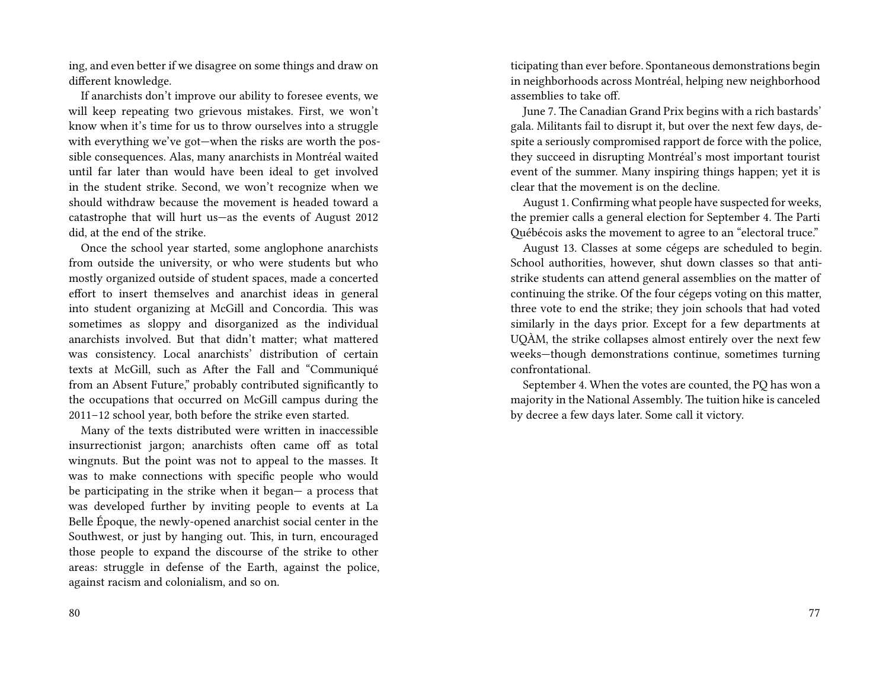ing, and even better if we disagree on some things and draw on different knowledge.

If anarchists don't improve our ability to foresee events, we will keep repeating two grievous mistakes. First, we won't know when it's time for us to throw ourselves into a struggle with everything we've got—when the risks are worth the possible consequences. Alas, many anarchists in Montréal waited until far later than would have been ideal to get involved in the student strike. Second, we won't recognize when we should withdraw because the movement is headed toward a catastrophe that will hurt us—as the events of August 2012 did, at the end of the strike.

Once the school year started, some anglophone anarchists from outside the university, or who were students but who mostly organized outside of student spaces, made a concerted effort to insert themselves and anarchist ideas in general into student organizing at McGill and Concordia. This was sometimes as sloppy and disorganized as the individual anarchists involved. But that didn't matter; what mattered was consistency. Local anarchists' distribution of certain texts at McGill, such as After the Fall and "Communiqué from an Absent Future," probably contributed significantly to the occupations that occurred on McGill campus during the 2011–12 school year, both before the strike even started.

Many of the texts distributed were written in inaccessible insurrectionist jargon; anarchists often came off as total wingnuts. But the point was not to appeal to the masses. It was to make connections with specific people who would be participating in the strike when it began— a process that was developed further by inviting people to events at La Belle Époque, the newly-opened anarchist social center in the Southwest, or just by hanging out. This, in turn, encouraged those people to expand the discourse of the strike to other areas: struggle in defense of the Earth, against the police, against racism and colonialism, and so on.

80

ticipating than ever before. Spontaneous demonstrations begin in neighborhoods across Montréal, helping new neighborhood assemblies to take off.

June 7. The Canadian Grand Prix begins with a rich bastards' gala. Militants fail to disrupt it, but over the next few days, despite a seriously compromised rapport de force with the police, they succeed in disrupting Montréal's most important tourist event of the summer. Many inspiring things happen; yet it is clear that the movement is on the decline.

August 1. Confirming what people have suspected for weeks, the premier calls a general election for September 4. The Parti Québécois asks the movement to agree to an "electoral truce."

August 13. Classes at some cégeps are scheduled to begin. School authorities, however, shut down classes so that antistrike students can attend general assemblies on the matter of continuing the strike. Of the four cégeps voting on this matter, three vote to end the strike; they join schools that had voted similarly in the days prior. Except for a few departments at UQÀM, the strike collapses almost entirely over the next few weeks—though demonstrations continue, sometimes turning confrontational.

September 4. When the votes are counted, the PQ has won a majority in the National Assembly. The tuition hike is canceled by decree a few days later. Some call it victory.